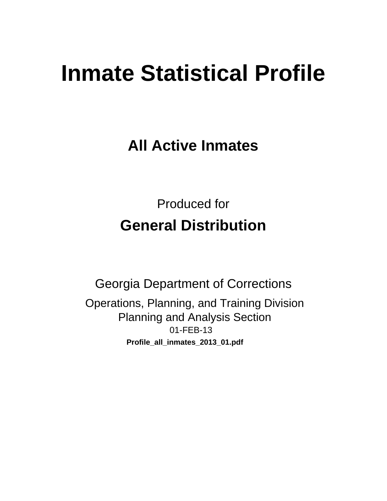# **Inmate Statistical Profile**

**All Active Inmates** 

**Produced for General Distribution** 

**Georgia Department of Corrections** Operations, Planning, and Training Division **Planning and Analysis Section** 01-FEB-13 Profile\_all\_inmates\_2013\_01.pdf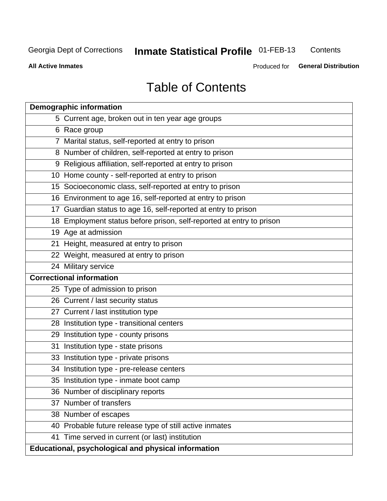## **Inmate Statistical Profile 01-FEB-13**

Contents

**All Active Inmates** 

Produced for General Distribution

## **Table of Contents**

|    | <b>Demographic information</b>                                       |
|----|----------------------------------------------------------------------|
|    | 5 Current age, broken out in ten year age groups                     |
|    | 6 Race group                                                         |
|    | 7 Marital status, self-reported at entry to prison                   |
|    | 8 Number of children, self-reported at entry to prison               |
|    | 9 Religious affiliation, self-reported at entry to prison            |
|    | 10 Home county - self-reported at entry to prison                    |
|    | 15 Socioeconomic class, self-reported at entry to prison             |
|    | 16 Environment to age 16, self-reported at entry to prison           |
|    | 17 Guardian status to age 16, self-reported at entry to prison       |
|    | 18 Employment status before prison, self-reported at entry to prison |
|    | 19 Age at admission                                                  |
|    | 21 Height, measured at entry to prison                               |
|    | 22 Weight, measured at entry to prison                               |
|    | 24 Military service                                                  |
|    | <b>Correctional information</b>                                      |
|    | 25 Type of admission to prison                                       |
|    | 26 Current / last security status                                    |
|    | 27 Current / last institution type                                   |
|    | 28 Institution type - transitional centers                           |
|    | 29 Institution type - county prisons                                 |
| 31 | Institution type - state prisons                                     |
|    | 33 Institution type - private prisons                                |
|    | 34 Institution type - pre-release centers                            |
|    | 35 Institution type - inmate boot camp                               |
|    | 36 Number of disciplinary reports                                    |
|    | 37 Number of transfers                                               |
|    | 38 Number of escapes                                                 |
|    | 40 Probable future release type of still active inmates              |
|    | 41 Time served in current (or last) institution                      |
|    | Educational, psychological and physical information                  |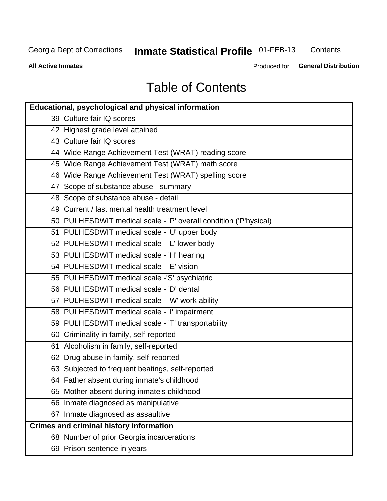## **Inmate Statistical Profile 01-FEB-13**

Contents

**All Active Inmates** 

Produced for General Distribution

## **Table of Contents**

| Educational, psychological and physical information              |
|------------------------------------------------------------------|
| 39 Culture fair IQ scores                                        |
| 42 Highest grade level attained                                  |
| 43 Culture fair IQ scores                                        |
| 44 Wide Range Achievement Test (WRAT) reading score              |
| 45 Wide Range Achievement Test (WRAT) math score                 |
| 46 Wide Range Achievement Test (WRAT) spelling score             |
| 47 Scope of substance abuse - summary                            |
| 48 Scope of substance abuse - detail                             |
| 49 Current / last mental health treatment level                  |
| 50 PULHESDWIT medical scale - 'P' overall condition ('P'hysical) |
| 51 PULHESDWIT medical scale - 'U' upper body                     |
| 52 PULHESDWIT medical scale - 'L' lower body                     |
| 53 PULHESDWIT medical scale - 'H' hearing                        |
| 54 PULHESDWIT medical scale - 'E' vision                         |
| 55 PULHESDWIT medical scale -'S' psychiatric                     |
| 56 PULHESDWIT medical scale - 'D' dental                         |
| 57 PULHESDWIT medical scale - 'W' work ability                   |
| 58 PULHESDWIT medical scale - 'I' impairment                     |
| 59 PULHESDWIT medical scale - 'T' transportability               |
| 60 Criminality in family, self-reported                          |
| 61 Alcoholism in family, self-reported                           |
| 62 Drug abuse in family, self-reported                           |
| 63 Subjected to frequent beatings, self-reported                 |
| 64 Father absent during inmate's childhood                       |
| 65 Mother absent during inmate's childhood                       |
| 66 Inmate diagnosed as manipulative                              |
| 67 Inmate diagnosed as assaultive                                |
| <b>Crimes and criminal history information</b>                   |
| 68 Number of prior Georgia incarcerations                        |
| 69 Prison sentence in years                                      |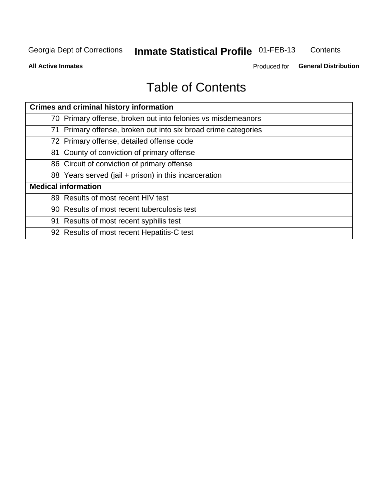#### **Inmate Statistical Profile 01-FEB-13** Contents

**All Active Inmates** 

Produced for General Distribution

## **Table of Contents**

| <b>Crimes and criminal history information</b>                 |
|----------------------------------------------------------------|
| 70 Primary offense, broken out into felonies vs misdemeanors   |
| 71 Primary offense, broken out into six broad crime categories |
| 72 Primary offense, detailed offense code                      |
| 81 County of conviction of primary offense                     |
| 86 Circuit of conviction of primary offense                    |
| 88 Years served (jail + prison) in this incarceration          |
| <b>Medical information</b>                                     |
| 89 Results of most recent HIV test                             |
| 90 Results of most recent tuberculosis test                    |
| 91 Results of most recent syphilis test                        |
| 92 Results of most recent Hepatitis-C test                     |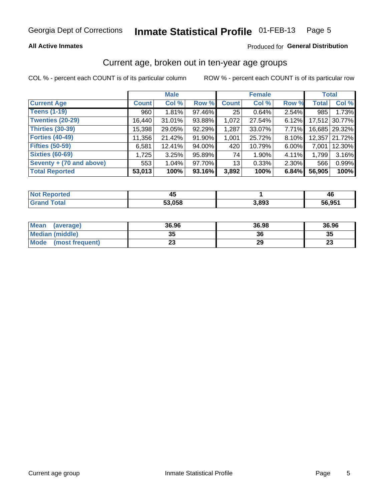#### **All Active Inmates**

#### Produced for General Distribution

## Current age, broken out in ten-year age groups

COL % - percent each COUNT is of its particular column

|                          |              | <b>Male</b> |        |                 | <b>Female</b> |          |              | <b>Total</b>  |
|--------------------------|--------------|-------------|--------|-----------------|---------------|----------|--------------|---------------|
| <b>Current Age</b>       | <b>Count</b> | Col %       | Row %  | <b>Count</b>    | Col %         | Row %    | <b>Total</b> | Col %         |
| <b>Teens (1-19)</b>      | 960          | 1.81%       | 97.46% | 25              | 0.64%         | 2.54%    | 985          | 1.73%         |
| <b>Twenties (20-29)</b>  | 16,440       | 31.01%      | 93.88% | 1,072           | 27.54%        | 6.12%    | 17,512       | 30.77%        |
| <b>Thirties (30-39)</b>  | 15,398       | 29.05%      | 92.29% | 1,287           | 33.07%        | 7.71%    |              | 16,685 29.32% |
| <b>Forties (40-49)</b>   | 11,356       | 21.42%      | 91.90% | 1,001           | 25.72%        | 8.10%    | 12,357       | 21.72%        |
| <b>Fifties (50-59)</b>   | 6,581        | 12.41%      | 94.00% | 420             | 10.79%        | $6.00\%$ | 7,001        | 12.30%        |
| <b>Sixties (60-69)</b>   | 1,725        | 3.25%       | 95.89% | 74              | 1.90%         | 4.11%    | 1,799        | 3.16%         |
| Seventy + (70 and above) | 553          | $1.04\%$    | 97.70% | 13 <sub>1</sub> | 0.33%         | 2.30%    | 566          | 0.99%         |
| <b>Total Reported</b>    | 53,013       | 100%        | 93.16% | 3,892           | 100%          | 6.84%    | 56,905       | 100%          |

| <b>Not Reported</b> | л.<br>47 |       | . .<br>46 |
|---------------------|----------|-------|-----------|
| Total               | 53,058   | 3,893 | 56.95'    |

| <b>Mean</b><br>(average) | 36.96    | 36.98 | 36.96                          |
|--------------------------|----------|-------|--------------------------------|
| Median (middle)          | つん<br>vu | 36    | 35                             |
| Mode<br>(most frequent)  | n.<br>w  | 29    | $\overline{\phantom{a}}$<br>∠J |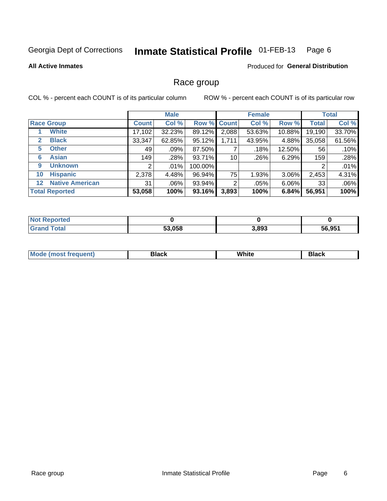#### Inmate Statistical Profile 01-FEB-13 Page 6

**All Active Inmates** 

#### **Produced for General Distribution**

#### Race group

COL % - percent each COUNT is of its particular column

|                                   |              | <b>Male</b> |             |       | <b>Female</b> |          |              | <b>Total</b> |
|-----------------------------------|--------------|-------------|-------------|-------|---------------|----------|--------------|--------------|
| <b>Race Group</b>                 | <b>Count</b> | Col %       | Row % Count |       | Col %         | Row %    | <b>Total</b> | Col %        |
| <b>White</b>                      | 17,102       | 32.23%      | 89.12%      | 2,088 | 53.63%        | 10.88%   | 19,190       | 33.70%       |
| <b>Black</b><br>2                 | 33,347       | 62.85%      | 95.12%      | 1,711 | 43.95%        | 4.88%    | 35,058       | 61.56%       |
| <b>Other</b><br>5.                | 49           | .09%        | 87.50%      |       | .18%          | 12.50%   | 56           | .10%         |
| <b>Asian</b><br>6                 | 149          | .28%        | 93.71%      | 10    | .26%          | 6.29%    | 159          | .28%         |
| <b>Unknown</b><br>9               | 2            | $.01\%$     | 100.00%     |       |               |          | 2            | .01%         |
| <b>Hispanic</b><br>10             | 2,378        | 4.48%       | 96.94%      | 75    | 1.93%         | $3.06\%$ | 2,453        | 4.31%        |
| <b>Native American</b><br>$12 \,$ | 31           | $.06\%$     | 93.94%      | 2     | .05%          | $6.06\%$ | 33           | .06%         |
| <b>Total Reported</b>             | 53,058       | 100%        | 93.16%      | 3,893 | 100%          | 6.84%    | 56,951       | 100%         |

| <b>Not R</b><br>sported |        |       |        |
|-------------------------|--------|-------|--------|
| Total<br>Gra            | 53,058 | 3,893 | 56,951 |

| M.<br>____ | . | ------- |
|------------|---|---------|
|            |   |         |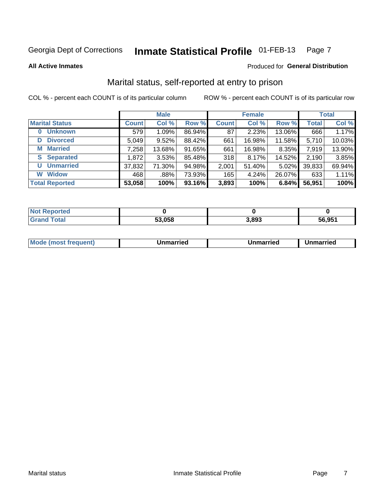#### Inmate Statistical Profile 01-FEB-13 Page 7

**All Active Inmates** 

#### Produced for General Distribution

## Marital status, self-reported at entry to prison

COL % - percent each COUNT is of its particular column

|                            |              | <b>Male</b> |        |                  | <b>Female</b> |        |              | <b>Total</b> |
|----------------------------|--------------|-------------|--------|------------------|---------------|--------|--------------|--------------|
| <b>Marital Status</b>      | <b>Count</b> | Col %       | Row %  | <b>Count</b>     | Col %         | Row %  | <b>Total</b> | Col %        |
| <b>Unknown</b><br>$\bf{0}$ | 579          | 1.09%       | 86.94% | 87               | 2.23%         | 13.06% | 666          | 1.17%        |
| <b>Divorced</b><br>D       | 5,049        | 9.52%       | 88.42% | 661              | 16.98%        | 11.58% | 5,710        | 10.03%       |
| <b>Married</b><br>М        | 7,258        | 13.68%      | 91.65% | 661              | 16.98%        | 8.35%  | 7,919        | 13.90%       |
| <b>Separated</b><br>S.     | 1,872        | 3.53%       | 85.48% | 318              | 8.17%         | 14.52% | 2,190        | 3.85%        |
| <b>Unmarried</b><br>U      | 37,832       | 71.30%      | 94.98% | 2,001            | 51.40%        | 5.02%  | 39,833       | 69.94%       |
| <b>Widow</b><br>W          | 468          | .88%        | 73.93% | 165 <sub>1</sub> | 4.24%         | 26.07% | 633          | 1.11%        |
| <b>Total Reported</b>      | 53,058       | 100%        | 93.16% | 3,893            | 100%          | 6.84%  | 56,951       | 100%         |

| orted<br>NO   |                    |       |        |
|---------------|--------------------|-------|--------|
| $\sim$ $\sim$ | $\sim$ nea<br>,UJJ | 3.893 | 56.951 |

| <b>Mode (most frequent)</b><br>Unmarried<br>Unmarried<br>Jnmarried |
|--------------------------------------------------------------------|
|--------------------------------------------------------------------|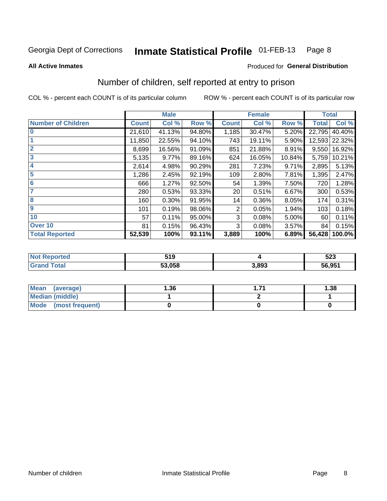#### Inmate Statistical Profile 01-FEB-13 Page 8

**All Active Inmates** 

#### **Produced for General Distribution**

## Number of children, self reported at entry to prison

COL % - percent each COUNT is of its particular column

|                           |              | <b>Male</b> |        |              | <b>Female</b> |        | <b>Total</b> |        |
|---------------------------|--------------|-------------|--------|--------------|---------------|--------|--------------|--------|
| <b>Number of Children</b> | <b>Count</b> | Col %       | Row %  | <b>Count</b> | Col %         | Row %  | <b>Total</b> | Col %  |
| $\bf{0}$                  | 21,610       | 41.13%      | 94.80% | 1,185        | 30.47%        | 5.20%  | 22,795       | 40.40% |
|                           | 11,850       | 22.55%      | 94.10% | 743          | 19.11%        | 5.90%  | 12,593       | 22.32% |
| $\overline{2}$            | 8,699        | 16.56%      | 91.09% | 851          | 21.88%        | 8.91%  | 9,550        | 16.92% |
| 3                         | 5,135        | 9.77%       | 89.16% | 624          | 16.05%        | 10.84% | 5,759        | 10.21% |
| 4                         | 2,614        | 4.98%       | 90.29% | 281          | 7.23%         | 9.71%  | 2,895        | 5.13%  |
| 5                         | 1,286        | 2.45%       | 92.19% | 109          | 2.80%         | 7.81%  | 1,395        | 2.47%  |
| 6                         | 666          | 1.27%       | 92.50% | 54           | 1.39%         | 7.50%  | 720          | 1.28%  |
|                           | 280          | 0.53%       | 93.33% | 20           | 0.51%         | 6.67%  | 300          | 0.53%  |
| 8                         | 160          | 0.30%       | 91.95% | 14           | 0.36%         | 8.05%  | 174          | 0.31%  |
| $\boldsymbol{9}$          | 101          | 0.19%       | 98.06% | 2            | 0.05%         | 1.94%  | 103          | 0.18%  |
| 10                        | 57           | 0.11%       | 95.00% | 3            | 0.08%         | 5.00%  | 60           | 0.11%  |
| Over 10                   | 81           | 0.15%       | 96.43% | 3            | 0.08%         | 3.57%  | 84           | 0.15%  |
| <b>Total Reported</b>     | 52,539       | 100%        | 93.11% | 3,889        | 100%          | 6.89%  | 56,428       | 100.0% |

| 54 N<br><u>v I v</u> |       | にへへ<br>ວ∠ວ<br>- - |
|----------------------|-------|-------------------|
| 53.058               | 3.893 | 56.951            |

| <b>Mean</b><br>(average)       | .36 | 1.38 |  |
|--------------------------------|-----|------|--|
| <b>Median (middle)</b>         |     |      |  |
| <b>Mode</b><br>(most frequent) |     |      |  |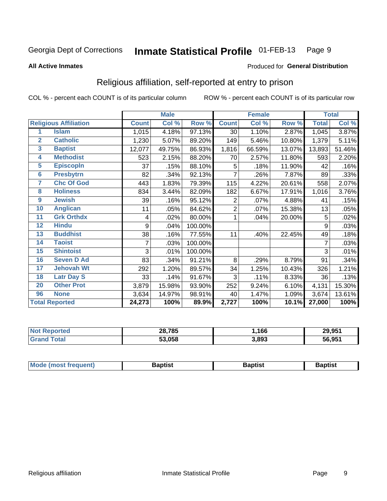#### Inmate Statistical Profile 01-FEB-13 Page 9

#### **All Active Inmates**

#### Produced for General Distribution

## Religious affiliation, self-reported at entry to prison

COL % - percent each COUNT is of its particular column

|                         |                              |              | <b>Male</b> |         |                | <b>Female</b> |        |              | <b>Total</b> |
|-------------------------|------------------------------|--------------|-------------|---------|----------------|---------------|--------|--------------|--------------|
|                         | <b>Religious Affiliation</b> | <b>Count</b> | Col %       | Row %   | <b>Count</b>   | Col %         | Row %  | <b>Total</b> | Col %        |
| 1                       | <b>Islam</b>                 | 1,015        | 4.18%       | 97.13%  | 30             | 1.10%         | 2.87%  | 1,045        | 3.87%        |
| $\overline{2}$          | <b>Catholic</b>              | 1,230        | 5.07%       | 89.20%  | 149            | 5.46%         | 10.80% | 1,379        | 5.11%        |
| $\overline{\mathbf{3}}$ | <b>Baptist</b>               | 12,077       | 49.75%      | 86.93%  | 1,816          | 66.59%        | 13.07% | 13,893       | 51.46%       |
| 4                       | <b>Methodist</b>             | 523          | 2.15%       | 88.20%  | 70             | 2.57%         | 11.80% | 593          | 2.20%        |
| $\overline{5}$          | <b>EpiscopIn</b>             | 37           | .15%        | 88.10%  | 5              | .18%          | 11.90% | 42           | .16%         |
| $6\overline{6}$         | <b>Presbytrn</b>             | 82           | .34%        | 92.13%  | 7              | .26%          | 7.87%  | 89           | .33%         |
| 7                       | <b>Chc Of God</b>            | 443          | 1.83%       | 79.39%  | 115            | 4.22%         | 20.61% | 558          | 2.07%        |
| 8                       | <b>Holiness</b>              | 834          | 3.44%       | 82.09%  | 182            | 6.67%         | 17.91% | 1,016        | 3.76%        |
| $\boldsymbol{9}$        | <b>Jewish</b>                | 39           | .16%        | 95.12%  | 2              | .07%          | 4.88%  | 41           | .15%         |
| 10                      | <b>Anglican</b>              | 11           | .05%        | 84.62%  | $\overline{2}$ | .07%          | 15.38% | 13           | .05%         |
| 11                      | <b>Grk Orthdx</b>            | 4            | .02%        | 80.00%  | 1              | .04%          | 20.00% | 5            | .02%         |
| 12                      | <b>Hindu</b>                 | 9            | .04%        | 100.00% |                |               |        | 9            | .03%         |
| 13                      | <b>Buddhist</b>              | 38           | .16%        | 77.55%  | 11             | .40%          | 22.45% | 49           | .18%         |
| 14                      | <b>Taoist</b>                | 7            | .03%        | 100.00% |                |               |        | 7            | .03%         |
| 15                      | <b>Shintoist</b>             | 3            | .01%        | 100.00% |                |               |        | 3            | .01%         |
| 16                      | <b>Seven D Ad</b>            | 83           | .34%        | 91.21%  | 8              | .29%          | 8.79%  | 91           | .34%         |
| 17                      | <b>Jehovah Wt</b>            | 292          | 1.20%       | 89.57%  | 34             | 1.25%         | 10.43% | 326          | 1.21%        |
| 18                      | <b>Latr Day S</b>            | 33           | .14%        | 91.67%  | 3              | .11%          | 8.33%  | 36           | .13%         |
| 20                      | <b>Other Prot</b>            | 3,879        | 15.98%      | 93.90%  | 252            | 9.24%         | 6.10%  | 4,131        | 15.30%       |
| 96                      | <b>None</b>                  | 3,634        | 14.97%      | 98.91%  | 40             | 1.47%         | 1.09%  | 3,674        | 13.61%       |
|                         | <b>Total Reported</b>        | 24,273       | 100%        | 89.9%   | 2,727          | 100%          | 10.1%  | 27,000       | 100%         |

| 28,785<br>ം പ | ,166  | 29,951 |
|---------------|-------|--------|
| 53.058        | 3,893 | 56,951 |

| Mode (most frequent) | <b>3aptist</b> | 3aptist | <b>Baptist</b> |
|----------------------|----------------|---------|----------------|
|                      |                |         |                |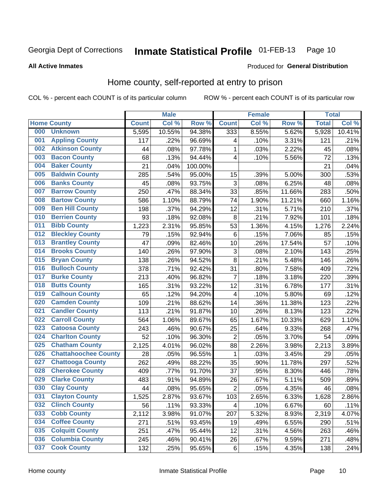#### Inmate Statistical Profile 01-FEB-13 Page 10

**All Active Inmates** 

#### Produced for General Distribution

### Home county, self-reported at entry to prison

COL % - percent each COUNT is of its particular column

|     |                             |              | <b>Male</b> |                  |                | <b>Female</b> |        | <b>Total</b> |        |
|-----|-----------------------------|--------------|-------------|------------------|----------------|---------------|--------|--------------|--------|
|     | <b>Home County</b>          | <b>Count</b> | Col %       | Row <sup>%</sup> | <b>Count</b>   | Col %         | Row %  | <b>Total</b> | Col %  |
| 000 | <b>Unknown</b>              | 5,595        | 10.55%      | 94.38%           | 333            | 8.55%         | 5.62%  | 5,928        | 10.41% |
| 001 | <b>Appling County</b>       | 117          | .22%        | 96.69%           | 4              | .10%          | 3.31%  | 121          | .21%   |
| 002 | <b>Atkinson County</b>      | 44           | .08%        | 97.78%           | 1              | .03%          | 2.22%  | 45           | .08%   |
| 003 | <b>Bacon County</b>         | 68           | .13%        | 94.44%           | 4              | .10%          | 5.56%  | 72           | .13%   |
| 004 | <b>Baker County</b>         | 21           | .04%        | 100.00%          |                |               |        | 21           | .04%   |
| 005 | <b>Baldwin County</b>       | 285          | .54%        | 95.00%           | 15             | .39%          | 5.00%  | 300          | .53%   |
| 006 | <b>Banks County</b>         | 45           | .08%        | 93.75%           | 3              | .08%          | 6.25%  | 48           | .08%   |
| 007 | <b>Barrow County</b>        | 250          | .47%        | 88.34%           | 33             | .85%          | 11.66% | 283          | .50%   |
| 008 | <b>Bartow County</b>        | 586          | 1.10%       | 88.79%           | 74             | 1.90%         | 11.21% | 660          | 1.16%  |
| 009 | <b>Ben Hill County</b>      | 198          | .37%        | 94.29%           | 12             | .31%          | 5.71%  | 210          | .37%   |
| 010 | <b>Berrien County</b>       | 93           | .18%        | 92.08%           | 8              | .21%          | 7.92%  | 101          | .18%   |
| 011 | <b>Bibb County</b>          | 1,223        | 2.31%       | 95.85%           | 53             | 1.36%         | 4.15%  | 1,276        | 2.24%  |
| 012 | <b>Bleckley County</b>      | 79           | .15%        | 92.94%           | $\,6$          | .15%          | 7.06%  | 85           | .15%   |
| 013 | <b>Brantley County</b>      | 47           | .09%        | 82.46%           | 10             | .26%          | 17.54% | 57           | .10%   |
| 014 | <b>Brooks County</b>        | 140          | .26%        | 97.90%           | 3              | .08%          | 2.10%  | 143          | .25%   |
| 015 | <b>Bryan County</b>         | 138          | .26%        | 94.52%           | 8              | .21%          | 5.48%  | 146          | .26%   |
| 016 | <b>Bulloch County</b>       | 378          | .71%        | 92.42%           | 31             | .80%          | 7.58%  | 409          | .72%   |
| 017 | <b>Burke County</b>         | 213          | .40%        | 96.82%           | $\overline{7}$ | .18%          | 3.18%  | 220          | .39%   |
| 018 | <b>Butts County</b>         | 165          | .31%        | 93.22%           | 12             | .31%          | 6.78%  | 177          | .31%   |
| 019 | <b>Calhoun County</b>       | 65           | .12%        | 94.20%           | 4              | .10%          | 5.80%  | 69           | .12%   |
| 020 | <b>Camden County</b>        | 109          | .21%        | 88.62%           | 14             | .36%          | 11.38% | 123          | .22%   |
| 021 | <b>Candler County</b>       | 113          | .21%        | 91.87%           | 10             | .26%          | 8.13%  | 123          | .22%   |
| 022 | <b>Carroll County</b>       | 564          | 1.06%       | 89.67%           | 65             | 1.67%         | 10.33% | 629          | 1.10%  |
| 023 | <b>Catoosa County</b>       | 243          | .46%        | 90.67%           | 25             | .64%          | 9.33%  | 268          | .47%   |
| 024 | <b>Charlton County</b>      | 52           | .10%        | 96.30%           | $\overline{c}$ | .05%          | 3.70%  | 54           | .09%   |
| 025 | <b>Chatham County</b>       | 2,125        | 4.01%       | 96.02%           | 88             | 2.26%         | 3.98%  | 2,213        | 3.89%  |
| 026 | <b>Chattahoochee County</b> | 28           | .05%        | 96.55%           | 1              | .03%          | 3.45%  | 29           | .05%   |
| 027 | <b>Chattooga County</b>     | 262          | .49%        | 88.22%           | 35             | .90%          | 11.78% | 297          | .52%   |
| 028 | <b>Cherokee County</b>      | 409          | .77%        | 91.70%           | 37             | .95%          | 8.30%  | 446          | .78%   |
| 029 | <b>Clarke County</b>        | 483          | .91%        | 94.89%           | 26             | .67%          | 5.11%  | 509          | .89%   |
| 030 | <b>Clay County</b>          | 44           | .08%        | 95.65%           | $\overline{2}$ | .05%          | 4.35%  | 46           | .08%   |
| 031 | <b>Clayton County</b>       | 1,525        | 2.87%       | 93.67%           | 103            | 2.65%         | 6.33%  | 1,628        | 2.86%  |
| 032 | <b>Clinch County</b>        | 56           | .11%        | 93.33%           | 4              | .10%          | 6.67%  | 60           | .11%   |
| 033 | <b>Cobb County</b>          | 2,112        | 3.98%       | 91.07%           | 207            | 5.32%         | 8.93%  | 2,319        | 4.07%  |
| 034 | <b>Coffee County</b>        | 271          | .51%        | 93.45%           | 19             | .49%          | 6.55%  | 290          | .51%   |
| 035 | <b>Colquitt County</b>      | 251          | .47%        | 95.44%           | 12             | .31%          | 4.56%  | 263          | .46%   |
| 036 | <b>Columbia County</b>      | 245          | .46%        | 90.41%           | 26             | .67%          | 9.59%  | 271          | .48%   |
| 037 | <b>Cook County</b>          | 132          | .25%        | 95.65%           | $\,6$          | .15%          | 4.35%  | 138          | .24%   |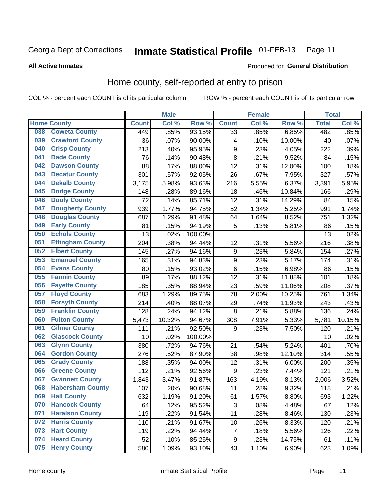#### Inmate Statistical Profile 01-FEB-13 Page 11

**All Active Inmates** 

#### Produced for General Distribution

### Home county, self-reported at entry to prison

COL % - percent each COUNT is of its particular column

|     |                         |              | <b>Male</b> |         |                  | <b>Female</b> |        | <b>Total</b> |        |
|-----|-------------------------|--------------|-------------|---------|------------------|---------------|--------|--------------|--------|
|     | <b>Home County</b>      | <b>Count</b> | Col %       | Row %   | <b>Count</b>     | Col %         | Row %  | <b>Total</b> | Col %  |
| 038 | <b>Coweta County</b>    | 449          | .85%        | 93.15%  | $\overline{33}$  | .85%          | 6.85%  | 482          | .85%   |
| 039 | <b>Crawford County</b>  | 36           | .07%        | 90.00%  | 4                | .10%          | 10.00% | 40           | .07%   |
| 040 | <b>Crisp County</b>     | 213          | .40%        | 95.95%  | $\boldsymbol{9}$ | .23%          | 4.05%  | 222          | .39%   |
| 041 | <b>Dade County</b>      | 76           | .14%        | 90.48%  | 8                | .21%          | 9.52%  | 84           | .15%   |
| 042 | <b>Dawson County</b>    | 88           | .17%        | 88.00%  | 12               | .31%          | 12.00% | 100          | .18%   |
| 043 | <b>Decatur County</b>   | 301          | .57%        | 92.05%  | 26               | .67%          | 7.95%  | 327          | .57%   |
| 044 | <b>Dekalb County</b>    | 3,175        | 5.98%       | 93.63%  | 216              | 5.55%         | 6.37%  | 3,391        | 5.95%  |
| 045 | <b>Dodge County</b>     | 148          | .28%        | 89.16%  | 18               | .46%          | 10.84% | 166          | .29%   |
| 046 | <b>Dooly County</b>     | 72           | .14%        | 85.71%  | 12               | .31%          | 14.29% | 84           | .15%   |
| 047 | <b>Dougherty County</b> | 939          | 1.77%       | 94.75%  | 52               | 1.34%         | 5.25%  | 991          | 1.74%  |
| 048 | <b>Douglas County</b>   | 687          | 1.29%       | 91.48%  | 64               | 1.64%         | 8.52%  | 751          | 1.32%  |
| 049 | <b>Early County</b>     | 81           | .15%        | 94.19%  | 5                | .13%          | 5.81%  | 86           | .15%   |
| 050 | <b>Echols County</b>    | 13           | .02%        | 100.00% |                  |               |        | 13           | .02%   |
| 051 | <b>Effingham County</b> | 204          | .38%        | 94.44%  | 12               | .31%          | 5.56%  | 216          | .38%   |
| 052 | <b>Elbert County</b>    | 145          | .27%        | 94.16%  | $\boldsymbol{9}$ | .23%          | 5.84%  | 154          | .27%   |
| 053 | <b>Emanuel County</b>   | 165          | .31%        | 94.83%  | $\boldsymbol{9}$ | .23%          | 5.17%  | 174          | .31%   |
| 054 | <b>Evans County</b>     | 80           | .15%        | 93.02%  | $\,6$            | .15%          | 6.98%  | 86           | .15%   |
| 055 | <b>Fannin County</b>    | 89           | .17%        | 88.12%  | 12               | .31%          | 11.88% | 101          | .18%   |
| 056 | <b>Fayette County</b>   | 185          | .35%        | 88.94%  | 23               | .59%          | 11.06% | 208          | .37%   |
| 057 | <b>Floyd County</b>     | 683          | 1.29%       | 89.75%  | 78               | 2.00%         | 10.25% | 761          | 1.34%  |
| 058 | <b>Forsyth County</b>   | 214          | .40%        | 88.07%  | 29               | .74%          | 11.93% | 243          | .43%   |
| 059 | <b>Franklin County</b>  | 128          | .24%        | 94.12%  | 8                | .21%          | 5.88%  | 136          | .24%   |
| 060 | <b>Fulton County</b>    | 5,473        | 10.32%      | 94.67%  | 308              | 7.91%         | 5.33%  | 5,781        | 10.15% |
| 061 | <b>Gilmer County</b>    | 111          | .21%        | 92.50%  | 9                | .23%          | 7.50%  | 120          | .21%   |
| 062 | <b>Glascock County</b>  | 10           | .02%        | 100.00% |                  |               |        | 10           | .02%   |
| 063 | <b>Glynn County</b>     | 380          | .72%        | 94.76%  | 21               | .54%          | 5.24%  | 401          | .70%   |
| 064 | <b>Gordon County</b>    | 276          | .52%        | 87.90%  | 38               | .98%          | 12.10% | 314          | .55%   |
| 065 | <b>Grady County</b>     | 188          | .35%        | 94.00%  | 12               | .31%          | 6.00%  | 200          | .35%   |
| 066 | <b>Greene County</b>    | 112          | .21%        | 92.56%  | $\boldsymbol{9}$ | .23%          | 7.44%  | 121          | .21%   |
| 067 | <b>Gwinnett County</b>  | 1,843        | 3.47%       | 91.87%  | 163              | 4.19%         | 8.13%  | 2,006        | 3.52%  |
| 068 | <b>Habersham County</b> | 107          | .20%        | 90.68%  | 11               | .28%          | 9.32%  | 118          | .21%   |
| 069 | <b>Hall County</b>      | 632          | 1.19%       | 91.20%  | 61               | 1.57%         | 8.80%  | 693          | 1.22%  |
| 070 | <b>Hancock County</b>   | 64           | .12%        | 95.52%  | 3                | .08%          | 4.48%  | 67           | .12%   |
| 071 | <b>Haralson County</b>  | 119          | .22%        | 91.54%  | 11               | .28%          | 8.46%  | 130          | .23%   |
| 072 | <b>Harris County</b>    | 110          | .21%        | 91.67%  | 10               | .26%          | 8.33%  | 120          | .21%   |
| 073 | <b>Hart County</b>      | 119          | .22%        | 94.44%  | $\overline{7}$   | .18%          | 5.56%  | 126          | .22%   |
| 074 | <b>Heard County</b>     | 52           | .10%        | 85.25%  | $\boldsymbol{9}$ | .23%          | 14.75% | 61           | .11%   |
| 075 | <b>Henry County</b>     | 580          | 1.09%       | 93.10%  | 43               | 1.10%         | 6.90%  | 623          | 1.09%  |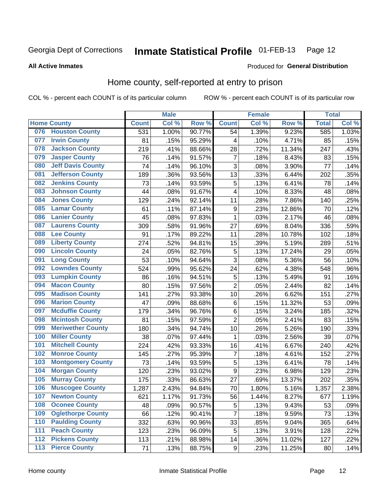#### Inmate Statistical Profile 01-FEB-13 Page 12

**All Active Inmates** 

#### Produced for General Distribution

### Home county, self-reported at entry to prison

COL % - percent each COUNT is of its particular column

|     |                          |              | <b>Male</b> |                  |                         | <b>Female</b> |        | <b>Total</b> |       |
|-----|--------------------------|--------------|-------------|------------------|-------------------------|---------------|--------|--------------|-------|
|     | <b>Home County</b>       | <b>Count</b> | Col %       | Row <sup>%</sup> | <b>Count</b>            | Col %         | Row %  | <b>Total</b> | Col % |
| 076 | <b>Houston County</b>    | 531          | 1.00%       | 90.77%           | 54                      | 1.39%         | 9.23%  | 585          | 1.03% |
| 077 | <b>Irwin County</b>      | 81           | .15%        | 95.29%           | 4                       | .10%          | 4.71%  | 85           | .15%  |
| 078 | <b>Jackson County</b>    | 219          | .41%        | 88.66%           | 28                      | .72%          | 11.34% | 247          | .43%  |
| 079 | <b>Jasper County</b>     | 76           | .14%        | 91.57%           | $\overline{7}$          | .18%          | 8.43%  | 83           | .15%  |
| 080 | <b>Jeff Davis County</b> | 74           | .14%        | 96.10%           | 3                       | .08%          | 3.90%  | 77           | .14%  |
| 081 | <b>Jefferson County</b>  | 189          | .36%        | 93.56%           | 13                      | .33%          | 6.44%  | 202          | .35%  |
| 082 | <b>Jenkins County</b>    | 73           | .14%        | 93.59%           | 5                       | .13%          | 6.41%  | 78           | .14%  |
| 083 | <b>Johnson County</b>    | 44           | .08%        | 91.67%           | $\overline{\mathbf{4}}$ | .10%          | 8.33%  | 48           | .08%  |
| 084 | <b>Jones County</b>      | 129          | .24%        | 92.14%           | 11                      | .28%          | 7.86%  | 140          | .25%  |
| 085 | <b>Lamar County</b>      | 61           | .11%        | 87.14%           | $\boldsymbol{9}$        | .23%          | 12.86% | 70           | .12%  |
| 086 | <b>Lanier County</b>     | 45           | .08%        | 97.83%           | 1                       | .03%          | 2.17%  | 46           | .08%  |
| 087 | <b>Laurens County</b>    | 309          | .58%        | 91.96%           | 27                      | .69%          | 8.04%  | 336          | .59%  |
| 088 | <b>Lee County</b>        | 91           | .17%        | 89.22%           | 11                      | .28%          | 10.78% | 102          | .18%  |
| 089 | <b>Liberty County</b>    | 274          | .52%        | 94.81%           | 15                      | .39%          | 5.19%  | 289          | .51%  |
| 090 | <b>Lincoln County</b>    | 24           | .05%        | 82.76%           | 5                       | .13%          | 17.24% | 29           | .05%  |
| 091 | <b>Long County</b>       | 53           | .10%        | 94.64%           | 3                       | .08%          | 5.36%  | 56           | .10%  |
| 092 | <b>Lowndes County</b>    | 524          | .99%        | 95.62%           | 24                      | .62%          | 4.38%  | 548          | .96%  |
| 093 | <b>Lumpkin County</b>    | 86           | .16%        | 94.51%           | 5                       | .13%          | 5.49%  | 91           | .16%  |
| 094 | <b>Macon County</b>      | 80           | .15%        | 97.56%           | $\overline{2}$          | .05%          | 2.44%  | 82           | .14%  |
| 095 | <b>Madison County</b>    | 141          | .27%        | 93.38%           | 10                      | .26%          | 6.62%  | 151          | .27%  |
| 096 | <b>Marion County</b>     | 47           | .09%        | 88.68%           | 6                       | .15%          | 11.32% | 53           | .09%  |
| 097 | <b>Mcduffie County</b>   | 179          | .34%        | 96.76%           | 6                       | .15%          | 3.24%  | 185          | .32%  |
| 098 | <b>Mcintosh County</b>   | 81           | .15%        | 97.59%           | $\overline{2}$          | .05%          | 2.41%  | 83           | .15%  |
| 099 | <b>Meriwether County</b> | 180          | .34%        | 94.74%           | 10                      | .26%          | 5.26%  | 190          | .33%  |
| 100 | <b>Miller County</b>     | 38           | .07%        | 97.44%           | 1                       | .03%          | 2.56%  | 39           | .07%  |
| 101 | <b>Mitchell County</b>   | 224          | .42%        | 93.33%           | 16                      | .41%          | 6.67%  | 240          | .42%  |
| 102 | <b>Monroe County</b>     | 145          | .27%        | 95.39%           | $\overline{7}$          | .18%          | 4.61%  | 152          | .27%  |
| 103 | <b>Montgomery County</b> | 73           | .14%        | 93.59%           | 5                       | .13%          | 6.41%  | 78           | .14%  |
| 104 | <b>Morgan County</b>     | 120          | .23%        | 93.02%           | 9                       | .23%          | 6.98%  | 129          | .23%  |
| 105 | <b>Murray County</b>     | 175          | .33%        | 86.63%           | 27                      | .69%          | 13.37% | 202          | .35%  |
| 106 | <b>Muscogee County</b>   | 1,287        | 2.43%       | 94.84%           | 70                      | 1.80%         | 5.16%  | 1,357        | 2.38% |
| 107 | <b>Newton County</b>     | 621          | 1.17%       | 91.73%           | 56                      | 1.44%         | 8.27%  | 677          | 1.19% |
| 108 | <b>Oconee County</b>     | 48           | .09%        | 90.57%           | 5                       | .13%          | 9.43%  | 53           | .09%  |
| 109 | <b>Oglethorpe County</b> | 66           | .12%        | 90.41%           | 7                       | .18%          | 9.59%  | 73           | .13%  |
| 110 | <b>Paulding County</b>   | 332          | .63%        | 90.96%           | 33                      | .85%          | 9.04%  | 365          | .64%  |
| 111 | <b>Peach County</b>      | 123          | .23%        | 96.09%           | 5                       | .13%          | 3.91%  | 128          | .22%  |
| 112 | <b>Pickens County</b>    | 113          | .21%        | 88.98%           | 14                      | .36%          | 11.02% | 127          | .22%  |
| 113 | <b>Pierce County</b>     | 71           | .13%        | 88.75%           | $\boldsymbol{9}$        | .23%          | 11.25% | 80           | .14%  |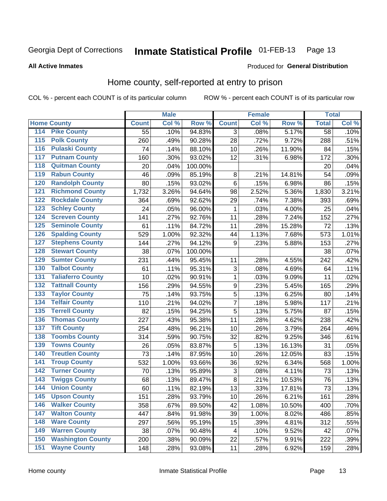#### Inmate Statistical Profile 01-FEB-13 Page 13

#### **All Active Inmates**

#### Produced for General Distribution

### Home county, self-reported at entry to prison

COL % - percent each COUNT is of its particular column

|                  |                          |              | <b>Male</b> |         |                         | <b>Female</b> |        | <b>Total</b>    |       |
|------------------|--------------------------|--------------|-------------|---------|-------------------------|---------------|--------|-----------------|-------|
|                  | <b>Home County</b>       | <b>Count</b> | Col %       | Row %   | <b>Count</b>            | Col %         | Row %  | <b>Total</b>    | Col % |
| 114              | <b>Pike County</b>       | 55           | .10%        | 94.83%  | 3                       | .08%          | 5.17%  | $\overline{58}$ | .10%  |
| $\overline{115}$ | <b>Polk County</b>       | 260          | .49%        | 90.28%  | 28                      | .72%          | 9.72%  | 288             | .51%  |
| 116              | <b>Pulaski County</b>    | 74           | .14%        | 88.10%  | 10                      | .26%          | 11.90% | 84              | .15%  |
| 117              | <b>Putnam County</b>     | 160          | .30%        | 93.02%  | 12                      | .31%          | 6.98%  | 172             | .30%  |
| 118              | <b>Quitman County</b>    | 20           | .04%        | 100.00% |                         |               |        | 20              | .04%  |
| 119              | <b>Rabun County</b>      | 46           | .09%        | 85.19%  | $\bf 8$                 | .21%          | 14.81% | 54              | .09%  |
| 120              | <b>Randolph County</b>   | 80           | .15%        | 93.02%  | $\,6$                   | .15%          | 6.98%  | 86              | .15%  |
| 121              | <b>Richmond County</b>   | 1,732        | 3.26%       | 94.64%  | 98                      | 2.52%         | 5.36%  | 1,830           | 3.21% |
| 122              | <b>Rockdale County</b>   | 364          | .69%        | 92.62%  | 29                      | .74%          | 7.38%  | 393             | .69%  |
| 123              | <b>Schley County</b>     | 24           | .05%        | 96.00%  | 1                       | .03%          | 4.00%  | 25              | .04%  |
| 124              | <b>Screven County</b>    | 141          | .27%        | 92.76%  | 11                      | .28%          | 7.24%  | 152             | .27%  |
| 125              | <b>Seminole County</b>   | 61           | .11%        | 84.72%  | 11                      | .28%          | 15.28% | 72              | .13%  |
| 126              | <b>Spalding County</b>   | 529          | 1.00%       | 92.32%  | 44                      | 1.13%         | 7.68%  | 573             | 1.01% |
| 127              | <b>Stephens County</b>   | 144          | .27%        | 94.12%  | 9                       | .23%          | 5.88%  | 153             | .27%  |
| 128              | <b>Stewart County</b>    | 38           | .07%        | 100.00% |                         |               |        | 38              | .07%  |
| 129              | <b>Sumter County</b>     | 231          | .44%        | 95.45%  | 11                      | .28%          | 4.55%  | 242             | .42%  |
| 130              | <b>Talbot County</b>     | 61           | .11%        | 95.31%  | 3                       | .08%          | 4.69%  | 64              | .11%  |
| 131              | <b>Taliaferro County</b> | 10           | .02%        | 90.91%  | $\mathbf{1}$            | .03%          | 9.09%  | 11              | .02%  |
| 132              | <b>Tattnall County</b>   | 156          | .29%        | 94.55%  | $\boldsymbol{9}$        | .23%          | 5.45%  | 165             | .29%  |
| 133              | <b>Taylor County</b>     | 75           | .14%        | 93.75%  | 5                       | .13%          | 6.25%  | 80              | .14%  |
| 134              | <b>Telfair County</b>    | 110          | .21%        | 94.02%  | $\overline{\mathbf{7}}$ | .18%          | 5.98%  | 117             | .21%  |
| 135              | <b>Terrell County</b>    | 82           | .15%        | 94.25%  | 5                       | .13%          | 5.75%  | 87              | .15%  |
| 136              | <b>Thomas County</b>     | 227          | .43%        | 95.38%  | 11                      | .28%          | 4.62%  | 238             | .42%  |
| 137              | <b>Tift County</b>       | 254          | .48%        | 96.21%  | 10                      | .26%          | 3.79%  | 264             | .46%  |
| 138              | <b>Toombs County</b>     | 314          | .59%        | 90.75%  | 32                      | .82%          | 9.25%  | 346             | .61%  |
| 139              | <b>Towns County</b>      | 26           | .05%        | 83.87%  | 5                       | .13%          | 16.13% | 31              | .05%  |
| 140              | <b>Treutlen County</b>   | 73           | .14%        | 87.95%  | 10                      | .26%          | 12.05% | 83              | .15%  |
| 141              | <b>Troup County</b>      | 532          | 1.00%       | 93.66%  | 36                      | .92%          | 6.34%  | 568             | 1.00% |
| $\overline{142}$ | <b>Turner County</b>     | 70           | .13%        | 95.89%  | 3                       | .08%          | 4.11%  | 73              | .13%  |
| 143              | <b>Twiggs County</b>     | 68           | .13%        | 89.47%  | $\bf 8$                 | .21%          | 10.53% | 76              | .13%  |
| 144              | <b>Union County</b>      | 60           | .11%        | 82.19%  | 13                      | .33%          | 17.81% | 73              | .13%  |
| 145              | <b>Upson County</b>      | 151          | .28%        | 93.79%  | 10                      | .26%          | 6.21%  | 161             | .28%  |
| 146              | <b>Walker County</b>     | 358          | .67%        | 89.50%  | 42                      | 1.08%         | 10.50% | 400             | .70%  |
| 147              | <b>Walton County</b>     | 447          | .84%        | 91.98%  | 39                      | 1.00%         | 8.02%  | 486             | .85%  |
| 148              | <b>Ware County</b>       | 297          | .56%        | 95.19%  | 15                      | .39%          | 4.81%  | 312             | .55%  |
| 149              | <b>Warren County</b>     | 38           | .07%        | 90.48%  | 4                       | .10%          | 9.52%  | 42              | .07%  |
| 150              | <b>Washington County</b> | 200          | .38%        | 90.09%  | 22                      | .57%          | 9.91%  | 222             | .39%  |
| 151              | <b>Wayne County</b>      | 148          | .28%        | 93.08%  | 11                      | .28%          | 6.92%  | 159             | .28%  |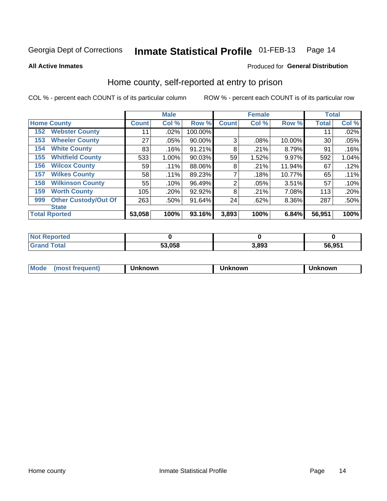#### Inmate Statistical Profile 01-FEB-13 Page 14

**All Active Inmates** 

#### Produced for General Distribution

## Home county, self-reported at entry to prison

COL % - percent each COUNT is of its particular column

|     |                             |              | <b>Male</b> |         |              | <b>Female</b> |          | <b>Total</b> |       |
|-----|-----------------------------|--------------|-------------|---------|--------------|---------------|----------|--------------|-------|
|     | <b>Home County</b>          | <b>Count</b> | Col %       | Row %   | <b>Count</b> | Col %         | Row %    | <b>Total</b> | Col % |
| 152 | <b>Webster County</b>       | 11           | .02%        | 100.00% |              |               |          | 11           | .02%  |
| 153 | <b>Wheeler County</b>       | 27           | .05%        | 90.00%  | 3            | .08%          | 10.00%   | 30           | .05%  |
| 154 | <b>White County</b>         | 83           | .16%        | 91.21%  | 8            | .21%          | 8.79%    | 91           | .16%  |
| 155 | <b>Whitfield County</b>     | 533          | 1.00%       | 90.03%  | 59           | 1.52%         | 9.97%    | 592          | 1.04% |
| 156 | <b>Wilcox County</b>        | 59           | .11%        | 88.06%  | 8            | .21%          | 11.94%   | 67           | .12%  |
| 157 | <b>Wilkes County</b>        | 58           | .11%        | 89.23%  | 7            | .18%          | 10.77%   | 65           | .11%  |
| 158 | <b>Wilkinson County</b>     | 55           | .10%        | 96.49%  | 2            | .05%          | 3.51%    | 57           | .10%  |
| 159 | <b>Worth County</b>         | 105          | .20%        | 92.92%  | 8            | .21%          | 7.08%    | 113          | .20%  |
| 999 | <b>Other Custody/Out Of</b> | 263          | .50%        | 91.64%  | 24           | .62%          | $8.36\%$ | 287          | .50%  |
|     | <b>State</b>                |              |             |         |              |               |          |              |       |
|     | <b>Total Rported</b>        | 53,058       | 100%        | 93.16%  | 3,893        | 100%          | 6.84%    | 56,951       | 100%  |

| NO<br>τeα |        |       |        |
|-----------|--------|-------|--------|
|           | 53.058 | 3,893 | 56.951 |

| Mode<br><b>Tequent)</b><br>ns | nown | mown | เทown |
|-------------------------------|------|------|-------|
|                               |      |      |       |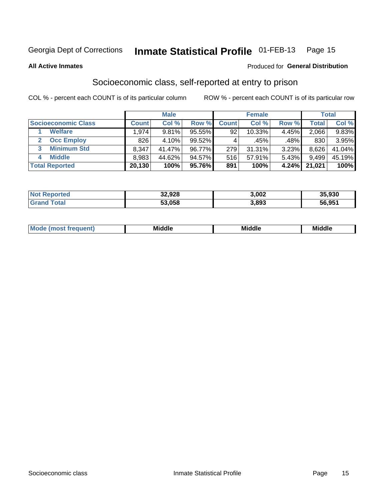#### Inmate Statistical Profile 01-FEB-13 Page 15

**All Active Inmates** 

#### **Produced for General Distribution**

## Socioeconomic class, self-reported at entry to prison

COL % - percent each COUNT is of its particular column

|                       |                                    | <b>Male</b> |           |              | <b>Female</b> |          |        | <b>Total</b> |
|-----------------------|------------------------------------|-------------|-----------|--------------|---------------|----------|--------|--------------|
| Socioeconomic Class   | <b>Count</b> l                     | Col %       | Row %     | <b>Count</b> | Col %         | Row %    | Total  | Col %        |
| <b>Welfare</b>        | $,974$ <sup><math>\pm</math></sup> | 9.81%       | $95.55\%$ | 92           | 10.33%        | 4.45%    | 2,066  | 9.83%        |
| <b>Occ Employ</b>     | 826                                | 4.10%       | 99.52%    | 4            | .45%          | .48%     | 830    | 3.95%        |
| <b>Minimum Std</b>    | 8,347                              | 41.47%      | 96.77%    | 279          | 31.31%        | 3.23%    | 8,626  | 41.04%       |
| <b>Middle</b><br>4    | 8,983                              | 44.62%      | 94.57%    | 516          | 57.91%        | 5.43%    | 9,499  | 45.19%       |
| <b>Total Reported</b> | 20,130                             | 100%        | 95.76%    | 891          | 100%          | $4.24\%$ | 21,021 | 100%         |

| orted | 32,928 | 3,002 | 35,930 |
|-------|--------|-------|--------|
| Fotol | 53,058 | 3,893 | 56,951 |

| ____<br>_____<br>____ |
|-----------------------|
|-----------------------|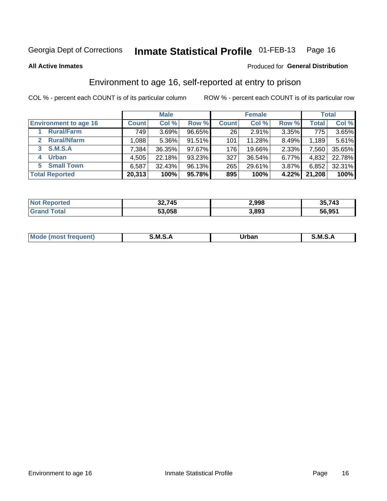## Inmate Statistical Profile 01-FEB-13 Page 16

**All Active Inmates** 

#### Produced for General Distribution

## Environment to age 16, self-reported at entry to prison

COL % - percent each COUNT is of its particular column

|                                    |              | <b>Male</b> |        |              | <b>Female</b> |       |              | <b>Total</b> |
|------------------------------------|--------------|-------------|--------|--------------|---------------|-------|--------------|--------------|
| <b>Environment to age 16</b>       | <b>Count</b> | Col %       | Row %  | <b>Count</b> | Col %         | Row % | <b>Total</b> | Col %        |
| <b>Rural/Farm</b>                  | 749          | 3.69%       | 96.65% | 26           | 2.91%         | 3.35% | 775          | 3.65%        |
| <b>Rural/Nfarm</b><br>$\mathbf{2}$ | 1,088        | $5.36\%$    | 91.51% | 101          | 11.28%        | 8.49% | 1,189        | 5.61%        |
| S.M.S.A<br>3                       | 7,384        | 36.35%      | 97.67% | 176          | 19.66%        | 2.33% | 7,560        | 35.65%       |
| <b>Urban</b><br>4                  | 4,505        | 22.18%      | 93.23% | 327          | 36.54%        | 6.77% | 4,832        | 22.78%       |
| <b>Small Town</b><br>5.            | 6,587        | 32.43%      | 96.13% | 265          | 29.61%        | 3.87% | 6,852        | 32.31%       |
| <b>Total Reported</b>              | 20,313       | 100%        | 95.78% | 895          | 100%          | 4.22% | 21,208       | 100%         |

| <b>Not Reported</b> | 32,745 | 2.998 | 35,743 |
|---------------------|--------|-------|--------|
| <b>Grand Total</b>  | 53,058 | 3,893 | 56,951 |

| Mo | . M S 1 | .<br>_____ | -<br>M |
|----|---------|------------|--------|
|    |         |            |        |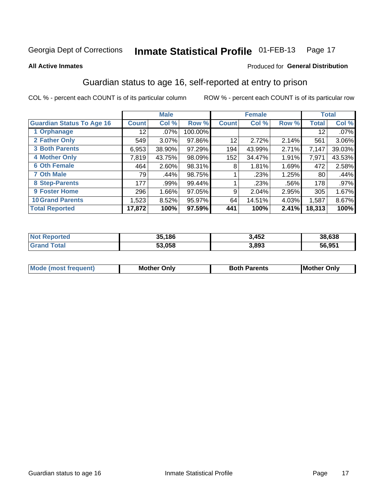#### Inmate Statistical Profile 01-FEB-13 Page 17

#### **All Active Inmates**

#### Produced for General Distribution

## Guardian status to age 16, self-reported at entry to prison

COL % - percent each COUNT is of its particular column

|                                  |              | <b>Male</b> |           |              | <b>Female</b> |         |        | <b>Total</b> |
|----------------------------------|--------------|-------------|-----------|--------------|---------------|---------|--------|--------------|
| <b>Guardian Status To Age 16</b> | <b>Count</b> | Col %       | Row %     | <b>Count</b> | Col %         | Row %   | Total  | Col %        |
| 1 Orphanage                      | 12           | $.07\%$     | 100.00%   |              |               |         | 12     | .07%         |
| 2 Father Only                    | 549          | 3.07%       | 97.86%    | 12           | 2.72%         | 2.14%   | 561    | 3.06%        |
| <b>3 Both Parents</b>            | 6,953        | 38.90%      | 97.29%    | 194          | 43.99%        | 2.71%   | 7,147  | 39.03%       |
| <b>4 Mother Only</b>             | 7,819        | 43.75%      | 98.09%    | 152          | 34.47%        | 1.91%   | 7,971  | 43.53%       |
| <b>6 Oth Female</b>              | 464          | 2.60%       | 98.31%    | 8            | 1.81%         | 1.69%   | 472    | 2.58%        |
| <b>7 Oth Male</b>                | 79           | .44%        | 98.75%    |              | .23%          | 1.25%   | 80     | .44%         |
| 8 Step-Parents                   | 177          | .99%        | 99.44%    |              | .23%          | $.56\%$ | 178    | $.97\%$      |
| <b>9 Foster Home</b>             | 296          | 1.66%       | 97.05%    | 9            | 2.04%         | 2.95%   | 305    | 1.67%        |
| <b>10 Grand Parents</b>          | 1,523        | 8.52%       | $95.97\%$ | 64           | 14.51%        | 4.03%   | 1,587  | 8.67%        |
| <b>Total Reported</b>            | 17,872       | 100%        | 97.59%    | 441          | 100%          | 2.41%   | 18,313 | 100%         |

| ortea<br>NOT | 35.186 | 3,452 | 38,638 |
|--------------|--------|-------|--------|
| .Gr          | 53.058 | 3,893 | 56,951 |

| Mode | วทIv<br>Mot | <b>Both Parents</b><br>Parents | lM.<br>Only<br>. |
|------|-------------|--------------------------------|------------------|
|      |             |                                |                  |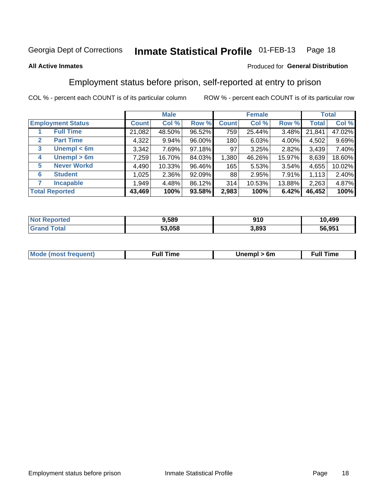#### Inmate Statistical Profile 01-FEB-13 Page 18

#### **All Active Inmates**

#### Produced for General Distribution

## Employment status before prison, self-reported at entry to prison

COL % - percent each COUNT is of its particular column

|                                  |              | <b>Male</b> |        |              | <b>Female</b> |        |        | <b>Total</b> |
|----------------------------------|--------------|-------------|--------|--------------|---------------|--------|--------|--------------|
| <b>Employment Status</b>         | <b>Count</b> | Col %       | Row %  | <b>Count</b> | Col %         | Row %  | Total  | Col %        |
| <b>Full Time</b>                 | 21,082       | 48.50%      | 96.52% | 759          | 25.44%        | 3.48%  | 21,841 | 47.02%       |
| <b>Part Time</b><br>$\mathbf{2}$ | 4,322        | $9.94\%$    | 96.00% | 180          | 6.03%         | 4.00%  | 4,502  | 9.69%        |
| Unempl $<$ 6m<br>3               | 3,342        | 7.69%       | 97.18% | 97           | 3.25%         | 2.82%  | 3,439  | 7.40%        |
| Unempl > 6m<br>4                 | 7,259        | 16.70%      | 84.03% | 1,380        | 46.26%        | 15.97% | 8,639  | 18.60%       |
| <b>Never Workd</b><br>5          | 4,490        | 10.33%      | 96.46% | 165          | 5.53%         | 3.54%  | 4,655  | 10.02%       |
| <b>Student</b><br>6              | 1,025        | $2.36\%$    | 92.09% | 88           | 2.95%         | 7.91%  | 1,113  | 2.40%        |
| <b>Incapable</b>                 | 1,949        | 4.48%       | 86.12% | 314          | 10.53%        | 13.88% | 2,263  | 4.87%        |
| <b>Total Reported</b>            | 43,469       | 100%        | 93.58% | 2,983        | 100%          | 6.42%  | 46,452 | 100%         |

| <b>TEG</b><br>NO | 9,589  | 910   | 10,499             |
|------------------|--------|-------|--------------------|
| T <sub>1</sub>   | 53.058 | 3,893 | 56.95 <sup>4</sup> |

| <b>Mou</b><br>זווניווו<br>$\cdots$ | 6m<br>____ | ∙ull<br>⊺ime<br>the contract of the contract of the contract of the contract of the contract of the contract of the contract of |
|------------------------------------|------------|---------------------------------------------------------------------------------------------------------------------------------|
|                                    |            |                                                                                                                                 |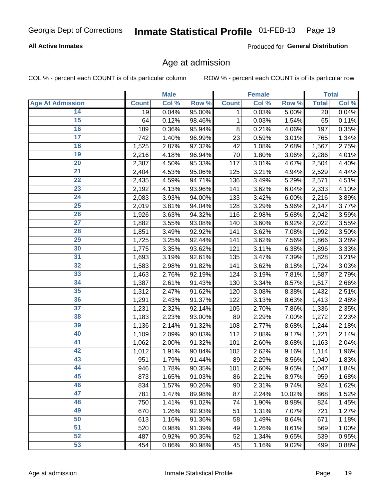#### **All Active Inmates**

Produced for General Distribution

### Age at admission

COL % - percent each COUNT is of its particular column

|                         |              | <b>Male</b> |        |              | <b>Female</b> |        |              | <b>Total</b> |
|-------------------------|--------------|-------------|--------|--------------|---------------|--------|--------------|--------------|
| <b>Age At Admission</b> | <b>Count</b> | Col %       | Row %  | <b>Count</b> | Col %         | Row %  | <b>Total</b> | Col %        |
| 14                      | 19           | 0.04%       | 95.00% | 1            | 0.03%         | 5.00%  | 20           | 0.04%        |
| 15                      | 64           | 0.12%       | 98.46% | 1            | 0.03%         | 1.54%  | 65           | 0.11%        |
| 16                      | 189          | 0.36%       | 95.94% | 8            | 0.21%         | 4.06%  | 197          | 0.35%        |
| $\overline{17}$         | 742          | 1.40%       | 96.99% | 23           | 0.59%         | 3.01%  | 765          | 1.34%        |
| $\overline{18}$         | 1,525        | 2.87%       | 97.32% | 42           | 1.08%         | 2.68%  | 1,567        | 2.75%        |
| 19                      | 2,216        | 4.18%       | 96.94% | 70           | 1.80%         | 3.06%  | 2,286        | 4.01%        |
| 20                      | 2,387        | 4.50%       | 95.33% | 117          | 3.01%         | 4.67%  | 2,504        | 4.40%        |
| $\overline{21}$         | 2,404        | 4.53%       | 95.06% | 125          | 3.21%         | 4.94%  | 2,529        | 4.44%        |
| $\overline{22}$         | 2,435        | 4.59%       | 94.71% | 136          | 3.49%         | 5.29%  | 2,571        | 4.51%        |
| 23                      | 2,192        | 4.13%       | 93.96% | 141          | 3.62%         | 6.04%  | 2,333        | 4.10%        |
| 24                      | 2,083        | 3.93%       | 94.00% | 133          | 3.42%         | 6.00%  | 2,216        | 3.89%        |
| $\overline{25}$         | 2,019        | 3.81%       | 94.04% | 128          | 3.29%         | 5.96%  | 2,147        | 3.77%        |
| $\overline{26}$         | 1,926        | 3.63%       | 94.32% | 116          | 2.98%         | 5.68%  | 2,042        | 3.59%        |
| $\overline{27}$         | 1,882        | 3.55%       | 93.08% | 140          | 3.60%         | 6.92%  | 2,022        | 3.55%        |
| 28                      | 1,851        | 3.49%       | 92.92% | 141          | 3.62%         | 7.08%  | 1,992        | 3.50%        |
| 29                      | 1,725        | 3.25%       | 92.44% | 141          | 3.62%         | 7.56%  | 1,866        | 3.28%        |
| 30                      | 1,775        | 3.35%       | 93.62% | 121          | 3.11%         | 6.38%  | 1,896        | 3.33%        |
| 31                      | 1,693        | 3.19%       | 92.61% | 135          | 3.47%         | 7.39%  | 1,828        | 3.21%        |
| 32                      | 1,583        | 2.98%       | 91.82% | 141          | 3.62%         | 8.18%  | 1,724        | 3.03%        |
| 33                      | 1,463        | 2.76%       | 92.19% | 124          | 3.19%         | 7.81%  | 1,587        | 2.79%        |
| 34                      | 1,387        | 2.61%       | 91.43% | 130          | 3.34%         | 8.57%  | 1,517        | 2.66%        |
| 35                      | 1,312        | 2.47%       | 91.62% | 120          | 3.08%         | 8.38%  | 1,432        | 2.51%        |
| 36                      | 1,291        | 2.43%       | 91.37% | 122          | 3.13%         | 8.63%  | 1,413        | 2.48%        |
| $\overline{37}$         | 1,231        | 2.32%       | 92.14% | 105          | 2.70%         | 7.86%  | 1,336        | 2.35%        |
| 38                      | 1,183        | 2.23%       | 93.00% | 89           | 2.29%         | 7.00%  | 1,272        | 2.23%        |
| 39                      | 1,136        | 2.14%       | 91.32% | 108          | 2.77%         | 8.68%  | 1,244        | 2.18%        |
| 40                      | 1,109        | 2.09%       | 90.83% | 112          | 2.88%         | 9.17%  | 1,221        | 2.14%        |
| 41                      | 1,062        | 2.00%       | 91.32% | 101          | 2.60%         | 8.68%  | 1,163        | 2.04%        |
| 42                      | 1,012        | 1.91%       | 90.84% | 102          | 2.62%         | 9.16%  | 1,114        | 1.96%        |
| 43                      | 951          | 1.79%       | 91.44% | 89           | 2.29%         | 8.56%  | 1,040        | 1.83%        |
| 44                      | 946          | 1.78%       | 90.35% | 101          | 2.60%         | 9.65%  | 1,047        | 1.84%        |
| 45                      | 873          | 1.65%       | 91.03% | 86           | 2.21%         | 8.97%  | 959          | 1.68%        |
| 46                      | 834          | 1.57%       | 90.26% | 90           | 2.31%         | 9.74%  | 924          | 1.62%        |
| 47                      | 781          | 1.47%       | 89.98% | 87           | 2.24%         | 10.02% | 868          | 1.52%        |
| 48                      | 750          | 1.41%       | 91.02% | 74           | 1.90%         | 8.98%  | 824          | 1.45%        |
| 49                      | 670          | 1.26%       | 92.93% | 51           | 1.31%         | 7.07%  | 721          | 1.27%        |
| 50                      | 613          | 1.16%       | 91.36% | 58           | 1.49%         | 8.64%  | 671          | 1.18%        |
| 51                      | 520          | 0.98%       | 91.39% | 49           | 1.26%         | 8.61%  | 569          | 1.00%        |
| 52                      | 487          | 0.92%       | 90.35% | 52           | 1.34%         | 9.65%  | 539          | 0.95%        |
| 53                      | 454          | 0.86%       | 90.98% | 45           | 1.16%         | 9.02%  | 499          | 0.88%        |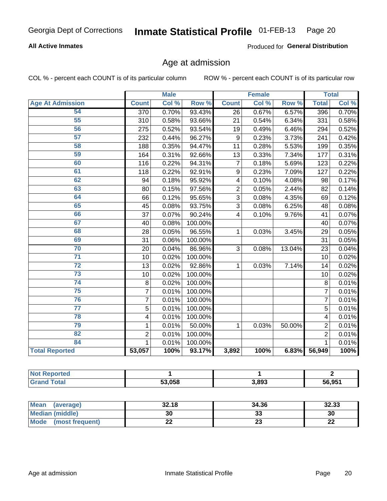#### **All Active Inmates**

Produced for General Distribution

## Age at admission

COL % - percent each COUNT is of its particular column

|                         |                  | <b>Male</b> |         |                | <b>Female</b> |                  |                | <b>Total</b> |
|-------------------------|------------------|-------------|---------|----------------|---------------|------------------|----------------|--------------|
| <b>Age At Admission</b> | <b>Count</b>     | Col %       | Row %   | <b>Count</b>   | Col %         | Row <sup>%</sup> | <b>Total</b>   | Col %        |
| 54                      | $\overline{370}$ | 0.70%       | 93.43%  | 26             | 0.67%         | 6.57%            | 396            | 0.70%        |
| 55                      | 310              | 0.58%       | 93.66%  | 21             | 0.54%         | 6.34%            | 331            | 0.58%        |
| 56                      | 275              | 0.52%       | 93.54%  | 19             | 0.49%         | 6.46%            | 294            | 0.52%        |
| 57                      | 232              | 0.44%       | 96.27%  | 9              | 0.23%         | 3.73%            | 241            | 0.42%        |
| 58                      | 188              | 0.35%       | 94.47%  | 11             | 0.28%         | 5.53%            | 199            | 0.35%        |
| 59                      | 164              | 0.31%       | 92.66%  | 13             | 0.33%         | 7.34%            | 177            | 0.31%        |
| 60                      | 116              | 0.22%       | 94.31%  | $\overline{7}$ | 0.18%         | 5.69%            | 123            | 0.22%        |
| 61                      | 118              | 0.22%       | 92.91%  | 9              | 0.23%         | 7.09%            | 127            | 0.22%        |
| 62                      | 94               | 0.18%       | 95.92%  | 4              | 0.10%         | 4.08%            | 98             | 0.17%        |
| 63                      | 80               | 0.15%       | 97.56%  | $\overline{2}$ | 0.05%         | 2.44%            | 82             | 0.14%        |
| 64                      | 66               | 0.12%       | 95.65%  | 3              | 0.08%         | 4.35%            | 69             | 0.12%        |
| 65                      | 45               | 0.08%       | 93.75%  | 3              | 0.08%         | 6.25%            | 48             | 0.08%        |
| 66                      | 37               | 0.07%       | 90.24%  | 4              | 0.10%         | 9.76%            | 41             | 0.07%        |
| 67                      | 40               | 0.08%       | 100.00% |                |               |                  | 40             | 0.07%        |
| 68                      | 28               | 0.05%       | 96.55%  | 1              | 0.03%         | 3.45%            | 29             | 0.05%        |
| 69                      | 31               | 0.06%       | 100.00% |                |               |                  | 31             | 0.05%        |
| 70                      | 20               | 0.04%       | 86.96%  | 3              | 0.08%         | 13.04%           | 23             | 0.04%        |
| $\overline{71}$         | 10               | 0.02%       | 100.00% |                |               |                  | 10             | 0.02%        |
| $\overline{72}$         | 13               | 0.02%       | 92.86%  | 1              | 0.03%         | 7.14%            | 14             | 0.02%        |
| $\overline{73}$         | 10               | 0.02%       | 100.00% |                |               |                  | 10             | 0.02%        |
| $\overline{74}$         | 8                | 0.02%       | 100.00% |                |               |                  | 8              | 0.01%        |
| 75                      | $\overline{7}$   | 0.01%       | 100.00% |                |               |                  | $\overline{7}$ | 0.01%        |
| 76                      | 7                | 0.01%       | 100.00% |                |               |                  | $\overline{7}$ | 0.01%        |
| $\overline{77}$         | 5                | 0.01%       | 100.00% |                |               |                  | 5              | 0.01%        |
| 78                      | 4                | 0.01%       | 100.00% |                |               |                  | 4              | 0.01%        |
| 79                      | 1                | 0.01%       | 50.00%  | 1              | 0.03%         | 50.00%           | $\overline{2}$ | 0.01%        |
| 82                      | $\overline{2}$   | 0.01%       | 100.00% |                |               |                  | $\overline{2}$ | 0.01%        |
| 84                      | 1                | 0.01%       | 100.00% |                |               |                  | $\mathbf{1}$   | 0.01%        |
| <b>Total Reported</b>   | 53,057           | 100%        | 93.17%  | 3,892          | 100%          | 6.83%            | 56,949         | 100%         |

| <b>rteo</b><br>'N ( |        |       |        |
|---------------------|--------|-------|--------|
| <b>otal</b>         | 53,058 | 3,893 | 56,951 |

| <b>Mean</b><br>(average) | 32.18 | 34.36    | 32.33     |
|--------------------------|-------|----------|-----------|
| Median (middle)          | 30    | ົ<br>აა  | 30        |
| Mode<br>(most frequent)  | ∸∸    | ^^<br>25 | ne.<br>LL |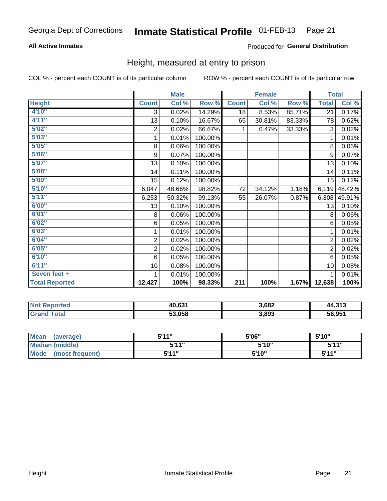#### **All Active Inmates**

#### Produced for General Distribution

### Height, measured at entry to prison

COL % - percent each COUNT is of its particular column

|                       |                 | <b>Male</b> |         |                  | <b>Female</b> |        | <b>Total</b>   |        |
|-----------------------|-----------------|-------------|---------|------------------|---------------|--------|----------------|--------|
| <b>Height</b>         | <b>Count</b>    | Col %       | Row %   | <b>Count</b>     | Col %         | Row %  | <b>Total</b>   | Col %  |
| 4'10"                 | 3               | 0.02%       | 14.29%  | 18               | 8.53%         | 85.71% | 21             | 0.17%  |
| 4'11''                | 13              | 0.10%       | 16.67%  | 65               | 30.81%        | 83.33% | 78             | 0.62%  |
| 5'02''                | $\overline{2}$  | 0.02%       | 66.67%  | 1                | 0.47%         | 33.33% | 3              | 0.02%  |
| 5'03''                | 1               | 0.01%       | 100.00% |                  |               |        | 1              | 0.01%  |
| 5'05''                | 8               | 0.06%       | 100.00% |                  |               |        | 8              | 0.06%  |
| 5'06''                | 9               | 0.07%       | 100.00% |                  |               |        | 9              | 0.07%  |
| 5'07''                | 13              | 0.10%       | 100.00% |                  |               |        | 13             | 0.10%  |
| 5'08''                | 14              | 0.11%       | 100.00% |                  |               |        | 14             | 0.11%  |
| 5'09''                | 15 <sub>1</sub> | 0.12%       | 100.00% |                  |               |        | 15             | 0.12%  |
| 5'10''                | 6,047           | 48.66%      | 98.82%  | 72               | 34.12%        | 1.18%  | 6,119          | 48.42% |
| 5'11''                | 6,253           | 50.32%      | 99.13%  | 55               | 26.07%        | 0.87%  | 6,308          | 49.91% |
| 6'00''                | 13              | 0.10%       | 100.00% |                  |               |        | 13             | 0.10%  |
| 6'01''                | 8               | 0.06%       | 100.00% |                  |               |        | 8              | 0.06%  |
| 6'02''                | 6               | 0.05%       | 100.00% |                  |               |        | 6              | 0.05%  |
| 6'03''                | 1               | 0.01%       | 100.00% |                  |               |        | 1              | 0.01%  |
| 6'04''                | $\overline{2}$  | 0.02%       | 100.00% |                  |               |        | $\overline{2}$ | 0.02%  |
| 6'05''                | 2               | 0.02%       | 100.00% |                  |               |        | $\overline{2}$ | 0.02%  |
| 6'10''                | 6               | 0.05%       | 100.00% |                  |               |        | 6              | 0.05%  |
| 6'11''                | 10              | 0.08%       | 100.00% |                  |               |        | 10             | 0.08%  |
| Seven feet +          | 1               | 0.01%       | 100.00% |                  |               |        |                | 0.01%  |
| <b>Total Reported</b> | 12,427          | 100%        | 98.33%  | $\overline{211}$ | 100%          | 1.67%  | 12,638         | 100%   |

| <b>Not Reported</b> | 40,631 | 3,682 | 44,313 |
|---------------------|--------|-------|--------|
| <b>Total</b>        | 53,058 | 3,893 | 56,951 |

| Mean<br>(average)              | 544"  | 5'06" | 5'10''       |
|--------------------------------|-------|-------|--------------|
| Median (middle)                | 544"  | 5'10" | 5'11"        |
| <b>Mode</b><br>(most frequent) | 5'11" | 5'10" | <b>5'11"</b> |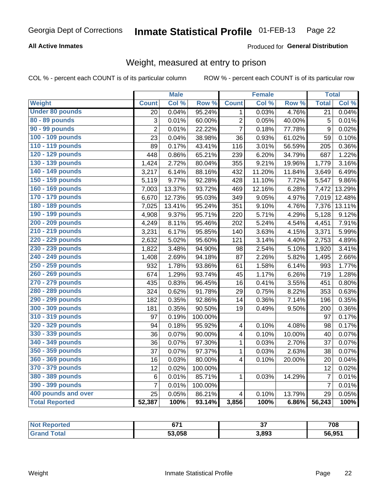#### **All Active Inmates**

#### Produced for General Distribution

## Weight, measured at entry to prison

COL % - percent each COUNT is of its particular column

|                        |                | <b>Male</b> |                  |                         | Female |        | <b>Total</b>    |        |
|------------------------|----------------|-------------|------------------|-------------------------|--------|--------|-----------------|--------|
| <b>Weight</b>          | <b>Count</b>   | Col %       | Row <sup>%</sup> | <b>Count</b>            | Col %  | Row %  | <b>Total</b>    | Col %  |
| <b>Under 80 pounds</b> | 20             | 0.04%       | 95.24%           | $\mathbf 1$             | 0.03%  | 4.76%  | $\overline{21}$ | 0.04%  |
| 80 - 89 pounds         | 3              | 0.01%       | 60.00%           | $\overline{2}$          | 0.05%  | 40.00% | 5               | 0.01%  |
| 90 - 99 pounds         | $\overline{2}$ | 0.01%       | 22.22%           | $\overline{7}$          | 0.18%  | 77.78% | 9               | 0.02%  |
| 100 - 109 pounds       | 23             | 0.04%       | 38.98%           | 36                      | 0.93%  | 61.02% | 59              | 0.10%  |
| 110 - 119 pounds       | 89             | 0.17%       | 43.41%           | 116                     | 3.01%  | 56.59% | 205             | 0.36%  |
| 120 - 129 pounds       | 448            | 0.86%       | 65.21%           | 239                     | 6.20%  | 34.79% | 687             | 1.22%  |
| 130 - 139 pounds       | 1,424          | 2.72%       | 80.04%           | 355                     | 9.21%  | 19.96% | 1,779           | 3.16%  |
| 140 - 149 pounds       | 3,217          | 6.14%       | 88.16%           | 432                     | 11.20% | 11.84% | 3,649           | 6.49%  |
| 150 - 159 pounds       | 5,119          | 9.77%       | 92.28%           | 428                     | 11.10% | 7.72%  | 5,547           | 9.86%  |
| 160 - 169 pounds       | 7,003          | 13.37%      | 93.72%           | 469                     | 12.16% | 6.28%  | 7,472           | 13.29% |
| 170 - 179 pounds       | 6,670          | 12.73%      | 95.03%           | 349                     | 9.05%  | 4.97%  | 7,019           | 12.48% |
| 180 - 189 pounds       | 7,025          | 13.41%      | 95.24%           | 351                     | 9.10%  | 4.76%  | 7,376           | 13.11% |
| 190 - 199 pounds       | 4,908          | 9.37%       | 95.71%           | 220                     | 5.71%  | 4.29%  | 5,128           | 9.12%  |
| 200 - 209 pounds       | 4,249          | 8.11%       | 95.46%           | 202                     | 5.24%  | 4.54%  | 4,451           | 7.91%  |
| 210 - 219 pounds       | 3,231          | 6.17%       | 95.85%           | 140                     | 3.63%  | 4.15%  | 3,371           | 5.99%  |
| 220 - 229 pounds       | 2,632          | 5.02%       | 95.60%           | 121                     | 3.14%  | 4.40%  | 2,753           | 4.89%  |
| 230 - 239 pounds       | 1,822          | 3.48%       | 94.90%           | 98                      | 2.54%  | 5.10%  | 1,920           | 3.41%  |
| 240 - 249 pounds       | 1,408          | 2.69%       | 94.18%           | 87                      | 2.26%  | 5.82%  | 1,495           | 2.66%  |
| 250 - 259 pounds       | 932            | 1.78%       | 93.86%           | 61                      | 1.58%  | 6.14%  | 993             | 1.77%  |
| 260 - 269 pounds       | 674            | 1.29%       | 93.74%           | 45                      | 1.17%  | 6.26%  | 719             | 1.28%  |
| 270 - 279 pounds       | 435            | 0.83%       | 96.45%           | 16                      | 0.41%  | 3.55%  | 451             | 0.80%  |
| 280 - 289 pounds       | 324            | 0.62%       | 91.78%           | 29                      | 0.75%  | 8.22%  | 353             | 0.63%  |
| 290 - 299 pounds       | 182            | 0.35%       | 92.86%           | 14                      | 0.36%  | 7.14%  | 196             | 0.35%  |
| 300 - 309 pounds       | 181            | 0.35%       | 90.50%           | 19                      | 0.49%  | 9.50%  | 200             | 0.36%  |
| 310 - 319 pounds       | 97             | 0.19%       | 100.00%          |                         |        |        | 97              | 0.17%  |
| 320 - 329 pounds       | 94             | 0.18%       | 95.92%           | 4                       | 0.10%  | 4.08%  | 98              | 0.17%  |
| 330 - 339 pounds       | 36             | 0.07%       | 90.00%           | $\overline{\mathbf{4}}$ | 0.10%  | 10.00% | 40              | 0.07%  |
| 340 - 349 pounds       | 36             | 0.07%       | 97.30%           | 1                       | 0.03%  | 2.70%  | 37              | 0.07%  |
| 350 - 359 pounds       | 37             | 0.07%       | 97.37%           | 1                       | 0.03%  | 2.63%  | 38              | 0.07%  |
| 360 - 369 pounds       | 16             | 0.03%       | 80.00%           | $\overline{\mathbf{4}}$ | 0.10%  | 20.00% | 20              | 0.04%  |
| 370 - 379 pounds       | 12             | 0.02%       | 100.00%          |                         |        |        | 12              | 0.02%  |
| 380 - 389 pounds       | 6              | 0.01%       | 85.71%           | $\mathbf{1}$            | 0.03%  | 14.29% | $\overline{7}$  | 0.01%  |
| 390 - 399 pounds       | $\overline{7}$ | 0.01%       | 100.00%          |                         |        |        | $\overline{7}$  | 0.01%  |
| 400 pounds and over    | 25             | 0.05%       | 86.21%           | $\overline{\mathbf{4}}$ | 0.10%  | 13.79% | 29              | 0.05%  |
| <b>Total Reported</b>  | 52,387         | 100%        | 93.14%           | 3,856                   | 100%   | 6.86%  | 56,243          | 100%   |

| <b>Not</b><br>∖rteα | <b>CJ4</b> | $\sim$<br>v. | 708    |
|---------------------|------------|--------------|--------|
| `ota.               | 53.058     | 3,893        | 56,951 |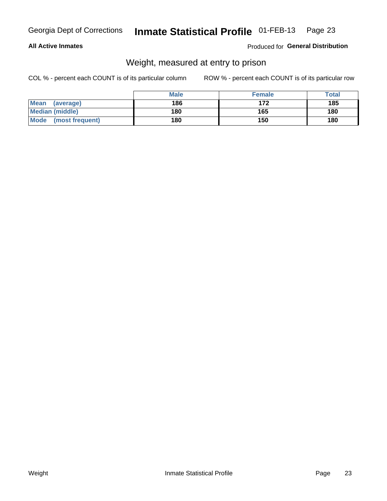#### **All Active Inmates**

#### Produced for General Distribution

## Weight, measured at entry to prison

COL % - percent each COUNT is of its particular column

|                                | <b>Male</b> | <b>Female</b> | Total |
|--------------------------------|-------------|---------------|-------|
| Mean<br>(average)              | 186         | 172           | 185   |
| <b>Median (middle)</b>         | 180         | 165           | 180   |
| <b>Mode</b><br>(most frequent) | 180         | 150           | 180   |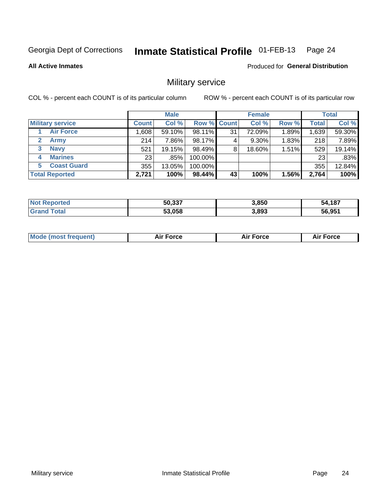#### Inmate Statistical Profile 01-FEB-13 Page 24

#### **All Active Inmates**

**Produced for General Distribution** 

## Military service

COL % - percent each COUNT is of its particular column

|                               | <b>Male</b>  |        |                    | <b>Female</b> |          |          | <b>Total</b> |        |
|-------------------------------|--------------|--------|--------------------|---------------|----------|----------|--------------|--------|
| <b>Military service</b>       | <b>Count</b> | Col %  | <b>Row % Count</b> |               | Col %    | Row %    | Total        | Col %  |
| <b>Air Force</b>              | .608         | 59.10% | 98.11%             | 31            | 72.09%   | $1.89\%$ | 1,639        | 59.30% |
| $\mathbf{2}^-$<br><b>Army</b> | 214          | 7.86%  | 98.17%             |               | $9.30\%$ | 1.83%    | 218          | 7.89%  |
| <b>Navy</b><br>3              | 521          | 19.15% | 98.49%             | 8             | 18.60%   | 1.51%    | 529          | 19.14% |
| <b>Marines</b><br>4           | 23           | .85%   | 100.00%            |               |          |          | 23           | .83%   |
| <b>Coast Guard</b><br>5.      | 355          | 13.05% | 100.00%            |               |          |          | 355          | 12.84% |
| <b>Total Reported</b>         | 2,721        | 100%   | 98.44%             | 43            | 100%     | 1.56%    | 2,764        | 100%   |

| <b>Not</b><br>Reported | 50,337 | 3,850 | .187<br>54 |
|------------------------|--------|-------|------------|
| <b>Total</b>           | 53,058 | 3,893 | 56,951     |

| Mo | <br>ъc | . |
|----|--------|---|
|    |        |   |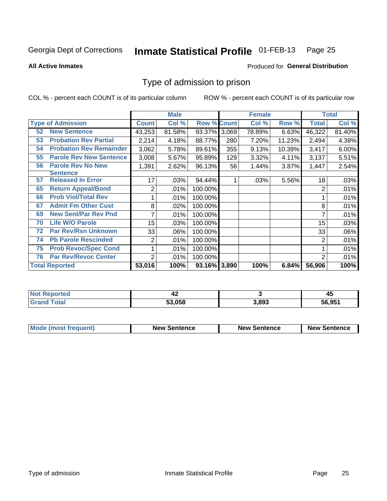#### Inmate Statistical Profile 01-FEB-13 Page 25

**All Active Inmates** 

#### **Produced for General Distribution**

### Type of admission to prison

COL % - percent each COUNT is of its particular column

|    |                                |              | <b>Male</b> |                    |     | <b>Female</b> | <b>Total</b> |              |        |
|----|--------------------------------|--------------|-------------|--------------------|-----|---------------|--------------|--------------|--------|
|    | <b>Type of Admission</b>       | <b>Count</b> | Col %       | <b>Row % Count</b> |     | Col %         | Row %        | <b>Total</b> | Col %  |
| 52 | <b>New Sentence</b>            | 43,253       | 81.58%      | 93.37% 3,069       |     | 78.89%        | 6.63%        | 46,322       | 81.40% |
| 53 | <b>Probation Rev Partial</b>   | 2,214        | 4.18%       | 88.77%             | 280 | 7.20%         | 11.23%       | 2,494        | 4.38%  |
| 54 | <b>Probation Rev Remainder</b> | 3,062        | 5.78%       | 89.61%             | 355 | 9.13%         | 10.39%       | 3,417        | 6.00%  |
| 55 | <b>Parole Rev New Sentence</b> | 3,008        | 5.67%       | 95.89%             | 129 | 3.32%         | 4.11%        | 3,137        | 5.51%  |
| 56 | <b>Parole Rev No New</b>       | 1,391        | 2.62%       | 96.13%             | 56  | 1.44%         | 3.87%        | 1,447        | 2.54%  |
|    | <b>Sentence</b>                |              |             |                    |     |               |              |              |        |
| 57 | <b>Released In Error</b>       | 17           | .03%        | 94.44%             |     | .03%          | 5.56%        | 18           | .03%   |
| 65 | <b>Return Appeal/Bond</b>      | 2            | .01%        | 100.00%            |     |               |              | 2            | .01%   |
| 66 | <b>Prob Viol/Total Rev</b>     |              | .01%        | 100.00%            |     |               |              |              | .01%   |
| 67 | <b>Admit Fm Other Cust</b>     | 8            | .02%        | 100.00%            |     |               |              | 8            | .01%   |
| 69 | <b>New Sent/Par Rev Pnd</b>    | 7            | .01%        | 100.00%            |     |               |              | 7            | .01%   |
| 70 | <b>Life W/O Parole</b>         | 15           | .03%        | 100.00%            |     |               |              | 15           | .03%   |
| 72 | <b>Par Rev/Rsn Unknown</b>     | 33           | .06%        | 100.00%            |     |               |              | 33           | .06%   |
| 74 | <b>Pb Parole Rescinded</b>     | 2            | .01%        | 100.00%            |     |               |              | 2            | .01%   |
| 75 | <b>Prob Revoc/Spec Cond</b>    |              | .01%        | 100.00%            |     |               |              |              | .01%   |
| 76 | <b>Par Rev/Revoc Center</b>    | 2            | .01%        | 100.00%            |     |               |              | 2            | .01%   |
|    | <b>Total Reported</b>          | 53,016       | 100%        | 93.16% 3,890       |     | 100%          | 6.84%        | 56,906       | 100%   |

| <b>rteo</b> | —4⊾    |       | . .    |
|-------------|--------|-------|--------|
| N.          |        |       | 45     |
| Gr          | 53.058 | 3,893 | 56.951 |

| <b>Mode (most frequent)</b> | <b>New Sentence</b> | <b>New Sentence</b> | <b>New Sentence</b> |
|-----------------------------|---------------------|---------------------|---------------------|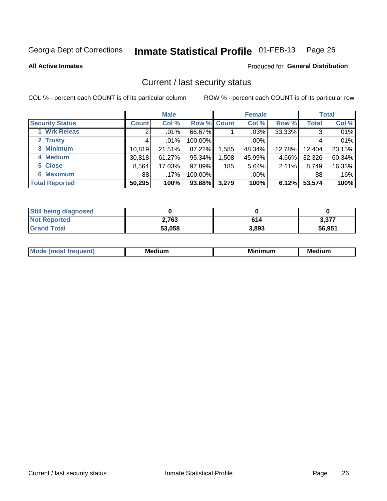#### Inmate Statistical Profile 01-FEB-13 Page 26

**All Active Inmates** 

#### **Produced for General Distribution**

### Current / last security status

COL % - percent each COUNT is of its particular column

|                        |              | <b>Male</b> |             |       | <b>Female</b> |        |              | <b>Total</b> |  |
|------------------------|--------------|-------------|-------------|-------|---------------|--------|--------------|--------------|--|
| <b>Security Status</b> | <b>Count</b> | Col %       | Row % Count |       | Col %         | Row %  | <b>Total</b> | Col %        |  |
| 1 Wrk Releas           | 2            | .01%        | 66.67%      |       | $.03\%$       | 33.33% | 3            | .01%         |  |
| 2 Trusty               |              | $.01\%$     | 100.00%     |       | .00%          |        |              | .01%         |  |
| 3 Minimum              | 10,819       | 21.51%      | 87.22%      | 1,585 | 48.34%        | 12.78% | 12,404       | 23.15%       |  |
| 4 Medium               | 30,818       | 61.27%      | 95.34%      | .508  | 45.99%        | 4.66%  | 32,326       | 60.34%       |  |
| 5 Close                | 8,564        | 17.03%      | 97.89%      | 185   | 5.64%         | 2.11%  | 8,749        | 16.33%       |  |
| <b>6 Maximum</b>       | 881          | .17%        | 100.00%     |       | .00%          |        | 88           | .16%         |  |
| <b>Total Reported</b>  | 50,295       | 100%        | 93.88%      | 3,279 | 100%          | 6.12%  | 53,574       | 100%         |  |

| <b>Still being diagnosed</b> |        |       |        |
|------------------------------|--------|-------|--------|
| <b>Not Reported</b>          | 2,763  | 614   | 3,377  |
| <b>Grand Total</b>           | 53,058 | 3,893 | 56,951 |

| M | NЛ<br>. .<br>dilim<br>_____ | ---<br>-- | . .<br>Medium<br>Me |
|---|-----------------------------|-----------|---------------------|
|   |                             |           |                     |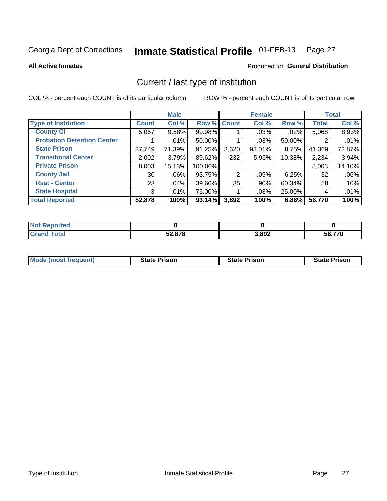#### Inmate Statistical Profile 01-FEB-13 Page 27

**All Active Inmates** 

#### Produced for General Distribution

## Current / last type of institution

COL % - percent each COUNT is of its particular column

|                                   |              | <b>Male</b> |         |             | <b>Female</b> |           |              | <b>Total</b> |
|-----------------------------------|--------------|-------------|---------|-------------|---------------|-----------|--------------|--------------|
| <b>Type of Institution</b>        | <b>Count</b> | Col %       |         | Row % Count | Col %         | Row %     | <b>Total</b> | Col %        |
| <b>County Ci</b>                  | 5,067        | 9.58%       | 99.98%  |             | .03%          | $.02\%$   | 5,068        | 8.93%        |
| <b>Probation Detention Center</b> |              | $.01\%$     | 50.00%  |             | $.03\%$       | 50.00%    | 2            | .01%         |
| <b>State Prison</b>               | 37,749       | 71.39%      | 91.25%  | 3,620       | $93.01\%$     | 8.75%     | 41,369       | 72.87%       |
| <b>Transitional Center</b>        | 2,002        | 3.79%       | 89.62%  | 232         | $5.96\%$      | 10.38%    | 2,234        | 3.94%        |
| <b>Private Prison</b>             | 8,003        | 15.13%      | 100.00% |             |               |           | 8,003        | 14.10%       |
| <b>County Jail</b>                | 30           | .06%        | 93.75%  | 2           | $.05\%$       | $6.25\%$  | 32           | .06%         |
| <b>Rsat - Center</b>              | 23           | .04%        | 39.66%  | 35          | .90%          | $60.34\%$ | 58           | .10%         |
| <b>State Hospital</b>             | 3            | .01%        | 75.00%  |             | .03%          | 25.00%    | 4            | .01%         |
| <b>Total Reported</b>             | 52,878       | 100%        | 93.14%  | 3,892       | 100%          | 6.86%     | 56,770       | 100%         |

| oorted<br>NO   |        |       |                  |
|----------------|--------|-------|------------------|
| `otal<br>. Grc | 52,878 | 3,892 | -0 770<br>56.77U |

| Mode (most frequent) | <b>State Prison</b> | <b>State Prison</b> | <b>State Prison</b> |
|----------------------|---------------------|---------------------|---------------------|
|                      |                     |                     |                     |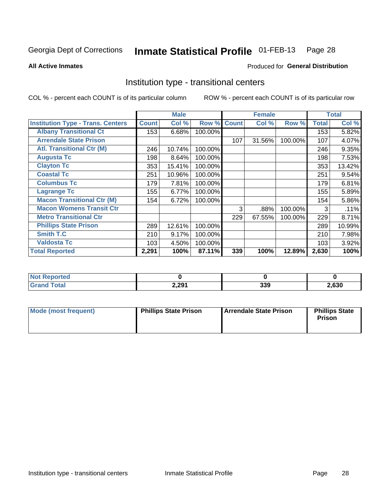#### Inmate Statistical Profile 01-FEB-13 Page 28

#### **All Active Inmates**

## Produced for General Distribution

## Institution type - transitional centers

COL % - percent each COUNT is of its particular column

|                                          |              | <b>Male</b> |         |              | <b>Female</b> |         |              | <b>Total</b> |
|------------------------------------------|--------------|-------------|---------|--------------|---------------|---------|--------------|--------------|
| <b>Institution Type - Trans. Centers</b> | <b>Count</b> | Col %       | Row %   | <b>Count</b> | Col %         | Row %   | <b>Total</b> | Col %        |
| <b>Albany Transitional Ct</b>            | 153          | 6.68%       | 100.00% |              |               |         | 153          | 5.82%        |
| <b>Arrendale State Prison</b>            |              |             |         | 107          | 31.56%        | 100.00% | 107          | 4.07%        |
| <b>Atl. Transitional Ctr (M)</b>         | 246          | 10.74%      | 100.00% |              |               |         | 246          | 9.35%        |
| <b>Augusta Tc</b>                        | 198          | 8.64%       | 100.00% |              |               |         | 198          | 7.53%        |
| <b>Clayton Tc</b>                        | 353          | 15.41%      | 100.00% |              |               |         | 353          | 13.42%       |
| <b>Coastal Tc</b>                        | 251          | 10.96%      | 100.00% |              |               |         | 251          | 9.54%        |
| <b>Columbus Tc</b>                       | 179          | 7.81%       | 100.00% |              |               |         | 179          | 6.81%        |
| <b>Lagrange Tc</b>                       | 155          | 6.77%       | 100.00% |              |               |         | 155          | 5.89%        |
| <b>Macon Transitional Ctr (M)</b>        | 154          | 6.72%       | 100.00% |              |               |         | 154          | 5.86%        |
| <b>Macon Womens Transit Ctr</b>          |              |             |         | 3            | .88%          | 100.00% | 3            | .11%         |
| <b>Metro Transitional Ctr</b>            |              |             |         | 229          | 67.55%        | 100.00% | 229          | 8.71%        |
| <b>Phillips State Prison</b>             | 289          | 12.61%      | 100.00% |              |               |         | 289          | 10.99%       |
| Smith T.C                                | 210          | 9.17%       | 100.00% |              |               |         | 210          | 7.98%        |
| <b>Valdosta Tc</b>                       | 103          | 4.50%       | 100.00% |              |               |         | 103          | 3.92%        |
| <b>Total Reported</b>                    | 2,291        | 100%        | 87.11%  | 339          | 100%          | 12.89%  | 2,630        | 100%         |

| rtea<br>NOT<br>. |       |            |      |
|------------------|-------|------------|------|
| <b>Tota</b>      | 2,291 | 220<br>ააა | ,630 |

| Mode (most frequent) | <b>Phillips State Prison</b> | Arrendale State Prison | <b>Phillips State</b><br><b>Prison</b> |
|----------------------|------------------------------|------------------------|----------------------------------------|
|                      |                              |                        |                                        |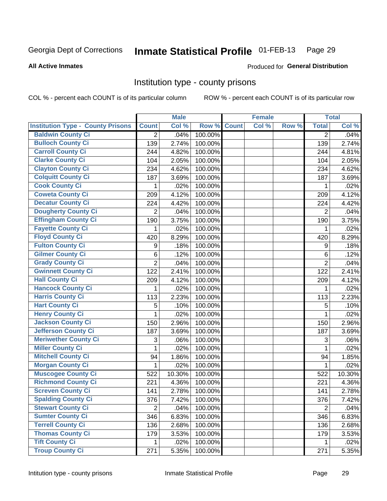## Inmate Statistical Profile 01-FEB-13 Page 29

#### **All Active Inmates**

#### Produced for General Distribution

#### Institution type - county prisons

COL % - percent each COUNT is of its particular column

|                                          |                | <b>Male</b> |         |              | <b>Female</b> |       |                | <b>Total</b> |
|------------------------------------------|----------------|-------------|---------|--------------|---------------|-------|----------------|--------------|
| <b>Institution Type - County Prisons</b> | <b>Count</b>   | Col %       | Row %   | <b>Count</b> | Col %         | Row % | <b>Total</b>   | Col %        |
| <b>Baldwin County Ci</b>                 | $\overline{2}$ | .04%        | 100.00% |              |               |       | $\overline{2}$ | .04%         |
| <b>Bulloch County Ci</b>                 | 139            | 2.74%       | 100.00% |              |               |       | 139            | 2.74%        |
| <b>Carroll County Ci</b>                 | 244            | 4.82%       | 100.00% |              |               |       | 244            | 4.81%        |
| <b>Clarke County Ci</b>                  | 104            | 2.05%       | 100.00% |              |               |       | 104            | 2.05%        |
| <b>Clayton County Ci</b>                 | 234            | 4.62%       | 100.00% |              |               |       | 234            | 4.62%        |
| <b>Colquitt County Ci</b>                | 187            | 3.69%       | 100.00% |              |               |       | 187            | 3.69%        |
| <b>Cook County Ci</b>                    | 1              | .02%        | 100.00% |              |               |       | 1              | .02%         |
| <b>Coweta County Ci</b>                  | 209            | 4.12%       | 100.00% |              |               |       | 209            | 4.12%        |
| <b>Decatur County Ci</b>                 | 224            | 4.42%       | 100.00% |              |               |       | 224            | 4.42%        |
| <b>Dougherty County Ci</b>               | 2              | .04%        | 100.00% |              |               |       | $\overline{2}$ | .04%         |
| <b>Effingham County Ci</b>               | 190            | 3.75%       | 100.00% |              |               |       | 190            | 3.75%        |
| <b>Fayette County Ci</b>                 | 1              | .02%        | 100.00% |              |               |       | 1              | .02%         |
| <b>Floyd County Ci</b>                   | 420            | 8.29%       | 100.00% |              |               |       | 420            | 8.29%        |
| <b>Fulton County Ci</b>                  | 9              | .18%        | 100.00% |              |               |       | 9              | .18%         |
| <b>Gilmer County Ci</b>                  | 6              | .12%        | 100.00% |              |               |       | 6              | .12%         |
| <b>Grady County Ci</b>                   | $\overline{2}$ | .04%        | 100.00% |              |               |       | $\overline{2}$ | .04%         |
| <b>Gwinnett County Ci</b>                | 122            | 2.41%       | 100.00% |              |               |       | 122            | 2.41%        |
| <b>Hall County Ci</b>                    | 209            | 4.12%       | 100.00% |              |               |       | 209            | 4.12%        |
| <b>Hancock County Ci</b>                 | 1              | .02%        | 100.00% |              |               |       | 1              | .02%         |
| <b>Harris County Ci</b>                  | 113            | 2.23%       | 100.00% |              |               |       | 113            | 2.23%        |
| <b>Hart County Ci</b>                    | 5              | .10%        | 100.00% |              |               |       | 5              | .10%         |
| <b>Henry County Ci</b>                   | 1              | .02%        | 100.00% |              |               |       | 1              | .02%         |
| <b>Jackson County Ci</b>                 | 150            | 2.96%       | 100.00% |              |               |       | 150            | 2.96%        |
| <b>Jefferson County Ci</b>               | 187            | 3.69%       | 100.00% |              |               |       | 187            | 3.69%        |
| <b>Meriwether County Ci</b>              | 3              | .06%        | 100.00% |              |               |       | 3              | .06%         |
| <b>Miller County Ci</b>                  | 1              | .02%        | 100.00% |              |               |       | 1              | .02%         |
| <b>Mitchell County Ci</b>                | 94             | 1.86%       | 100.00% |              |               |       | 94             | 1.85%        |
| <b>Morgan County Ci</b>                  | 1              | .02%        | 100.00% |              |               |       | 1              | .02%         |
| <b>Muscogee County Ci</b>                | 522            | 10.30%      | 100.00% |              |               |       | 522            | 10.30%       |
| <b>Richmond County Ci</b>                | 221            | 4.36%       | 100.00% |              |               |       | 221            | 4.36%        |
| <b>Screven County Ci</b>                 | 141            | 2.78%       | 100.00% |              |               |       | 141            | 2.78%        |
| <b>Spalding County Ci</b>                | 376            | 7.42%       | 100.00% |              |               |       | 376            | 7.42%        |
| <b>Stewart County Ci</b>                 | $\overline{2}$ | .04%        | 100.00% |              |               |       | $\overline{2}$ | .04%         |
| <b>Sumter County Ci</b>                  | 346            | 6.83%       | 100.00% |              |               |       | 346            | 6.83%        |
| <b>Terrell County Ci</b>                 | 136            | 2.68%       | 100.00% |              |               |       | 136            | 2.68%        |
| <b>Thomas County Ci</b>                  | 179            | 3.53%       | 100.00% |              |               |       | 179            | 3.53%        |
| <b>Tift County Ci</b>                    | 1              | .02%        | 100.00% |              |               |       | 1              | .02%         |
| <b>Troup County Ci</b>                   | 271            | 5.35%       | 100.00% |              |               |       | 271            | 5.35%        |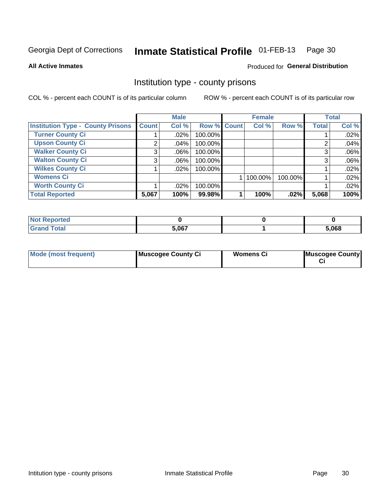#### Inmate Statistical Profile 01-FEB-13 Page 30

#### **All Active Inmates**

### Produced for General Distribution

#### Institution type - county prisons

COL % - percent each COUNT is of its particular column

|                                          |              | <b>Male</b> |             | <b>Female</b> |         |              | <b>Total</b> |
|------------------------------------------|--------------|-------------|-------------|---------------|---------|--------------|--------------|
| <b>Institution Type - County Prisons</b> | <b>Count</b> | Col %       | Row % Count | Col %         | Row %   | <b>Total</b> | Col %        |
| <b>Turner County Ci</b>                  |              | $.02\%$     | 100.00%     |               |         |              | .02%         |
| <b>Upson County Ci</b>                   | 2            | .04%        | 100.00%     |               |         | 2            | .04%         |
| <b>Walker County Ci</b>                  | 3            | $.06\%$     | 100.00%     |               |         | 3            | .06%         |
| <b>Walton County Ci</b>                  | 3            | .06%        | 100.00%     |               |         | 3            | .06%         |
| <b>Wilkes County Ci</b>                  |              | $.02\%$     | 100.00%     |               |         |              | .02%         |
| <b>Womens Ci</b>                         |              |             |             | 100.00%       | 100.00% |              | .02%         |
| <b>Worth County Ci</b>                   |              | .02%        | 100.00%     |               |         |              | .02%         |
| <b>Total Reported</b>                    | 5,067        | 100%        | 99.98%      | 100%          | .02%    | 5,068        | 100%         |

| orted |               |       |
|-------|---------------|-------|
| Total | 5.067<br>ו שע | 5,068 |

| <b>Mode (most frequent)</b> | Muscogee County Ci | <b>Womens Ci</b> | Muscogee County |
|-----------------------------|--------------------|------------------|-----------------|
|-----------------------------|--------------------|------------------|-----------------|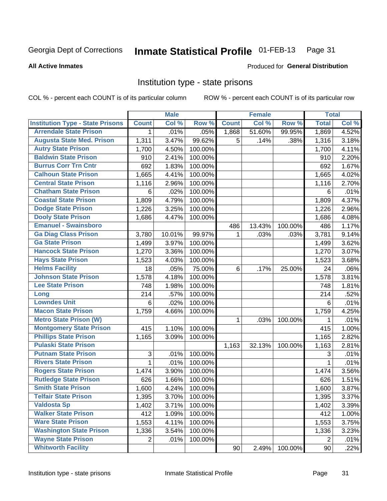#### Inmate Statistical Profile 01-FEB-13 Page 31

#### **All Active Inmates**

#### Produced for General Distribution

#### Institution type - state prisons

COL % - percent each COUNT is of its particular column

|                                         |                           | <b>Male</b> |         |                 | <b>Female</b> |         | <b>Total</b>   |       |
|-----------------------------------------|---------------------------|-------------|---------|-----------------|---------------|---------|----------------|-------|
| <b>Institution Type - State Prisons</b> | <b>Count</b>              | Col %       | Row %   | <b>Count</b>    | Col %         | Row %   | <b>Total</b>   | Col % |
| <b>Arrendale State Prison</b>           | 1                         | .01%        | .05%    | 1,868           | 51.60%        | 99.95%  | 1,869          | 4.52% |
| <b>Augusta State Med. Prison</b>        | 1,311                     | 3.47%       | 99.62%  | 5               | .14%          | .38%    | 1,316          | 3.18% |
| <b>Autry State Prison</b>               | 1,700                     | 4.50%       | 100.00% |                 |               |         | 1,700          | 4.11% |
| <b>Baldwin State Prison</b>             | 910                       | 2.41%       | 100.00% |                 |               |         | 910            | 2.20% |
| <b>Burrus Corr Trn Cntr</b>             | 692                       | 1.83%       | 100.00% |                 |               |         | 692            | 1.67% |
| <b>Calhoun State Prison</b>             | 1,665                     | 4.41%       | 100.00% |                 |               |         | 1,665          | 4.02% |
| <b>Central State Prison</b>             | 1,116                     | 2.96%       | 100.00% |                 |               |         | 1,116          | 2.70% |
| <b>Chatham State Prison</b>             | 6                         | .02%        | 100.00% |                 |               |         | 6              | .01%  |
| <b>Coastal State Prison</b>             | 1,809                     | 4.79%       | 100.00% |                 |               |         | 1,809          | 4.37% |
| <b>Dodge State Prison</b>               | 1,226                     | 3.25%       | 100.00% |                 |               |         | 1,226          | 2.96% |
| <b>Dooly State Prison</b>               | 1,686                     | 4.47%       | 100.00% |                 |               |         | 1,686          | 4.08% |
| <b>Emanuel - Swainsboro</b>             |                           |             |         | 486             | 13.43%        | 100.00% | 486            | 1.17% |
| <b>Ga Diag Class Prison</b>             | 3,780                     | 10.01%      | 99.97%  | 1               | .03%          | .03%    | 3,781          | 9.14% |
| <b>Ga State Prison</b>                  | 1,499                     | 3.97%       | 100.00% |                 |               |         | 1,499          | 3.62% |
| <b>Hancock State Prison</b>             | 1,270                     | 3.36%       | 100.00% |                 |               |         | 1,270          | 3.07% |
| <b>Hays State Prison</b>                | 1,523                     | 4.03%       | 100.00% |                 |               |         | 1,523          | 3.68% |
| <b>Helms Facility</b>                   | 18                        | .05%        | 75.00%  | 6               | .17%          | 25.00%  | 24             | .06%  |
| <b>Johnson State Prison</b>             | 1,578                     | 4.18%       | 100.00% |                 |               |         | 1,578          | 3.81% |
| <b>Lee State Prison</b>                 | 748                       | 1.98%       | 100.00% |                 |               |         | 748            | 1.81% |
| Long                                    | 214                       | .57%        | 100.00% |                 |               |         | 214            | .52%  |
| <b>Lowndes Unit</b>                     | 6                         | .02%        | 100.00% |                 |               |         | 6              | .01%  |
| <b>Macon State Prison</b>               | 1,759                     | 4.66%       | 100.00% |                 |               |         | 1,759          | 4.25% |
| <b>Metro State Prison (W)</b>           |                           |             |         | $\mathbf 1$     | .03%          | 100.00% | 1              | .01%  |
| <b>Montgomery State Prison</b>          | 415                       | 1.10%       | 100.00% |                 |               |         | 415            | 1.00% |
| <b>Phillips State Prison</b>            | 1,165                     | 3.09%       | 100.00% |                 |               |         | 1,165          | 2.82% |
| <b>Pulaski State Prison</b>             |                           |             |         | 1,163           | 32.13%        | 100.00% | 1,163          | 2.81% |
| <b>Putnam State Prison</b>              | $\ensuremath{\mathsf{3}}$ | .01%        | 100.00% |                 |               |         | 3              | .01%  |
| <b>Rivers State Prison</b>              | 1                         | .01%        | 100.00% |                 |               |         | $\mathbf{1}$   | .01%  |
| <b>Rogers State Prison</b>              | 1,474                     | 3.90%       | 100.00% |                 |               |         | 1,474          | 3.56% |
| <b>Rutledge State Prison</b>            | 626                       | 1.66%       | 100.00% |                 |               |         | 626            | 1.51% |
| <b>Smith State Prison</b>               | 1,600                     | 4.24%       | 100.00% |                 |               |         | 1,600          | 3.87% |
| <b>Telfair State Prison</b>             | 1,395                     | 3.70%       | 100.00% |                 |               |         | 1,395          | 3.37% |
| <b>Valdosta Sp</b>                      | 1,402                     | 3.71%       | 100.00% |                 |               |         | 1,402          | 3.39% |
| <b>Walker State Prison</b>              | 412                       | 1.09%       | 100.00% |                 |               |         | 412            | 1.00% |
| <b>Ware State Prison</b>                | 1,553                     | 4.11%       | 100.00% |                 |               |         | 1,553          | 3.75% |
| <b>Washington State Prison</b>          | 1,336                     | 3.54%       | 100.00% |                 |               |         | 1,336          | 3.23% |
| <b>Wayne State Prison</b>               | $\overline{2}$            | .01%        | 100.00% |                 |               |         | $\overline{2}$ | .01%  |
| <b>Whitworth Facility</b>               |                           |             |         | 90 <sup>°</sup> | 2.49%         | 100.00% | 90             | .22%  |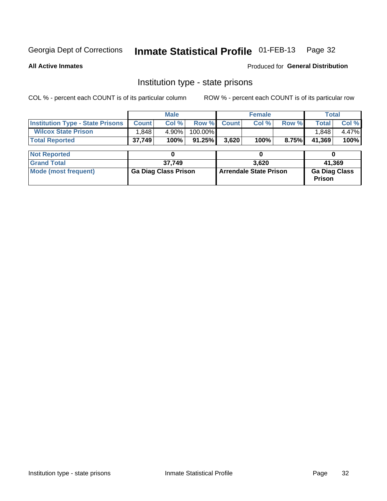## Inmate Statistical Profile 01-FEB-13 Page 32

**All Active Inmates** 

Produced for General Distribution

## Institution type - state prisons

COL % - percent each COUNT is of its particular column ROW % - percent each COUNT is of its particular row

|                                         |              | <b>Male</b>                 |            |                               | <b>Female</b> |       | <b>Total</b>                          |       |
|-----------------------------------------|--------------|-----------------------------|------------|-------------------------------|---------------|-------|---------------------------------------|-------|
| <b>Institution Type - State Prisons</b> | <b>Count</b> | Col %                       | Row %      | <b>Count</b>                  | Col %         | Row % | <b>Total</b>                          | Col % |
| <b>Wilcox State Prison</b>              | 848.1        | 4.90%                       | $100.00\%$ |                               |               |       | 1,848                                 | 4.47% |
| <b>Total Reported</b>                   | 37,749       | 100%                        | $91.25\%$  | 3,620                         | 100%          | 8.75% | 41,369                                | 100%  |
|                                         |              |                             |            |                               |               |       |                                       |       |
| <b>Not Reported</b>                     |              |                             |            |                               |               |       |                                       |       |
| <b>Grand Total</b>                      |              | 37,749                      |            |                               | 3.620         |       | 41,369                                |       |
| <b>Mode (most frequent)</b>             |              | <b>Ga Diag Class Prison</b> |            | <b>Arrendale State Prison</b> |               |       | <b>Ga Diag Class</b><br><b>Prison</b> |       |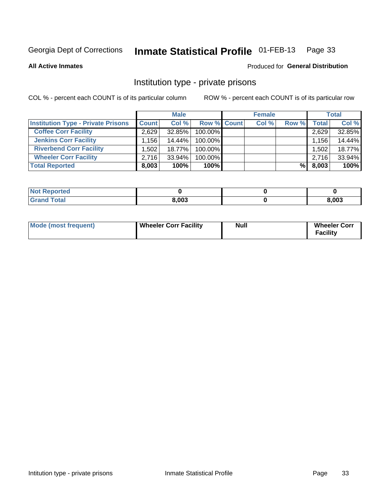#### Inmate Statistical Profile 01-FEB-13 Page 33

**All Active Inmates** 

#### Produced for General Distribution

### Institution type - private prisons

COL % - percent each COUNT is of its particular column

|                                           | <b>Male</b>  |           | <b>Female</b> |  |       | <b>Total</b> |              |        |
|-------------------------------------------|--------------|-----------|---------------|--|-------|--------------|--------------|--------|
| <b>Institution Type - Private Prisons</b> | <b>Count</b> | Col %     | Row % Count   |  | Col % | Row %        | <b>Total</b> | Col %  |
| <b>Coffee Corr Facility</b>               | 2,629        | 32.85%    | 100.00%       |  |       |              | 2,629        | 32.85% |
| <b>Jenkins Corr Facility</b>              | $.156+$      | $14.44\%$ | 100.00%       |  |       |              | 1,156        | 14.44% |
| <b>Riverbend Corr Facility</b>            | 1.5021       | $18.77\%$ | 100.00%       |  |       |              | 1,502        | 18.77% |
| <b>Wheeler Corr Facility</b>              | 2.716        | $33.94\%$ | 100.00%       |  |       |              | 2.716        | 33.94% |
| <b>Total Reported</b>                     | 8,003        | 100%      | $100\%$       |  |       | %l           | 8,003        | 100%   |

| 'Noi<br><b>Reported</b> |       |       |
|-------------------------|-------|-------|
| <b>Total</b>            | 8,003 | 8,003 |

| <b>Mode (most frequent)</b> | <b>Wheeler Corr Facility</b> | Null | <b>Wheeler Corr</b><br>Facility |
|-----------------------------|------------------------------|------|---------------------------------|
|-----------------------------|------------------------------|------|---------------------------------|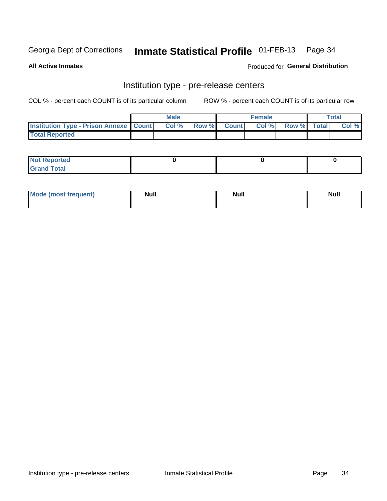## Inmate Statistical Profile 01-FEB-13 Page 34

**All Active Inmates** 

Produced for General Distribution

## Institution type - pre-release centers

COL % - percent each COUNT is of its particular column

|                                                   | <b>Male</b> |       |  | <b>Female</b> |       |             | <b>Total</b> |       |
|---------------------------------------------------|-------------|-------|--|---------------|-------|-------------|--------------|-------|
| <b>Institution Type - Prison Annexe   Count  </b> |             | Col % |  | Row % Count   | Col % | Row % Total |              | Col % |
| <b>Total Reported</b>                             |             |       |  |               |       |             |              |       |

| <b>Reported</b><br>I NOT |  |  |
|--------------------------|--|--|
| <b>Total</b><br>$C$ ren  |  |  |

| Mor<br><b>ruent</b> )<br>rea<br>nos | <b>Null</b> | <b>Moll</b><br>_____ | . .<br><b>Null</b> |
|-------------------------------------|-------------|----------------------|--------------------|
|                                     |             |                      |                    |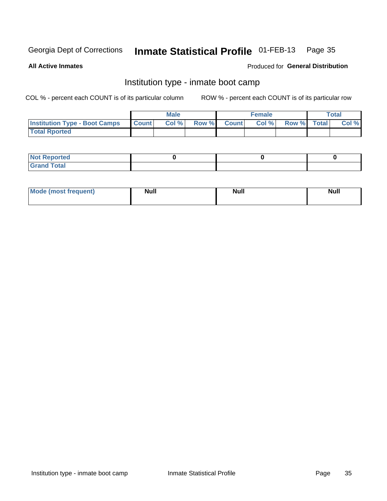#### Inmate Statistical Profile 01-FEB-13 Page 35

**All Active Inmates** 

#### Produced for General Distribution

## Institution type - inmate boot camp

COL % - percent each COUNT is of its particular column

|                                      |              | <b>Male</b> |               |              | <b>Female</b> |             | <b>Total</b> |
|--------------------------------------|--------------|-------------|---------------|--------------|---------------|-------------|--------------|
| <b>Institution Type - Boot Camps</b> | <b>Count</b> | Col %       | <b>Row %I</b> | <b>Count</b> | Col %         | Row % Total | Col %        |
| <b>Total Rported</b>                 |              |             |               |              |               |             |              |

| <b>Not Reported</b>                   |  |  |
|---------------------------------------|--|--|
| <b>Total</b><br><b>C HAM</b><br>_____ |  |  |

| <b>AhoM</b>       | <b>Null</b> | <b>Null</b> | Ab d' |
|-------------------|-------------|-------------|-------|
| <b>"requent</b> ) |             |             | _____ |
|                   |             |             |       |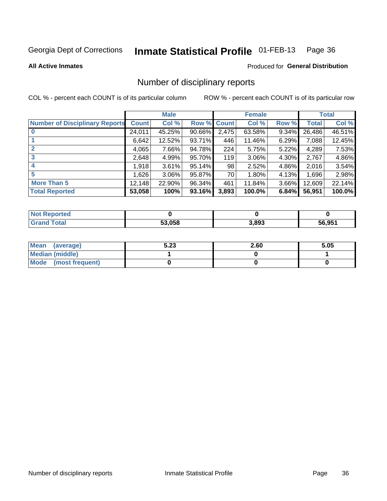#### Inmate Statistical Profile 01-FEB-13 Page 36

#### **All Active Inmates**

## Produced for General Distribution

## Number of disciplinary reports

COL % - percent each COUNT is of its particular column

|                                       |              | <b>Male</b> |        |       | <b>Female</b> |          |              | <b>Total</b> |
|---------------------------------------|--------------|-------------|--------|-------|---------------|----------|--------------|--------------|
| <b>Number of Disciplinary Reports</b> | <b>Count</b> | Col %       | Row %  | Count | Col %         | Row %    | <b>Total</b> | Col %        |
|                                       | 24,011       | 45.25%      | 90.66% | 2,475 | 63.58%        | $9.34\%$ | 26,486       | 46.51%       |
|                                       | 6,642        | 12.52%      | 93.71% | 446   | 11.46%        | 6.29%    | 7,088        | 12.45%       |
|                                       | 4,065        | 7.66%       | 94.78% | 224   | 5.75%         | 5.22%    | 4,289        | 7.53%        |
| 3                                     | 2.648        | 4.99%       | 95.70% | 119   | $3.06\%$      | $4.30\%$ | 2,767        | 4.86%        |
| 4                                     | 1,918        | 3.61%       | 95.14% | 98    | 2.52%         | 4.86%    | 2,016        | 3.54%        |
| 5                                     | 1,626        | $3.06\%$    | 95.87% | 70    | 1.80%         | 4.13%    | 1,696        | 2.98%        |
| <b>More Than 5</b>                    | 12,148       | 22.90%      | 96.34% | 461   | 11.84%        | $3.66\%$ | 12,609       | 22.14%       |
| <b>Total Reported</b>                 | 53,058       | 100%        | 93.16% | 3,893 | 100.0%        | 6.84%    | 56,951       | 100.0%       |

| วrted<br>NOT |        |       |        |
|--------------|--------|-------|--------|
| <b>Total</b> | 53.058 | 3,893 | 56.951 |

| Mean (average)       | 5.23 | 2.60 | 5.05 |
|----------------------|------|------|------|
| Median (middle)      |      |      |      |
| Mode (most frequent) |      |      |      |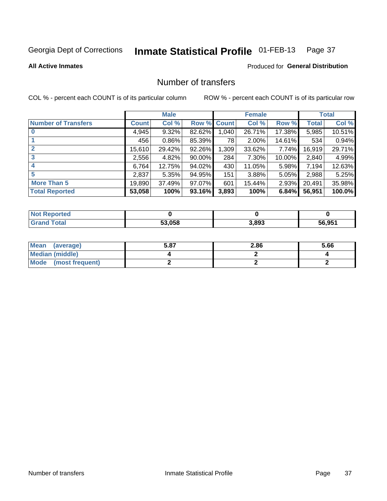#### Inmate Statistical Profile 01-FEB-13 Page 37

#### **All Active Inmates**

### **Produced for General Distribution**

## Number of transfers

COL % - percent each COUNT is of its particular column

|                            |              | <b>Male</b> |             |       | <b>Female</b> |        |        | <b>Total</b> |
|----------------------------|--------------|-------------|-------------|-------|---------------|--------|--------|--------------|
| <b>Number of Transfers</b> | <b>Count</b> | Col %       | Row % Count |       | Col %         | Row %  | Total  | Col %        |
|                            | 4,945        | $9.32\%$    | 82.62%      | 1,040 | 26.71%        | 17.38% | 5,985  | 10.51%       |
|                            | 456          | $0.86\%$    | 85.39%      | 78    | 2.00%         | 14.61% | 534    | 0.94%        |
| $\mathbf{2}$               | 15,610       | 29.42%      | 92.26%      | 1,309 | 33.62%        | 7.74%  | 16,919 | 29.71%       |
| 3                          | 2,556        | 4.82%       | $90.00\%$   | 284   | 7.30%         | 10.00% | 2,840  | 4.99%        |
|                            | 6,764        | 12.75%      | 94.02%      | 430   | 11.05%        | 5.98%  | 7,194  | 12.63%       |
| 5                          | 2,837        | 5.35%       | 94.95%      | 151   | 3.88%         | 5.05%  | 2,988  | 5.25%        |
| <b>More Than 5</b>         | 19,890       | 37.49%      | 97.07%      | 601   | 15.44%        | 2.93%  | 20,491 | 35.98%       |
| <b>Total Reported</b>      | 53,058       | 100%        | 93.16%      | 3,893 | 100%          | 6.84%  | 56,951 | 100.0%       |

| <b>Not Reported</b> |        |       |        |
|---------------------|--------|-------|--------|
| <b>Total</b>        | 53.058 | 3,893 | 56.951 |

| Mean (average)       | 5.87 | 2.86 | 5.66 |
|----------------------|------|------|------|
| Median (middle)      |      |      |      |
| Mode (most frequent) |      |      |      |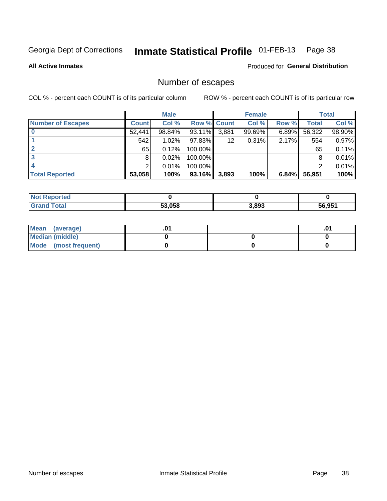#### Inmate Statistical Profile 01-FEB-13 Page 38

#### **All Active Inmates**

### Produced for General Distribution

## Number of escapes

COL % - percent each COUNT is of its particular column

|                          |              | <b>Male</b> |                    |       | <b>Female</b> |          |        | <b>Total</b> |
|--------------------------|--------------|-------------|--------------------|-------|---------------|----------|--------|--------------|
| <b>Number of Escapes</b> | <b>Count</b> | Col %       | <b>Row % Count</b> |       | Col %         | Row %    | Total  | Col %        |
|                          | 52,441       | 98.84%      | 93.11%             | 3,881 | 99.69%        | $6.89\%$ | 56,322 | 98.90%       |
|                          | 542          | $1.02\%$    | 97.83%             | 12    | 0.31%         | 2.17%    | 554    | 0.97%        |
|                          | 65           | 0.12%       | 100.00%            |       |               |          | 65     | 0.11%        |
|                          | 8            | 0.02%       | 100.00%            |       |               |          | 8      | $0.01\%$     |
|                          | ົ            | 0.01%       | 100.00%            |       |               |          | ◠      | $0.01\%$     |
| <b>Total Reported</b>    | 53,058       | 100%        | 93.16%             | 3,893 | 100%          | 6.84%    | 56,951 | 100%         |

| <b>rted</b><br>Not. |        |       |        |
|---------------------|--------|-------|--------|
|                     | 53.058 | 3,893 | 56.951 |

| Mean<br>(average)    |  | .0 |
|----------------------|--|----|
| Median (middle)      |  |    |
| Mode (most frequent) |  |    |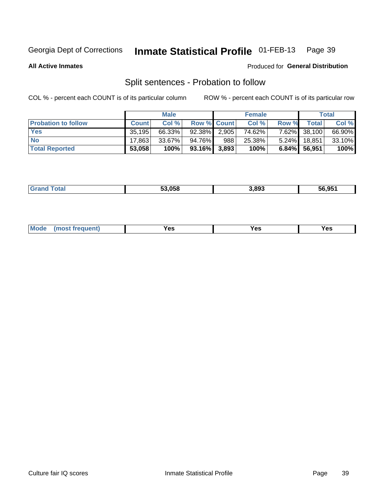#### Inmate Statistical Profile 01-FEB-13 Page 39

**All Active Inmates** 

#### Produced for General Distribution

## Split sentences - Probation to follow

COL % - percent each COUNT is of its particular column

|                            |              | <b>Male</b> |                    |     | <b>Female</b> |          |              | <b>Total</b> |
|----------------------------|--------------|-------------|--------------------|-----|---------------|----------|--------------|--------------|
| <b>Probation to follow</b> | <b>Count</b> | Col%        | <b>Row % Count</b> |     | Col %         | Row %    | <b>Total</b> | Col %        |
| <b>Yes</b>                 | 35.195       | 66.33%      | 92.38% 2.905       |     | 74.62%        |          | 7.62% 38,100 | 66.90%       |
| <b>No</b>                  | 17,8631      | $33.67\%$   | 94.76%             | 988 | 25.38%        | $5.24\%$ | 18.851       | 33.10%       |
| <b>Total Reported</b>      | 53,058       | 100%        | $93.16\%$ 3,893    |     | 100%          | $6.84\%$ | 56,951       | 100%         |

|  | $\mathbf{f}$ | 53.058 | 893.د | 56.951 |
|--|--------------|--------|-------|--------|
|--|--------------|--------|-------|--------|

| reauent)<br>Yes<br>v^c<br>0٥<br>.<br>. .<br>$\sim$ |  | <b>Mode</b> |  |  |  |
|----------------------------------------------------|--|-------------|--|--|--|
|----------------------------------------------------|--|-------------|--|--|--|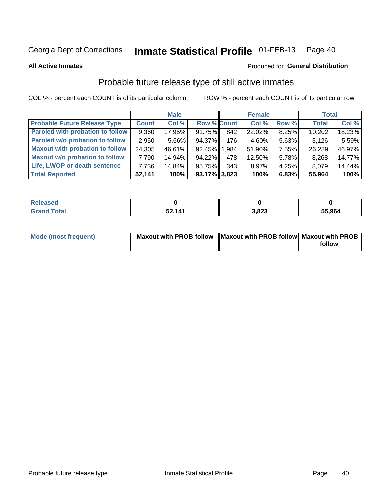#### Inmate Statistical Profile 01-FEB-13 Page 40

**All Active Inmates** 

#### Produced for General Distribution

## Probable future release type of still active inmates

COL % - percent each COUNT is of its particular column

|                                         |              | <b>Male</b> |                 |       | <b>Female</b> |          | <b>Total</b> |        |
|-----------------------------------------|--------------|-------------|-----------------|-------|---------------|----------|--------------|--------|
| <b>Probable Future Release Type</b>     | <b>Count</b> | Col%        | Row % Count     |       | Col %         | Row %    | <b>Total</b> | Col %  |
| <b>Paroled with probation to follow</b> | 9,360        | 17.95%      | 91.75%          | 842   | 22.02%        | $8.25\%$ | 10,202       | 18.23% |
| Paroled w/o probation to follow         | 2,950        | $5.66\%$    | 94.37%          | 176   | $4.60\%$      | 5.63%    | 3,126        | 5.59%  |
| <b>Maxout with probation to follow</b>  | 24,305       | 46.61%      | 92.45%          | 1.984 | 51.90%        | 7.55%    | 26,289       | 46.97% |
| <b>Maxout w/o probation to follow</b>   | 7,790        | 14.94%      | $94.22\%$       | 478   | 12.50%        | $5.78\%$ | 8,268        | 14.77% |
| Life, LWOP or death sentence            | 7.736        | 14.84%      | 95.75%          | 343   | 8.97%         | $4.25\%$ | 8,079        | 14.44% |
| <b>Total Reported</b>                   | 52,141       | 100%        | $93.17\%$ 3,823 |       | 100%          | 6.83%    | 55,964       | 100%   |

| eleased     |              |       |        |
|-------------|--------------|-------|--------|
| <b>otal</b> | 52 141<br>◡▵ | 3,823 | 55.964 |

| <b>Mode (most frequent)</b> | Maxout with PROB follow   Maxout with PROB follow   Maxout with PROB |        |
|-----------------------------|----------------------------------------------------------------------|--------|
|                             |                                                                      | follow |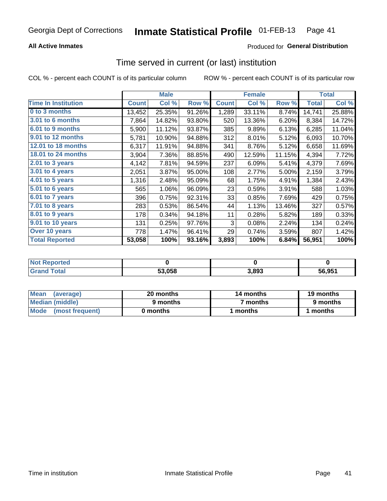### **All Active Inmates**

### **Produced for General Distribution**

# Time served in current (or last) institution

COL % - percent each COUNT is of its particular column

|                            |              | <b>Male</b> |        |              | <b>Female</b> |        |              | <b>Total</b> |
|----------------------------|--------------|-------------|--------|--------------|---------------|--------|--------------|--------------|
| <b>Time In Institution</b> | <b>Count</b> | Col %       | Row %  | <b>Count</b> | Col %         | Row %  | <b>Total</b> | Col %        |
| 0 to 3 months              | 13,452       | 25.35%      | 91.26% | 1,289        | 33.11%        | 8.74%  | 14,741       | 25.88%       |
| 3.01 to 6 months           | 7,864        | 14.82%      | 93.80% | 520          | 13.36%        | 6.20%  | 8,384        | 14.72%       |
| 6.01 to 9 months           | 5,900        | 11.12%      | 93.87% | 385          | 9.89%         | 6.13%  | 6,285        | 11.04%       |
| 9.01 to 12 months          | 5,781        | 10.90%      | 94.88% | 312          | 8.01%         | 5.12%  | 6,093        | 10.70%       |
| 12.01 to 18 months         | 6,317        | 11.91%      | 94.88% | 341          | 8.76%         | 5.12%  | 6,658        | 11.69%       |
| <b>18.01 to 24 months</b>  | 3,904        | 7.36%       | 88.85% | 490          | 12.59%        | 11.15% | 4,394        | 7.72%        |
| $2.01$ to 3 years          | 4,142        | 7.81%       | 94.59% | 237          | 6.09%         | 5.41%  | 4,379        | 7.69%        |
| $3.01$ to 4 years          | 2,051        | 3.87%       | 95.00% | 108          | 2.77%         | 5.00%  | 2,159        | 3.79%        |
| 4.01 to 5 years            | 1,316        | 2.48%       | 95.09% | 68           | 1.75%         | 4.91%  | 1,384        | 2.43%        |
| 5.01 to 6 years            | 565          | 1.06%       | 96.09% | 23           | 0.59%         | 3.91%  | 588          | 1.03%        |
| 6.01 to 7 years            | 396          | 0.75%       | 92.31% | 33           | 0.85%         | 7.69%  | 429          | 0.75%        |
| 7.01 to 8 years            | 283          | 0.53%       | 86.54% | 44           | 1.13%         | 13.46% | 327          | 0.57%        |
| $8.01$ to 9 years          | 178          | 0.34%       | 94.18% | 11           | 0.28%         | 5.82%  | 189          | 0.33%        |
| 9.01 to 10 years           | 131          | 0.25%       | 97.76% | 3            | 0.08%         | 2.24%  | 134          | 0.24%        |
| Over 10 years              | 778          | 1.47%       | 96.41% | 29           | 0.74%         | 3.59%  | 807          | 1.42%        |
| <b>Total Reported</b>      | 53,058       | 100%        | 93.16% | 3,893        | 100%          | 6.84%  | 56,951       | 100%         |

| <b>reco</b><br><b>NOT</b> |        |       |                    |
|---------------------------|--------|-------|--------------------|
|                           | 53,058 | 3.893 | 56.95 <sup>4</sup> |

| <b>Mean</b><br>(average) | 20 months | 14 months | 19 months |  |
|--------------------------|-----------|-----------|-----------|--|
| Median (middle)          | 9 months  | 7 months  | 9 months  |  |
| Mode<br>(most frequent)  | 0 months  | months    | ∖ months  |  |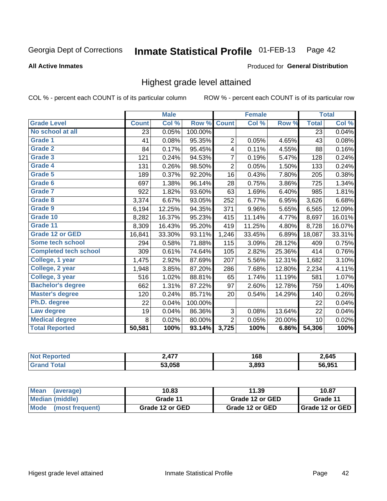#### Inmate Statistical Profile 01-FEB-13 Page 42

#### **All Active Inmates**

#### Produced for General Distribution

## Highest grade level attained

COL % - percent each COUNT is of its particular column

|                              |              | <b>Male</b> |         |                | <b>Female</b> |        |              | <b>Total</b> |
|------------------------------|--------------|-------------|---------|----------------|---------------|--------|--------------|--------------|
| <b>Grade Level</b>           | <b>Count</b> | Col %       | Row %   | <b>Count</b>   | Col %         | Row %  | <b>Total</b> | Col %        |
| No school at all             | 23           | 0.05%       | 100.00% |                |               |        | 23           | 0.04%        |
| Grade 1                      | 41           | 0.08%       | 95.35%  | 2              | 0.05%         | 4.65%  | 43           | 0.08%        |
| Grade 2                      | 84           | 0.17%       | 95.45%  | 4              | 0.11%         | 4.55%  | 88           | 0.16%        |
| Grade 3                      | 121          | 0.24%       | 94.53%  | 7              | 0.19%         | 5.47%  | 128          | 0.24%        |
| Grade 4                      | 131          | 0.26%       | 98.50%  | 2              | 0.05%         | 1.50%  | 133          | 0.24%        |
| <b>Grade 5</b>               | 189          | 0.37%       | 92.20%  | 16             | 0.43%         | 7.80%  | 205          | 0.38%        |
| Grade 6                      | 697          | 1.38%       | 96.14%  | 28             | 0.75%         | 3.86%  | 725          | 1.34%        |
| <b>Grade 7</b>               | 922          | 1.82%       | 93.60%  | 63             | 1.69%         | 6.40%  | 985          | 1.81%        |
| Grade 8                      | 3,374        | 6.67%       | 93.05%  | 252            | 6.77%         | 6.95%  | 3,626        | 6.68%        |
| <b>Grade 9</b>               | 6,194        | 12.25%      | 94.35%  | 371            | 9.96%         | 5.65%  | 6,565        | 12.09%       |
| Grade 10                     | 8,282        | 16.37%      | 95.23%  | 415            | 11.14%        | 4.77%  | 8,697        | 16.01%       |
| Grade 11                     | 8,309        | 16.43%      | 95.20%  | 419            | 11.25%        | 4.80%  | 8,728        | 16.07%       |
| <b>Grade 12 or GED</b>       | 16,841       | 33.30%      | 93.11%  | 1,246          | 33.45%        | 6.89%  | 18,087       | 33.31%       |
| <b>Some tech school</b>      | 294          | 0.58%       | 71.88%  | 115            | 3.09%         | 28.12% | 409          | 0.75%        |
| <b>Completed tech school</b> | 309          | 0.61%       | 74.64%  | 105            | 2.82%         | 25.36% | 414          | 0.76%        |
| College, 1 year              | 1,475        | 2.92%       | 87.69%  | 207            | 5.56%         | 12.31% | 1,682        | 3.10%        |
| College, 2 year              | 1,948        | 3.85%       | 87.20%  | 286            | 7.68%         | 12.80% | 2,234        | 4.11%        |
| College, 3 year              | 516          | 1.02%       | 88.81%  | 65             | 1.74%         | 11.19% | 581          | 1.07%        |
| <b>Bachelor's degree</b>     | 662          | 1.31%       | 87.22%  | 97             | 2.60%         | 12.78% | 759          | 1.40%        |
| <b>Master's degree</b>       | 120          | 0.24%       | 85.71%  | 20             | 0.54%         | 14.29% | 140          | 0.26%        |
| Ph.D. degree                 | 22           | 0.04%       | 100.00% |                |               |        | 22           | 0.04%        |
| Law degree                   | 19           | 0.04%       | 86.36%  | 3              | 0.08%         | 13.64% | 22           | 0.04%        |
| <b>Medical degree</b>        | 8            | 0.02%       | 80.00%  | $\overline{2}$ | 0.05%         | 20.00% | 10           | 0.02%        |
| <b>Total Reported</b>        | 50,581       | 100%        | 93.14%  | 3,725          | 100%          | 6.86%  | 54,306       | 100%         |

| $\overline{a}$<br>$\sqrt{ }$<br>$ -$ | 168<br>__ | 2,645     |
|--------------------------------------|-----------|-----------|
| 53.058                               | 3.893     | $56.95^*$ |

| <b>Mean</b><br>(average)       | 10.83           | 11.39           | 10.87             |
|--------------------------------|-----------------|-----------------|-------------------|
| Median (middle)                | Grade 11        | Grade 12 or GED | Grade 11          |
| <b>Mode</b><br>(most frequent) | Grade 12 or GED | Grade 12 or GED | I Grade 12 or GED |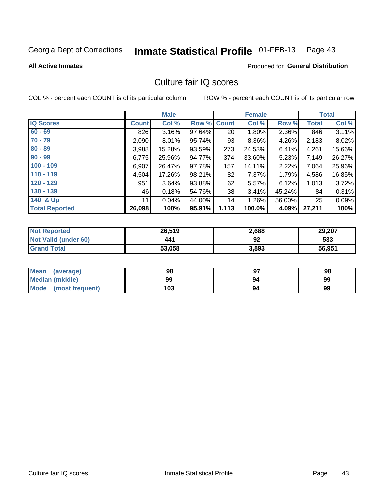#### Inmate Statistical Profile 01-FEB-13 Page 43

**All Active Inmates** 

### **Produced for General Distribution**

## Culture fair IQ scores

COL % - percent each COUNT is of its particular column

|                       |              | <b>Male</b> |        |              | <b>Female</b> |        |              | <b>Total</b> |
|-----------------------|--------------|-------------|--------|--------------|---------------|--------|--------------|--------------|
| <b>IQ Scores</b>      | <b>Count</b> | Col %       | Row %  | <b>Count</b> | Col %         | Row %  | <b>Total</b> | Col %        |
| $60 - 69$             | 826          | 3.16%       | 97.64% | 20           | 1.80%         | 2.36%  | 846          | 3.11%        |
| $70 - 79$             | 2,090        | $8.01\%$    | 95.74% | 93           | 8.36%         | 4.26%  | 2,183        | 8.02%        |
| $80 - 89$             | 3,988        | 15.28%      | 93.59% | 273          | 24.53%        | 6.41%  | 4,261        | 15.66%       |
| $90 - 99$             | 6,775        | 25.96%      | 94.77% | 374          | 33.60%        | 5.23%  | 7,149        | 26.27%       |
| $100 - 109$           | 6,907        | 26.47%      | 97.78% | 157          | 14.11%        | 2.22%  | 7,064        | 25.96%       |
| $110 - 119$           | 4,504        | 17.26%      | 98.21% | 82           | 7.37%         | 1.79%  | 4,586        | 16.85%       |
| $120 - 129$           | 951          | 3.64%       | 93.88% | 62           | 5.57%         | 6.12%  | 1,013        | 3.72%        |
| $130 - 139$           | 46           | 0.18%       | 54.76% | 38           | 3.41%         | 45.24% | 84           | 0.31%        |
| 140 & Up              | 11           | 0.04%       | 44.00% | 14           | 1.26%         | 56.00% | 25           | 0.09%        |
| <b>Total Reported</b> | 26,098       | 100%        | 95.91% | 1,113        | 100.0%        | 4.09%  | 27,211       | 100%         |

| <b>Not Reported</b>         | 26,519 | 2,688 | 29,207 |
|-----------------------------|--------|-------|--------|
| <b>Not Valid (under 60)</b> | 441    | 92    | 533    |
| <b>Grand Total</b>          | 53,058 | 3,893 | 56,951 |

| <b>Mean</b><br>(average)       | 98  | רח | 98 |
|--------------------------------|-----|----|----|
| Median (middle)                | 99  | 94 | 99 |
| <b>Mode</b><br>(most frequent) | 103 | 94 | 99 |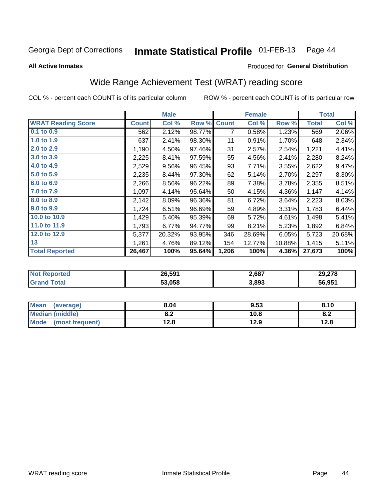#### Inmate Statistical Profile 01-FEB-13 Page 44

**All Active Inmates** 

#### Produced for General Distribution

## Wide Range Achievement Test (WRAT) reading score

COL % - percent each COUNT is of its particular column

|                           |              | <b>Male</b> |        |              | <b>Female</b> |        |              | <b>Total</b> |
|---------------------------|--------------|-------------|--------|--------------|---------------|--------|--------------|--------------|
| <b>WRAT Reading Score</b> | <b>Count</b> | Col %       | Row %  | <b>Count</b> | Col %         | Row %  | <b>Total</b> | Col %        |
| $0.1$ to $0.9$            | 562          | 2.12%       | 98.77% | 7            | 0.58%         | 1.23%  | 569          | 2.06%        |
| 1.0 to 1.9                | 637          | 2.41%       | 98.30% | 11           | 0.91%         | 1.70%  | 648          | 2.34%        |
| 2.0 to 2.9                | 1,190        | 4.50%       | 97.46% | 31           | 2.57%         | 2.54%  | 1,221        | 4.41%        |
| 3.0 to 3.9                | 2,225        | 8.41%       | 97.59% | 55           | 4.56%         | 2.41%  | 2,280        | 8.24%        |
| 4.0 to 4.9                | 2,529        | 9.56%       | 96.45% | 93           | 7.71%         | 3.55%  | 2,622        | 9.47%        |
| 5.0 to 5.9                | 2,235        | 8.44%       | 97.30% | 62           | 5.14%         | 2.70%  | 2,297        | 8.30%        |
| 6.0 to 6.9                | 2,266        | 8.56%       | 96.22% | 89           | 7.38%         | 3.78%  | 2,355        | 8.51%        |
| 7.0 to 7.9                | 1,097        | 4.14%       | 95.64% | 50           | 4.15%         | 4.36%  | 1,147        | 4.14%        |
| 8.0 to 8.9                | 2,142        | 8.09%       | 96.36% | 81           | 6.72%         | 3.64%  | 2,223        | 8.03%        |
| 9.0 to 9.9                | 1,724        | 6.51%       | 96.69% | 59           | 4.89%         | 3.31%  | 1,783        | 6.44%        |
| 10.0 to 10.9              | 1,429        | 5.40%       | 95.39% | 69           | 5.72%         | 4.61%  | 1,498        | 5.41%        |
| 11.0 to 11.9              | 1,793        | 6.77%       | 94.77% | 99           | 8.21%         | 5.23%  | 1,892        | 6.84%        |
| 12.0 to 12.9              | 5,377        | 20.32%      | 93.95% | 346          | 28.69%        | 6.05%  | 5,723        | 20.68%       |
| 13                        | 1,261        | 4.76%       | 89.12% | 154          | 12.77%        | 10.88% | 1,415        | 5.11%        |
| <b>Total Reported</b>     | 26,467       | 100%        | 95.64% | 1,206        | 100%          | 4.36%  | 27,673       | 100%         |

| <b>Teu</b><br>NO | 26,591 | 2,687 | 29,278 |
|------------------|--------|-------|--------|
|                  | 53,058 | 3,893 | 56,951 |

| Mean<br>(average)       | 8.04       | 9.53 | 8.10 |
|-------------------------|------------|------|------|
| <b>Median (middle)</b>  | ר ס<br>0.4 | 10.8 | O.A  |
| Mode<br>(most frequent) | 12.8       | 12.9 | 12.8 |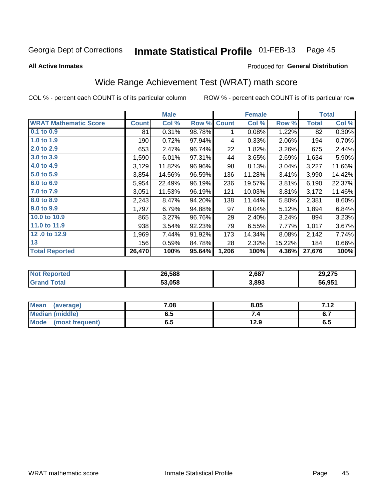#### Inmate Statistical Profile 01-FEB-13 Page 45

**All Active Inmates** 

#### Produced for General Distribution

## Wide Range Achievement Test (WRAT) math score

COL % - percent each COUNT is of its particular column

|                              |              | <b>Male</b> |        |              | <b>Female</b> |        |              | <b>Total</b> |
|------------------------------|--------------|-------------|--------|--------------|---------------|--------|--------------|--------------|
| <b>WRAT Mathematic Score</b> | <b>Count</b> | Col %       | Row %  | <b>Count</b> | Col %         | Row %  | <b>Total</b> | Col %        |
| $0.1$ to $0.9$               | 81           | 0.31%       | 98.78% | 1            | 0.08%         | 1.22%  | 82           | 0.30%        |
| 1.0 to 1.9                   | 190          | 0.72%       | 97.94% | 4            | 0.33%         | 2.06%  | 194          | 0.70%        |
| 2.0 to 2.9                   | 653          | 2.47%       | 96.74% | 22           | 1.82%         | 3.26%  | 675          | 2.44%        |
| 3.0 to 3.9                   | 1,590        | 6.01%       | 97.31% | 44           | 3.65%         | 2.69%  | 1,634        | 5.90%        |
| 4.0 to 4.9                   | 3,129        | 11.82%      | 96.96% | 98           | 8.13%         | 3.04%  | 3,227        | 11.66%       |
| 5.0 to 5.9                   | 3,854        | 14.56%      | 96.59% | 136          | 11.28%        | 3.41%  | 3,990        | 14.42%       |
| 6.0 to 6.9                   | 5,954        | 22.49%      | 96.19% | 236          | 19.57%        | 3.81%  | 6,190        | 22.37%       |
| 7.0 to 7.9                   | 3,051        | 11.53%      | 96.19% | 121          | 10.03%        | 3.81%  | 3,172        | 11.46%       |
| 8.0 to 8.9                   | 2,243        | 8.47%       | 94.20% | 138          | 11.44%        | 5.80%  | 2,381        | 8.60%        |
| 9.0 to 9.9                   | 1,797        | 6.79%       | 94.88% | 97           | 8.04%         | 5.12%  | 1,894        | 6.84%        |
| 10.0 to 10.9                 | 865          | 3.27%       | 96.76% | 29           | 2.40%         | 3.24%  | 894          | 3.23%        |
| 11.0 to 11.9                 | 938          | 3.54%       | 92.23% | 79           | 6.55%         | 7.77%  | 1,017        | 3.67%        |
| 12.0 to 12.9                 | 1,969        | 7.44%       | 91.92% | 173          | 14.34%        | 8.08%  | 2,142        | 7.74%        |
| 13                           | 156          | 0.59%       | 84.78% | 28           | 2.32%         | 15.22% | 184          | 0.66%        |
| <b>Total Reported</b>        | 26,470       | 100%        | 95.64% | 1,206        | 100%          | 4.36%  | 27,676       | 100%         |

| <b>Reported</b><br><b>NO</b> t | 26,588 | 2,687 | 29,275 |
|--------------------------------|--------|-------|--------|
| <b>Fotal</b>                   | 53.058 | 3,893 | 56,951 |

| Mean (average)         | 7.08 | 8.05 | 712<br>7. IZ |
|------------------------|------|------|--------------|
| <b>Median (middle)</b> | ง. ว | 54   | o.,          |
| Mode (most frequent)   | ხ.მ  | 12.9 | 6.5          |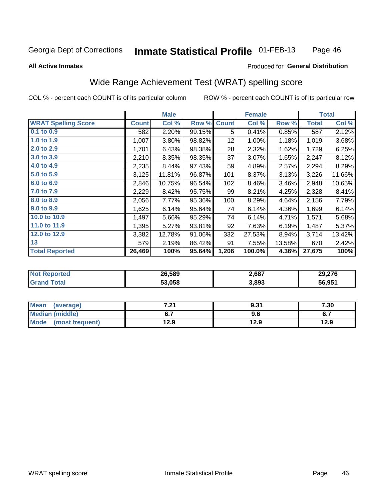#### Inmate Statistical Profile 01-FEB-13 Page 46

#### **All Active Inmates**

### Produced for General Distribution

## Wide Range Achievement Test (WRAT) spelling score

COL % - percent each COUNT is of its particular column

|                            |              | <b>Male</b> |        |              | <b>Female</b> |        |              | <b>Total</b> |
|----------------------------|--------------|-------------|--------|--------------|---------------|--------|--------------|--------------|
| <b>WRAT Spelling Score</b> | <b>Count</b> | Col %       | Row %  | <b>Count</b> | Col %         | Row %  | <b>Total</b> | Col %        |
| $0.1$ to $0.9$             | 582          | 2.20%       | 99.15% | 5            | 0.41%         | 0.85%  | 587          | 2.12%        |
| 1.0 to 1.9                 | 1,007        | 3.80%       | 98.82% | 12           | 1.00%         | 1.18%  | 1,019        | 3.68%        |
| 2.0 to 2.9                 | 1,701        | 6.43%       | 98.38% | 28           | 2.32%         | 1.62%  | 1,729        | 6.25%        |
| 3.0 to 3.9                 | 2,210        | 8.35%       | 98.35% | 37           | 3.07%         | 1.65%  | 2,247        | 8.12%        |
| 4.0 to 4.9                 | 2,235        | 8.44%       | 97.43% | 59           | 4.89%         | 2.57%  | 2,294        | 8.29%        |
| 5.0 to 5.9                 | 3,125        | 11.81%      | 96.87% | 101          | 8.37%         | 3.13%  | 3,226        | 11.66%       |
| 6.0 to 6.9                 | 2,846        | 10.75%      | 96.54% | 102          | 8.46%         | 3.46%  | 2,948        | 10.65%       |
| 7.0 to 7.9                 | 2,229        | 8.42%       | 95.75% | 99           | 8.21%         | 4.25%  | 2,328        | 8.41%        |
| 8.0 to 8.9                 | 2,056        | 7.77%       | 95.36% | 100          | 8.29%         | 4.64%  | 2,156        | 7.79%        |
| 9.0 to 9.9                 | 1,625        | 6.14%       | 95.64% | 74           | 6.14%         | 4.36%  | 1,699        | 6.14%        |
| 10.0 to 10.9               | 1,497        | 5.66%       | 95.29% | 74           | 6.14%         | 4.71%  | 1,571        | 5.68%        |
| 11.0 to 11.9               | 1,395        | 5.27%       | 93.81% | 92           | 7.63%         | 6.19%  | 1,487        | 5.37%        |
| 12.0 to 12.9               | 3,382        | 12.78%      | 91.06% | 332          | 27.53%        | 8.94%  | 3,714        | 13.42%       |
| 13                         | 579          | 2.19%       | 86.42% | 91           | 7.55%         | 13.58% | 670          | 2.42%        |
| <b>Total Reported</b>      | 26,469       | 100%        | 95.64% | 1,206        | 100.0%        | 4.36%  | 27,675       | 100%         |

| meo  | 26,589 | 2,687 | 29,276 |
|------|--------|-------|--------|
| otal | 53.058 | 3,893 | 56,951 |

| <b>Mean</b><br>(average) | フ つ<br>.Z I | 9.31 | 7.30 |
|--------------------------|-------------|------|------|
| Median (middle)          |             | 9.6  | ο.   |
| Mode (most frequent)     | 12.9        | 12.9 | 12.9 |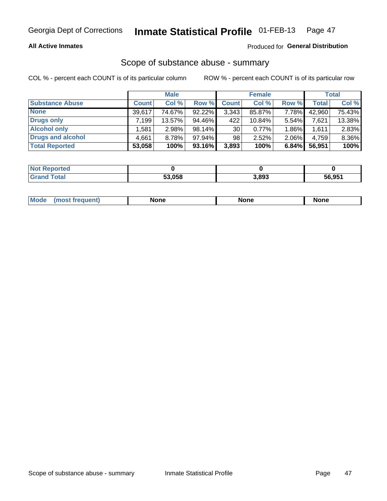### **All Active Inmates**

### Produced for General Distribution

## Scope of substance abuse - summary

COL % - percent each COUNT is of its particular column

|                        |              | <b>Male</b> |           |              | <b>Female</b> |          |              | <b>Total</b> |
|------------------------|--------------|-------------|-----------|--------------|---------------|----------|--------------|--------------|
| <b>Substance Abuse</b> | <b>Count</b> | Col %       | Row %     | <b>Count</b> | Col %         | Row %    | <b>Total</b> | Col %        |
| <b>None</b>            | 39,617       | 74.67%      | $92.22\%$ | 3,343        | 85.87%        | 7.78%    | 42,960       | 75.43%       |
| <b>Drugs only</b>      | .199         | 13.57%      | 94.46%    | 422          | $10.84\%$     | $5.54\%$ | 7,621        | 13.38%       |
| <b>Alcohol only</b>    | .581         | $2.98\%$    | 98.14%    | 30           | $0.77\%$      | 1.86%    | 1,611        | 2.83%        |
| Drugs and alcohol      | 4,661        | 8.78%       | 97.94%    | 98           | 2.52%         | $2.06\%$ | 4,759        | 8.36%        |
| <b>Total Reported</b>  | 53,058       | 100%        | 93.16%    | 3,893        | 100%          | 6.84%    | 56,951       | 100%         |

| <b>Not Reported</b> |        |       |        |
|---------------------|--------|-------|--------|
| <b>Grand Total</b>  | 53.058 | 3,893 | 56,951 |

| nuem | <b>Mo</b> | None | <b>None</b> | None |
|------|-----------|------|-------------|------|
|------|-----------|------|-------------|------|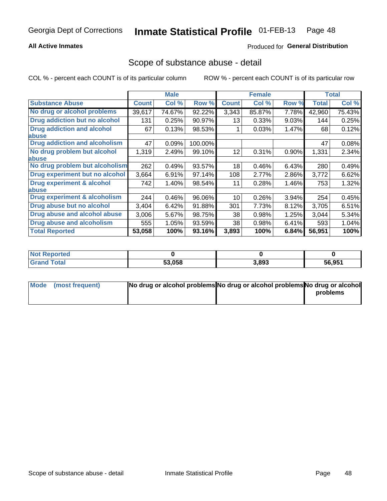### **All Active Inmates**

### **Produced for General Distribution**

## Scope of substance abuse - detail

COL % - percent each COUNT is of its particular column

|                                      |              | <b>Male</b> |         |              | <b>Female</b> |       |              | <b>Total</b> |
|--------------------------------------|--------------|-------------|---------|--------------|---------------|-------|--------------|--------------|
| <b>Substance Abuse</b>               | <b>Count</b> | Col %       | Row %   | <b>Count</b> | Col %         | Row % | <b>Total</b> | Col %        |
| No drug or alcohol problems          | 39,617       | 74.67%      | 92.22%  | 3,343        | 85.87%        | 7.78% | 42,960       | 75.43%       |
| Drug addiction but no alcohol        | 131          | 0.25%       | 90.97%  | 13           | 0.33%         | 9.03% | 144          | 0.25%        |
| <b>Drug addiction and alcohol</b>    | 67           | 0.13%       | 98.53%  |              | 0.03%         | 1.47% | 68           | 0.12%        |
| <b>labuse</b>                        |              |             |         |              |               |       |              |              |
| <b>Drug addiction and alcoholism</b> | 47           | 0.09%       | 100.00% |              |               |       | 47           | 0.08%        |
| No drug problem but alcohol          | 1,319        | 2.49%       | 99.10%  | 12           | 0.31%         | 0.90% | 1,331        | 2.34%        |
| <b>labuse</b>                        |              |             |         |              |               |       |              |              |
| No drug problem but alcoholism       | 262          | 0.49%       | 93.57%  | 18           | 0.46%         | 6.43% | 280          | 0.49%        |
| Drug experiment but no alcohol       | 3,664        | 6.91%       | 97.14%  | 108          | 2.77%         | 2.86% | 3,772        | 6.62%        |
| <b>Drug experiment &amp; alcohol</b> | 742          | 1.40%       | 98.54%  | 11           | 0.28%         | 1.46% | 753          | $1.32\%$     |
| <b>labuse</b>                        |              |             |         |              |               |       |              |              |
| Drug experiment & alcoholism         | 244          | 0.46%       | 96.06%  | 10           | 0.26%         | 3.94% | 254          | 0.45%        |
| Drug abuse but no alcohol            | 3,404        | 6.42%       | 91.88%  | 301          | 7.73%         | 8.12% | 3,705        | 6.51%        |
| Drug abuse and alcohol abuse         | 3,006        | 5.67%       | 98.75%  | 38           | 0.98%         | 1.25% | 3,044        | 5.34%        |
| <b>Drug abuse and alcoholism</b>     | 555          | 1.05%       | 93.59%  | 38           | 0.98%         | 6.41% | 593          | 1.04%        |
| <b>Total Reported</b>                | 53,058       | 100%        | 93.16%  | 3,893        | 100%          | 6.84% | 56,951       | 100%         |

| ported<br><b>NOT</b> |        |       |        |
|----------------------|--------|-------|--------|
| 'otal                | 53,058 | 3,893 | 56,951 |

| Mode (most frequent) | No drug or alcohol problems No drug or alcohol problems No drug or alcohol |          |
|----------------------|----------------------------------------------------------------------------|----------|
|                      |                                                                            | problems |
|                      |                                                                            |          |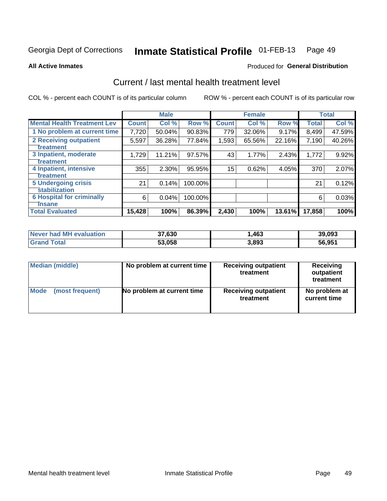#### Inmate Statistical Profile 01-FEB-13 Page 49

**All Active Inmates** 

### **Produced for General Distribution**

## Current / last mental health treatment level

COL % - percent each COUNT is of its particular column

|                                    |              | <b>Male</b> |         |              | <b>Female</b> |        |              | <b>Total</b> |
|------------------------------------|--------------|-------------|---------|--------------|---------------|--------|--------------|--------------|
| <b>Mental Health Treatment Lev</b> | <b>Count</b> | Col%        | Row %   | <b>Count</b> | Col %         | Row %  | <b>Total</b> | Col %        |
| 1 No problem at current time       | 7,720        | 50.04%      | 90.83%  | 779          | 32.06%        | 9.17%  | 8,499        | 47.59%       |
| 2 Receiving outpatient             | 5,597        | 36.28%      | 77.84%  | 1,593        | 65.56%        | 22.16% | 7,190        | 40.26%       |
| <b>Treatment</b>                   |              |             |         |              |               |        |              |              |
| 3 Inpatient, moderate              | 1,729        | 11.21%      | 97.57%  | 43           | 1.77%         | 2.43%  | 1,772        | 9.92%        |
| Treatment                          |              |             |         |              |               |        |              |              |
| 4 Inpatient, intensive             | 355          | 2.30%       | 95.95%  | 15           | 0.62%         | 4.05%  | 370          | 2.07%        |
| <b>Treatment</b>                   |              |             |         |              |               |        |              |              |
| 5 Undergoing crisis                | 21           | 0.14%       | 100.00% |              |               |        | 21           | 0.12%        |
| <b>stabilization</b>               |              |             |         |              |               |        |              |              |
| <b>6 Hospital for criminally</b>   | 6            | 0.04%       | 100.00% |              |               |        | 6            | 0.03%        |
| <b>Tinsane</b>                     |              |             |         |              |               |        |              |              |
| <b>Total Evaluated</b>             | 15,428       | 100%        | 86.39%  | 2,430        | 100%          | 13.61% | 17,858       | 100%         |

| Never had MH evaluation | 37,630 | .463  | 39,093 |
|-------------------------|--------|-------|--------|
| <b>Grand Total</b>      | 53,058 | 3,893 | 56,951 |

| Median (middle) | No problem at current time | <b>Receiving outpatient</b><br>treatment | <b>Receiving</b><br>outpatient<br>treatment |
|-----------------|----------------------------|------------------------------------------|---------------------------------------------|
| <b>Mode</b>     | No problem at current time | <b>Receiving outpatient</b>              | No problem at                               |
| (most frequent) |                            | treatment                                | current time                                |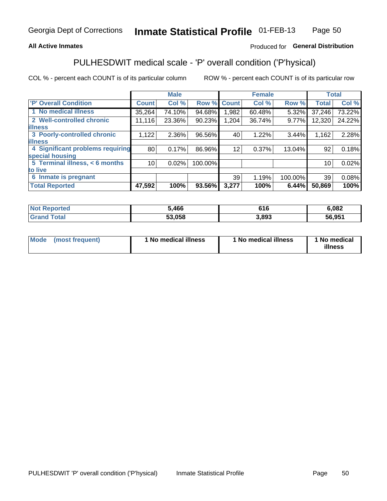### **All Active Inmates**

### Produced for General Distribution

## PULHESDWIT medical scale - 'P' overall condition ('P'hysical)

COL % - percent each COUNT is of its particular column

|                                  |                 | <b>Male</b> |         |              | <b>Female</b> |         |                 | <b>Total</b> |
|----------------------------------|-----------------|-------------|---------|--------------|---------------|---------|-----------------|--------------|
| 'P' Overall Condition            | <b>Count</b>    | Col %       | Row %   | <b>Count</b> | Col %         | Row %   | <b>Total</b>    | Col %        |
| 1 No medical illness             | 35,264          | 74.10%      | 94.68%  | 1,982        | 60.48%        | 5.32%   | 37,246          | 73.22%       |
| 2 Well-controlled chronic        | 11,116          | 23.36%      | 90.23%  | 1,204        | 36.74%        | 9.77%   | 12,320          | 24.22%       |
| <b>illness</b>                   |                 |             |         |              |               |         |                 |              |
| 3 Poorly-controlled chronic      | 1,122           | $2.36\%$    | 96.56%  | 40           | 1.22%         | 3.44%   | 1,162           | 2.28%        |
| <b>illness</b>                   |                 |             |         |              |               |         |                 |              |
| 4 Significant problems requiring | 80              | 0.17%       | 86.96%  | 12           | 0.37%         | 13.04%  | 92              | 0.18%        |
| special housing                  |                 |             |         |              |               |         |                 |              |
| 5 Terminal illness, < 6 months   | 10 <sup>1</sup> | 0.02%       | 100.00% |              |               |         | 10 <sup>1</sup> | 0.02%        |
| to live                          |                 |             |         |              |               |         |                 |              |
| 6 Inmate is pregnant             |                 |             |         | 39           | 1.19%         | 100.00% | 39              | 0.08%        |
| <b>Total Reported</b>            | 47,592          | 100%        | 93.56%  | 3,277        | 100%          | 6.44%   | 50,869          | 100%         |

|             | 5,466 | 616   | ,082   |
|-------------|-------|-------|--------|
| $5 - 6 - 1$ | גת הג | 3.893 | 56.951 |

| Mode | (most frequent) | 1 No medical illness | 1 No medical illness | 1 No medical<br>illness |
|------|-----------------|----------------------|----------------------|-------------------------|
|------|-----------------|----------------------|----------------------|-------------------------|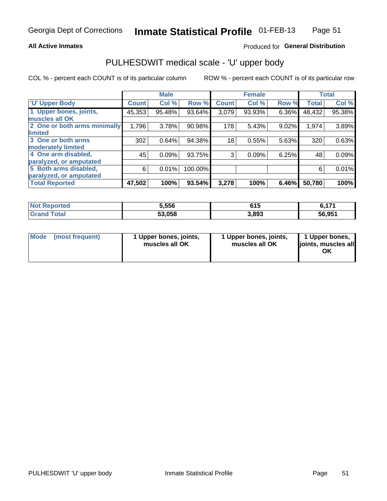#### **All Active Inmates**

### Produced for General Distribution

# PULHESDWIT medical scale - 'U' upper body

COL % - percent each COUNT is of its particular column

|                              |              | <b>Male</b> |         |              | <b>Female</b> |       |              | <b>Total</b> |
|------------------------------|--------------|-------------|---------|--------------|---------------|-------|--------------|--------------|
| <b>U' Upper Body</b>         | <b>Count</b> | Col %       | Row %   | <b>Count</b> | Col %         | Row % | <b>Total</b> | Col %        |
| 1 Upper bones, joints,       | 45,353       | 95.48%      | 93.64%  | 3,079        | 93.93%        | 6.36% | 48,432       | 95.38%       |
| muscles all OK               |              |             |         |              |               |       |              |              |
| 2 One or both arms minimally | 1,796        | 3.78%       | 90.98%  | 178          | 5.43%         | 9.02% | 1,974        | 3.89%        |
| limited                      |              |             |         |              |               |       |              |              |
| 3 One or both arms           | 302          | 0.64%       | 94.38%  | 18           | 0.55%         | 5.63% | 320          | 0.63%        |
| <b>moderately limited</b>    |              |             |         |              |               |       |              |              |
| 4 One arm disabled,          | 45           | 0.09%       | 93.75%  | 3            | 0.09%         | 6.25% | 48           | 0.09%        |
| paralyzed, or amputated      |              |             |         |              |               |       |              |              |
| 5 Both arms disabled,        | 6            | 0.01%       | 100.00% |              |               |       | 6            | 0.01%        |
| paralyzed, or amputated      |              |             |         |              |               |       |              |              |
| <b>Total Reported</b>        | 47,502       | 100%        | 93.54%  | 3,278        | 100%          | 6.46% | 50,780       | 100%         |

| <b>Not Reported</b>   | 5.556  | 615   | $\overline{A}$ |
|-----------------------|--------|-------|----------------|
| <b>Total</b><br>Grand | 53,058 | 3,893 | 56,951         |

| Mode (most frequent) | 1 Upper bones, joints,<br>muscles all OK | 1 Upper bones, joints,<br>muscles all OK | 1 Upper bones,<br>joints, muscles all<br>ΟK |
|----------------------|------------------------------------------|------------------------------------------|---------------------------------------------|
|----------------------|------------------------------------------|------------------------------------------|---------------------------------------------|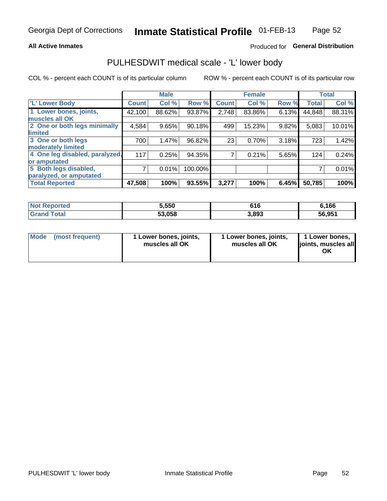#### **All Active Inmates**

## Produced for General Distribution

## PULHESDWIT medical scale - 'L' lower body

COL % - percent each COUNT is of its particular column

|                                |              | <b>Male</b> |         |              | <b>Female</b> |       |              | <b>Total</b> |
|--------------------------------|--------------|-------------|---------|--------------|---------------|-------|--------------|--------------|
| 'L' Lower Body                 | <b>Count</b> | Col %       | Row %   | <b>Count</b> | Col %         | Row % | <b>Total</b> | Col %        |
| 1 Lower bones, joints,         | 42,100       | 88.62%      | 93.87%  | 2,748        | 83.86%        | 6.13% | 44,848       | 88.31%       |
| muscles all OK                 |              |             |         |              |               |       |              |              |
| 2 One or both legs minimally   | 4,584        | 9.65%       | 90.18%  | 499          | 15.23%        | 9.82% | 5,083        | 10.01%       |
| limited                        |              |             |         |              |               |       |              |              |
| 3 One or both legs             | 700          | 1.47%       | 96.82%  | 23           | 0.70%         | 3.18% | 723          | 1.42%        |
| moderately limited             |              |             |         |              |               |       |              |              |
| 4 One leg disabled, paralyzed, | 117          | 0.25%       | 94.35%  |              | 0.21%         | 5.65% | 124          | 0.24%        |
| or amputated                   |              |             |         |              |               |       |              |              |
| 5 Both legs disabled,          |              | 0.01%       | 100.00% |              |               |       |              | 0.01%        |
| paralyzed, or amputated        |              |             |         |              |               |       |              |              |
| <b>Total Reported</b>          | 47,508       | 100%        | 93.55%  | 3,277        | 100%          | 6.45% | 50,785       | 100%         |

| <b>Not Reported</b>     | 5,550  | 616   | 6,166  |
|-------------------------|--------|-------|--------|
| <b>Total</b><br>' Grand | 53,058 | 3,893 | 56,951 |

| Mode | (most frequent) | 1 Lower bones, joints,<br>muscles all OK | 1 Lower bones, joints,<br>muscles all OK | 1 Lower bones,<br>joints, muscles all<br>ΟK |
|------|-----------------|------------------------------------------|------------------------------------------|---------------------------------------------|
|------|-----------------|------------------------------------------|------------------------------------------|---------------------------------------------|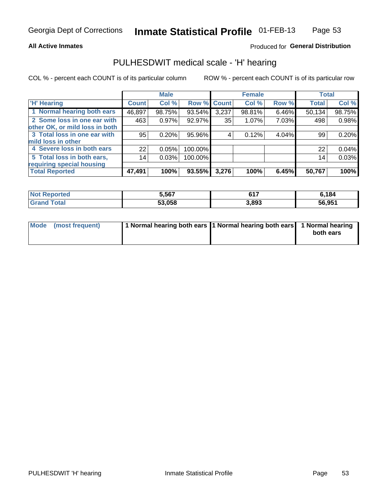#### **All Active Inmates**

### Produced for General Distribution

# PULHESDWIT medical scale - 'H' hearing

COL % - percent each COUNT is of its particular column

|                                |              | <b>Male</b> |             |       | <b>Female</b> |       | <b>Total</b> |        |
|--------------------------------|--------------|-------------|-------------|-------|---------------|-------|--------------|--------|
| <b>H'</b> Hearing              | <b>Count</b> | Col %       | Row % Count |       | Col %         | Row % | <b>Total</b> | Col %  |
| 1 Normal hearing both ears     | 46,897       | 98.75%      | 93.54%      | 3,237 | 98.81%        | 6.46% | 50,134       | 98.75% |
| 2 Some loss in one ear with    | 463          | 0.97%       | 92.97%      | 35    | 1.07%         | 7.03% | 498          | 0.98%  |
| other OK, or mild loss in both |              |             |             |       |               |       |              |        |
| 3 Total loss in one ear with   | 95           | 0.20%       | 95.96%      | 4     | 0.12%         | 4.04% | 99           | 0.20%  |
| mild loss in other             |              |             |             |       |               |       |              |        |
| 4 Severe loss in both ears     | 22           | 0.05%       | 100.00%     |       |               |       | 22           | 0.04%  |
| 5 Total loss in both ears,     | 14           | 0.03%       | 100.00%     |       |               |       | 14           | 0.03%  |
| requiring special housing      |              |             |             |       |               |       |              |        |
| <b>Total Reported</b>          | 47,491       | 100%        | $93.55\%$   | 3,276 | 100%          | 6.45% | 50,767       | 100%   |

| <b>Not Reno</b><br>ື∩rted | 5,567  | CAT   | 6.184  |
|---------------------------|--------|-------|--------|
| Total                     | 53.058 | 3,893 | 56,951 |

| Mode (most frequent) | 1 Normal hearing both ears 11 Normal hearing both ears 1 Normal hearing | both ears |
|----------------------|-------------------------------------------------------------------------|-----------|
|                      |                                                                         |           |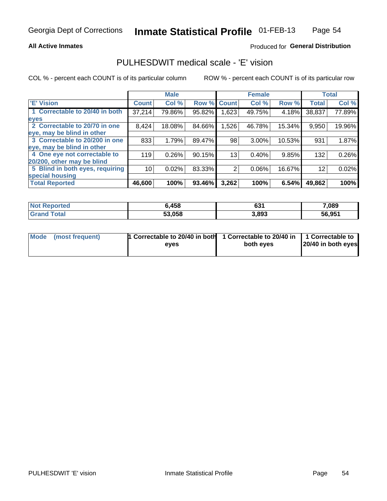#### **All Active Inmates**

### Produced for General Distribution

## PULHESDWIT medical scale - 'E' vision

COL % - percent each COUNT is of its particular column

|                                 |              | <b>Male</b> |        |              | <b>Female</b> |        |              | <b>Total</b> |
|---------------------------------|--------------|-------------|--------|--------------|---------------|--------|--------------|--------------|
| 'E' Vision                      | <b>Count</b> | Col %       | Row %  | <b>Count</b> | Col %         | Row %  | <b>Total</b> | Col %        |
| 1 Correctable to 20/40 in both  | 37,214       | 79.86%      | 95.82% | .623         | 49.75%        | 4.18%  | 38,837       | 77.89%       |
| eyes                            |              |             |        |              |               |        |              |              |
| 2 Correctable to 20/70 in one   | 8,424        | 18.08%      | 84.66% | 1,526        | 46.78%        | 15.34% | 9,950        | 19.96%       |
| eye, may be blind in other      |              |             |        |              |               |        |              |              |
| 3 Correctable to 20/200 in one  | 833          | 1.79%       | 89.47% | 98           | 3.00%         | 10.53% | 931          | 1.87%        |
| eye, may be blind in other      |              |             |        |              |               |        |              |              |
| 4 One eye not correctable to    | 119          | 0.26%       | 90.15% | 13           | 0.40%         | 9.85%  | 132          | 0.26%        |
| 20/200, other may be blind      |              |             |        |              |               |        |              |              |
| 5 Blind in both eyes, requiring | 10           | 0.02%       | 83.33% | 2            | 0.06%         | 16.67% | 12           | 0.02%        |
| special housing                 |              |             |        |              |               |        |              |              |
| <b>Total Reported</b>           | 46,600       | 100%        | 93.46% | 3,262        | 100%          | 6.54%  | 49,862       | 100%         |

| <b>Not Reported</b> | 6,458  | C91<br>ნა | 7,089  |
|---------------------|--------|-----------|--------|
| Гоtal               | 53,058 | 3,893     | 56,951 |

| Mode (most frequent) | 1 Correctable to 20/40 in both<br>eves | 1 Correctable to 20/40 in   1 Correctable to  <br>both eves | 20/40 in both eyes |
|----------------------|----------------------------------------|-------------------------------------------------------------|--------------------|
|                      |                                        |                                                             |                    |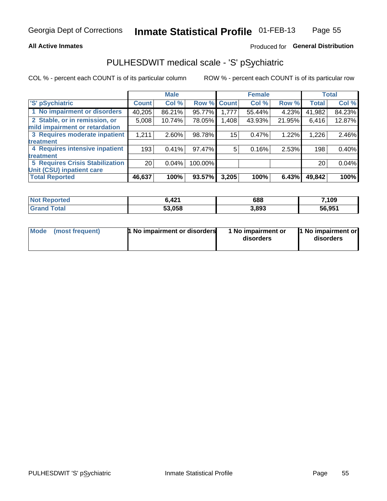#### **All Active Inmates**

### Produced for General Distribution

## PULHESDWIT medical scale - 'S' pSychiatric

COL % - percent each COUNT is of its particular column

|                                        |                 | <b>Male</b> |         |              | <b>Female</b> |        |              | <b>Total</b> |
|----------------------------------------|-----------------|-------------|---------|--------------|---------------|--------|--------------|--------------|
| 'S' pSychiatric                        | <b>Count</b>    | Col %       | Row %   | <b>Count</b> | Col %         | Row %  | <b>Total</b> | Col %        |
| 1 No impairment or disorders           | 40,205          | 86.21%      | 95.77%  | 1,777        | 55.44%        | 4.23%  | 41,982       | 84.23%       |
| 2 Stable, or in remission, or          | 5,008           | 10.74%      | 78.05%  | 1,408        | 43.93%        | 21.95% | 6,416        | 12.87%       |
| mild impairment or retardation         |                 |             |         |              |               |        |              |              |
| 3 Requires moderate inpatient          | 1,211           | 2.60%       | 98.78%  | 15           | 0.47%         | 1.22%  | 1,226        | 2.46%        |
| treatment                              |                 |             |         |              |               |        |              |              |
| 4 Requires intensive inpatient         | 193             | 0.41%       | 97.47%  | 5            | 0.16%         | 2.53%  | 198          | 0.40%        |
| treatment                              |                 |             |         |              |               |        |              |              |
| <b>5 Requires Crisis Stabilization</b> | 20 <sub>1</sub> | 0.04%       | 100.00% |              |               |        | 20           | 0.04%        |
| Unit (CSU) inpatient care              |                 |             |         |              |               |        |              |              |
| <b>Total Reported</b>                  | 46,637          | 100%        | 93.57%  | 3,205        | 100%          | 6.43%  | 49,842       | 100%         |

| <b>Not Reported</b> | 6,421  | 688   | 7,109  |
|---------------------|--------|-------|--------|
| ' Grand<br>Total    | 53,058 | 3,893 | 56,951 |

| Mode<br>1 No impairment or disorders<br>(most frequent) | 1 No impairment or<br>disorders | 1 No impairment or<br>disorders |
|---------------------------------------------------------|---------------------------------|---------------------------------|
|---------------------------------------------------------|---------------------------------|---------------------------------|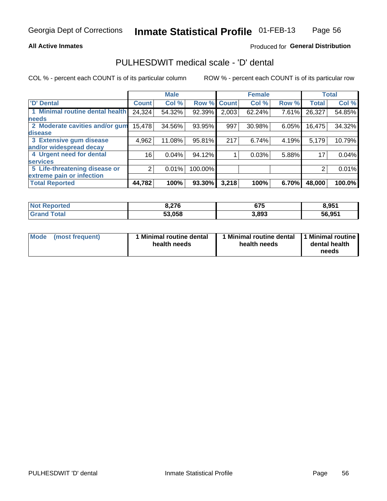#### **All Active Inmates**

### Produced for General Distribution

## PULHESDWIT medical scale - 'D' dental

COL % - percent each COUNT is of its particular column

|                                 |                 | <b>Male</b> |         |              | <b>Female</b> |       |              | <b>Total</b> |
|---------------------------------|-----------------|-------------|---------|--------------|---------------|-------|--------------|--------------|
| <b>D'</b> Dental                | <b>Count</b>    | Col %       | Row %   | <b>Count</b> | Col %         | Row % | <b>Total</b> | Col %        |
| 1 Minimal routine dental health | 24,324          | 54.32%      | 92.39%  | 2,003        | 62.24%        | 7.61% | 26,327       | 54.85%       |
| <b>needs</b>                    |                 |             |         |              |               |       |              |              |
| 2 Moderate cavities and/or gum  | 15,478          | 34.56%      | 93.95%  | 997          | 30.98%        | 6.05% | 16,475       | 34.32%       |
| disease                         |                 |             |         |              |               |       |              |              |
| 3 Extensive gum disease         | 4,962           | 11.08%      | 95.81%  | 217          | 6.74%         | 4.19% | 5,179        | 10.79%       |
| and/or widespread decay         |                 |             |         |              |               |       |              |              |
| 4 Urgent need for dental        | 16 <sub>1</sub> | 0.04%       | 94.12%  |              | 0.03%         | 5.88% | 17           | 0.04%        |
| <b>services</b>                 |                 |             |         |              |               |       |              |              |
| 5 Life-threatening disease or   | 2               | 0.01%       | 100.00% |              |               |       | 2            | 0.01%        |
| extreme pain or infection       |                 |             |         |              |               |       |              |              |
| <b>Total Reported</b>           | 44,782          | 100%        | 93.30%  | 3,218        | 100%          | 6.70% | 48,000       | 100.0%       |

| <b>Not Reported</b> | 8,276  | 675<br>07 J | 8,951  |
|---------------------|--------|-------------|--------|
| Total<br>' Grand    | 53,058 | 3,893       | 56,951 |

| 1 Minimal routine dental<br>Mode<br>(most frequent)<br>health needs | 1 Minimal routine dental 1 Minimal routine<br>health needs | dental health<br>needs |
|---------------------------------------------------------------------|------------------------------------------------------------|------------------------|
|---------------------------------------------------------------------|------------------------------------------------------------|------------------------|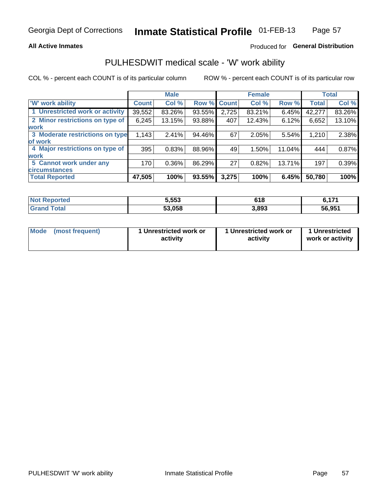### **All Active Inmates**

### Produced for General Distribution

## PULHESDWIT medical scale - 'W' work ability

COL % - percent each COUNT is of its particular column

|                                 |              | <b>Male</b> |             |       | <b>Female</b> |        |              | <b>Total</b> |
|---------------------------------|--------------|-------------|-------------|-------|---------------|--------|--------------|--------------|
| 'W' work ability                | <b>Count</b> | Col %       | Row % Count |       | Col %         | Row %  | <b>Total</b> | Col %        |
| 1 Unrestricted work or activity | 39,552       | 83.26%      | 93.55%      | 2,725 | 83.21%        | 6.45%  | 42,277       | 83.26%       |
| 2 Minor restrictions on type of | 6,245        | 13.15%      | 93.88%      | 407   | 12.43%        | 6.12%  | 6,652        | 13.10%       |
| <b>work</b>                     |              |             |             |       |               |        |              |              |
| 3 Moderate restrictions on type | 1,143        | 2.41%       | 94.46%      | 67    | 2.05%         | 5.54%  | 1,210        | 2.38%        |
| of work                         |              |             |             |       |               |        |              |              |
| 4 Major restrictions on type of | 395          | 0.83%       | 88.96%      | 49    | 1.50%         | 11.04% | 444          | 0.87%        |
| <b>work</b>                     |              |             |             |       |               |        |              |              |
| 5 Cannot work under any         | 170          | $0.36\%$    | 86.29%      | 27    | 0.82%         | 13.71% | 197          | 0.39%        |
| <b>circumstances</b>            |              |             |             |       |               |        |              |              |
| <b>Total Reported</b>           | 47,505       | 100%        | 93.55%      | 3,275 | 100%          | 6.45%  | 50,780       | 100%         |

| <b>Not Reported</b> | 5,553  | c 1 0<br>0 I O | <b>C 4 74</b><br>$0, 11$ . |
|---------------------|--------|----------------|----------------------------|
| Total<br>Grand      | 53,058 | 3,893          | 56,951                     |

| Mode            | 1 Unrestricted work or | 1 Unrestricted work or | 1 Unrestricted   |
|-----------------|------------------------|------------------------|------------------|
| (most frequent) | activity               | activity               | work or activity |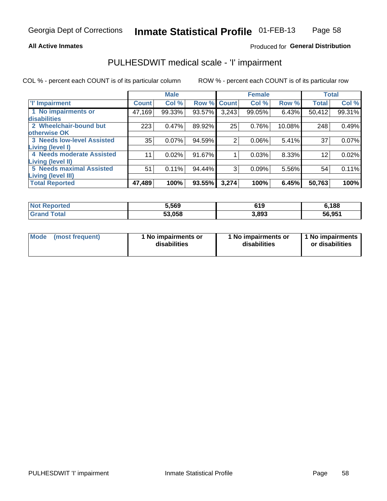#### **All Active Inmates**

### Produced for General Distribution

## PULHESDWIT medical scale - 'I' impairment

COL % - percent each COUNT is of its particular column

|                                                       |              | <b>Male</b> |        |             | <b>Female</b> |        | <b>Total</b> |        |
|-------------------------------------------------------|--------------|-------------|--------|-------------|---------------|--------|--------------|--------|
| <b>T' Impairment</b>                                  | <b>Count</b> | Col %       |        | Row % Count | Col %         | Row %  | <b>Total</b> | Col %  |
| 1 No impairments or<br>disabilities                   | 47,169       | 99.33%      | 93.57% | 3,243       | 99.05%        | 6.43%  | 50,412       | 99.31% |
| 2 Wheelchair-bound but<br>otherwise OK                | 223          | 0.47%       | 89.92% | 25          | 0.76%         | 10.08% | 248          | 0.49%  |
| <b>3 Needs low-level Assisted</b><br>Living (level I) | 35           | 0.07%       | 94.59% | 2           | 0.06%         | 5.41%  | 37           | 0.07%  |
| 4 Needs moderate Assisted<br>Living (level II)        | 11           | 0.02%       | 91.67% |             | 0.03%         | 8.33%  | 12           | 0.02%  |
| <b>5 Needs maximal Assisted</b><br>Living (level III) | 51           | 0.11%       | 94.44% | 3           | 0.09%         | 5.56%  | 54           | 0.11%  |
| <b>Total Reported</b>                                 | 47,489       | 100%        | 93.55% | 3,274       | 100%          | 6.45%  | 50,763       | 100%   |

| $^{\mathrm{H}}$ Not $\cdot$<br>Reported | 5,569  | 619   | 6,188  |
|-----------------------------------------|--------|-------|--------|
| Total                                   | 53.058 | 3,893 | 56,951 |

| Mode | (most frequent) | 1 No impairments or<br>disabilities | 1 No impairments or<br>disabilities | 1 No impairments<br>or disabilities |
|------|-----------------|-------------------------------------|-------------------------------------|-------------------------------------|
|------|-----------------|-------------------------------------|-------------------------------------|-------------------------------------|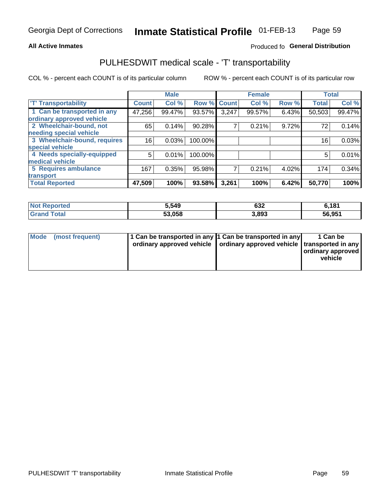#### **All Active Inmates**

### Produced fo General Distribution

## PULHESDWIT medical scale - 'T' transportability

COL % - percent each COUNT is of its particular column

|                              |              | <b>Male</b> |                    |       | <b>Female</b> |       | <b>Total</b> |        |
|------------------------------|--------------|-------------|--------------------|-------|---------------|-------|--------------|--------|
| <b>T' Transportability</b>   | <b>Count</b> | Col %       | <b>Row % Count</b> |       | Col %         | Row % | <b>Total</b> | Col %  |
| 1 Can be transported in any  | 47,256       | 99.47%      | 93.57%             | 3,247 | 99.57%        | 6.43% | 50,503       | 99.47% |
| ordinary approved vehicle    |              |             |                    |       |               |       |              |        |
| 2 Wheelchair-bound, not      | 65           | 0.14%       | 90.28%             | 7     | 0.21%         | 9.72% | 72           | 0.14%  |
| needing special vehicle      |              |             |                    |       |               |       |              |        |
| 3 Wheelchair-bound, requires | 16           | 0.03%       | 100.00%            |       |               |       | 16           | 0.03%  |
| special vehicle              |              |             |                    |       |               |       |              |        |
| 4 Needs specially-equipped   | 5            | 0.01%       | 100.00%            |       |               |       | 5            | 0.01%  |
| medical vehicle              |              |             |                    |       |               |       |              |        |
| <b>5 Requires ambulance</b>  | 167          | 0.35%       | 95.98%             | 7     | 0.21%         | 4.02% | 174          | 0.34%  |
| transport                    |              |             |                    |       |               |       |              |        |
| <b>Total Reported</b>        | 47,509       | 100%        | 93.58%             | 3,261 | 100%          | 6.42% | 50,770       | 100%   |

| orted | 5,549  | 632   | 6,181  |
|-------|--------|-------|--------|
| ⊺otal | 53.058 | 3,893 | 56.951 |

|  | Mode (most frequent) | 1 Can be transported in any 1 Can be transported in any<br>ordinary approved vehicle   ordinary approved vehicle   transported in any |  | 1 Can be<br>  ordinary approved  <br>vehicle |
|--|----------------------|---------------------------------------------------------------------------------------------------------------------------------------|--|----------------------------------------------|
|--|----------------------|---------------------------------------------------------------------------------------------------------------------------------------|--|----------------------------------------------|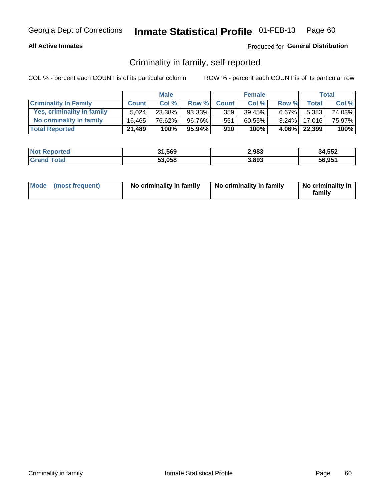### **All Active Inmates**

### Produced for General Distribution

## Criminality in family, self-reported

COL % - percent each COUNT is of its particular column

|                              |              | <b>Male</b> |           |              | <b>Female</b> |          |              | <b>Total</b> |
|------------------------------|--------------|-------------|-----------|--------------|---------------|----------|--------------|--------------|
| <b>Criminality In Family</b> | <b>Count</b> | Col%        | Row %     | <b>Count</b> | Col %         | Row %    | Total        | Col %        |
| Yes, criminality in family   | 5.024        | 23.38%      | 93.33%    | 359          | 39.45%        | $6.67\%$ | 5,383        | 24.03%       |
| No criminality in family     | 16.465       | 76.62%      | 96.76%    | 551          | 60.55%        | $3.24\%$ | 17.016       | 75.97%       |
| <b>Total Reported</b>        | 21,489       | 100%        | $95.94\%$ | 910          | 100%          |          | 4.06% 22,399 | 100%         |

| <b>Not Reported</b> | 31,569 | 2,983 | 34,552 |
|---------------------|--------|-------|--------|
| <b>Total</b>        | 53,058 | 3,893 | 56,951 |

|  | Mode (most frequent) | No criminality in family | No criminality in family | No criminality in<br>family |
|--|----------------------|--------------------------|--------------------------|-----------------------------|
|--|----------------------|--------------------------|--------------------------|-----------------------------|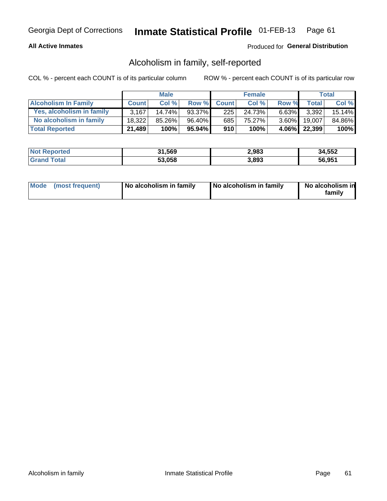### **All Active Inmates**

### Produced for General Distribution

## Alcoholism in family, self-reported

COL % - percent each COUNT is of its particular column

|                             |                     | <b>Male</b> |           |              | <b>Female</b> |          |              | Total   |
|-----------------------------|---------------------|-------------|-----------|--------------|---------------|----------|--------------|---------|
| <b>Alcoholism In Family</b> | <b>Count</b>        | Col%        | Row %     | <b>Count</b> | Col%          | Row %    | <b>Total</b> | Col %   |
| Yes, alcoholism in family   | 3.167               | 14.74%      | 93.37%    | 225          | 24.73%        | $6.63\%$ | 3.392        | 15.14%  |
| No alcoholism in family     | 18.322 <sub>1</sub> | 85.26%      | 96.40%    | 685          | 75.27%        | $3.60\%$ | 19.007       | 84.86%  |
| <b>Total Reported</b>       | 21,489              | 100%        | $95.94\%$ | 910          | 100%          |          | 4.06% 22,399 | $100\%$ |

| <b>Not Reported</b> | 31,569 | 2,983 | 34,552 |
|---------------------|--------|-------|--------|
| Гоtа                | 53,058 | 3,893 | 56,951 |

|  | Mode (most frequent) | No alcoholism in family | No alcoholism in family | No alcoholism in<br>family |
|--|----------------------|-------------------------|-------------------------|----------------------------|
|--|----------------------|-------------------------|-------------------------|----------------------------|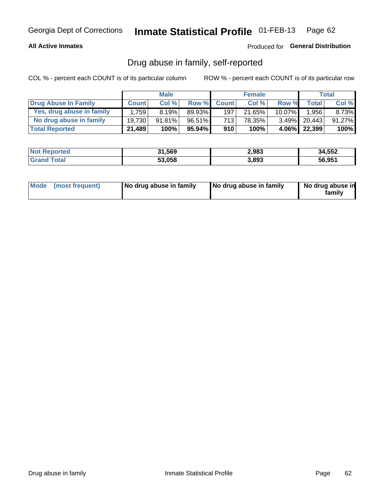### **All Active Inmates**

### Produced for General Distribution

## Drug abuse in family, self-reported

COL % - percent each COUNT is of its particular column

|                           |              | <b>Male</b> |           |              | <b>Female</b> |           |              | Total   |
|---------------------------|--------------|-------------|-----------|--------------|---------------|-----------|--------------|---------|
| Drug Abuse In Family      | <b>Count</b> | Col%        | Row %     | <b>Count</b> | Col%          | Row %     | Total        | Col %   |
| Yes, drug abuse in family | 1.759        | 8.19%       | 89.93%    | 197          | 21.65%        | $10.07\%$ | 1,956        | 8.73%   |
| No drug abuse in family   | 19.730       | $91.81\%$   | $96.51\%$ | 7131         | 78.35%        |           | 3.49% 20,443 | 91.27%  |
| <b>Total Reported</b>     | 21,489       | 100%        | $95.94\%$ | 910          | 100%          |           | 4.06% 22,399 | $100\%$ |

| <b>Not Reported</b> | 31,569 | 2,983 | 34,552 |
|---------------------|--------|-------|--------|
| Гоtа                | 53,058 | 3,893 | 56,951 |

|  | Mode (most frequent) | No drug abuse in family | No drug abuse in family | No drug abuse in<br>familv |
|--|----------------------|-------------------------|-------------------------|----------------------------|
|--|----------------------|-------------------------|-------------------------|----------------------------|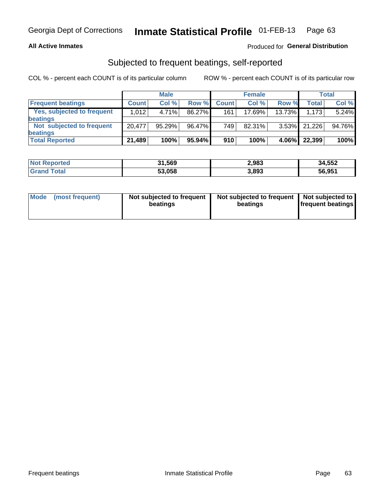#### **All Active Inmates**

### **Produced for General Distribution**

## Subjected to frequent beatings, self-reported

COL % - percent each COUNT is of its particular column

|                            |              | <b>Male</b> |        |              | <b>Female</b> |           |        | Total  |
|----------------------------|--------------|-------------|--------|--------------|---------------|-----------|--------|--------|
| <b>Frequent beatings</b>   | <b>Count</b> | Col %       | Row %  | <b>Count</b> | Col %         | Row %     | Total  | Col%   |
| Yes, subjected to frequent | 1,012        | 4.71%       | 86.27% | 161          | $17.69\%$     | $13.73\%$ | 1.173  | 5.24%  |
| beatings                   |              |             |        |              |               |           |        |        |
| Not subjected to frequent  | 20.477       | 95.29%      | 96.47% | 749          | $82.31\%$     | $3.53\%$  | 21,226 | 94.76% |
| beatings                   |              |             |        |              |               |           |        |        |
| <b>Total Reported</b>      | 21,489       | 100%        | 95.94% | 910          | 100%          | $4.06\%$  | 22,399 | 100%   |

| <b>Not Reported</b> | 31,569 | 2,983 | 34,552 |
|---------------------|--------|-------|--------|
| <b>Grand Total</b>  | 53,058 | 3,893 | 56,951 |

| Mode (most frequent) | Not subjected to frequent<br>beatings | Not subjected to frequent<br>beatings | Not subjected to<br><b>frequent beatings</b> |
|----------------------|---------------------------------------|---------------------------------------|----------------------------------------------|
|                      |                                       |                                       |                                              |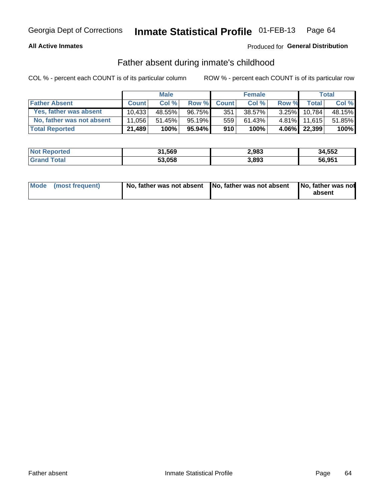### **All Active Inmates**

## Produced for General Distribution

## Father absent during inmate's childhood

COL % - percent each COUNT is of its particular column

|                           |              | <b>Male</b> |           |              | <b>Female</b> |          |              | <b>Total</b> |
|---------------------------|--------------|-------------|-----------|--------------|---------------|----------|--------------|--------------|
| <b>Father Absent</b>      | <b>Count</b> | Col%        | Row %     | <b>Count</b> | Col %         | Row %    | <b>Total</b> | Col %        |
| Yes, father was absent    | 10.433       | 48.55%      | 96.75%    | 351          | 38.57%        | $3.25\%$ | 10.784       | 48.15%       |
| No, father was not absent | 11.056       | 51.45%      | 95.19%I   | 559          | 61.43%        |          | 4.81% 11.615 | 51.85%       |
| <b>Total Reported</b>     | 21,489       | 100%        | $95.94\%$ | 910          | 100%          |          | 4.06% 22,399 | 100%         |

| <b>Not Reported</b> | 31,569 | 2,983 | 34,552 |
|---------------------|--------|-------|--------|
| Tota                | 53,058 | 3,893 | 56,951 |

|  | Mode (most frequent) | No, father was not absent No, father was not absent |  | No, father was not<br>absent |
|--|----------------------|-----------------------------------------------------|--|------------------------------|
|--|----------------------|-----------------------------------------------------|--|------------------------------|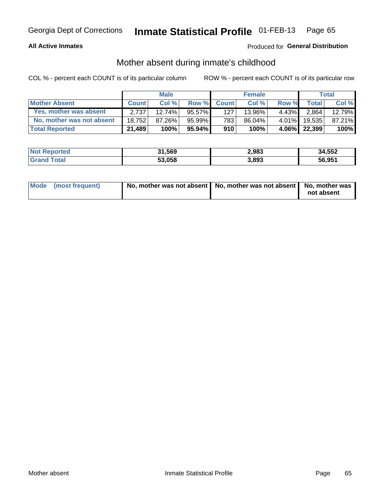### **All Active Inmates**

## Produced for General Distribution

## Mother absent during inmate's childhood

COL % - percent each COUNT is of its particular column

|                           | <b>Male</b>  |        |           | <b>Female</b> |        |          | Total        |        |
|---------------------------|--------------|--------|-----------|---------------|--------|----------|--------------|--------|
| <b>Mother Absent</b>      | <b>Count</b> | Col%   | Row %     | <b>Count</b>  | Col %  | Row %    | <b>Total</b> | Col %  |
| Yes, mother was absent    | 2.737        | 12.74% | 95.57%    | 127           | 13.96% | $4.43\%$ | 2,864        | 12.79% |
| No, mother was not absent | 18.752       | 87.26% | 95.99%    | 783           | 86.04% | $4.01\%$ | 19.535       | 87.21% |
| <b>Total Reported</b>     | 21,489       | 100%   | $95.94\%$ | 910           | 100%   |          | 4.06% 22,399 | 100%   |

| <b>Not Reported</b> | 31,569 | 2,983 | 34,552 |
|---------------------|--------|-------|--------|
| <b>Total</b>        | 53,058 | 3,893 | 56,951 |

| Mode (most frequent) | No, mother was not absent   No, mother was not absent   No, mother was | not absent |
|----------------------|------------------------------------------------------------------------|------------|
|                      |                                                                        |            |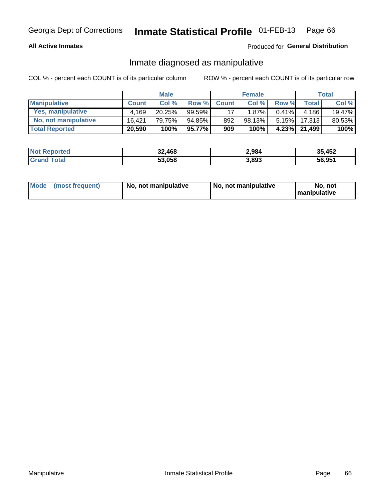### **All Active Inmates**

### Produced for General Distribution

## Inmate diagnosed as manipulative

COL % - percent each COUNT is of its particular column

|                       | <b>Male</b>  |           |        | <b>Female</b> |        |          | Total        |        |
|-----------------------|--------------|-----------|--------|---------------|--------|----------|--------------|--------|
| <b>Manipulative</b>   | <b>Count</b> | Col %     | Row %  | <b>Count</b>  | Col%   | Row %    | <b>Total</b> | Col %  |
| Yes, manipulative     | 4.169        | $20.25\%$ | 99.59% | 17            | 1.87%  | $0.41\%$ | 4.186        | 19.47% |
| No, not manipulative  | 16.421       | 79.75%    | 94.85% | 892           | 98.13% | $5.15\%$ | 17.313       | 80.53% |
| <b>Total Reported</b> | 20,590       | 100%      | 95.77% | 909           | 100%   | $4.23\%$ | 21.499       | 100%   |

| <b>Not Reported</b> | 32,468 | 2,984 | 35,452 |
|---------------------|--------|-------|--------|
| l Grand T<br>Гоtаl  | 53,058 | 3,893 | 56,951 |

|  | Mode (most frequent) | No, not manipulative | No, not manipulative | No. not<br><b>I</b> manipulative |
|--|----------------------|----------------------|----------------------|----------------------------------|
|--|----------------------|----------------------|----------------------|----------------------------------|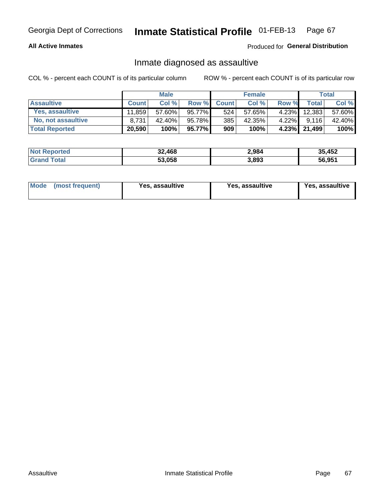### **All Active Inmates**

### Produced for General Distribution

## Inmate diagnosed as assaultive

COL % - percent each COUNT is of its particular column

|                       | <b>Male</b>  |        |        | <b>Female</b> |        |          | Total        |        |
|-----------------------|--------------|--------|--------|---------------|--------|----------|--------------|--------|
| <b>Assaultive</b>     | <b>Count</b> | Col %  | Row %  | <b>Count</b>  | Col %  | Row %    | Totall       | Col %  |
| Yes, assaultive       | 11.859       | 57.60% | 95.77% | 524           | 57.65% | $4.23\%$ | 12,383       | 57.60% |
| No, not assaultive    | 8.731        | 42.40% | 95.78% | 385           | 42.35% | $4.22\%$ | 9.116        | 42.40% |
| <b>Total Reported</b> | 20,590       | 100%   | 95.77% | 909           | 100%   |          | 4.23% 21,499 | 100%   |

| <b>Not Reported</b> | 32,468 | 2,984 | 35,452 |
|---------------------|--------|-------|--------|
| Tota                | 53,058 | 3,893 | 56,951 |

| Mode (most frequent)<br>Yes, assaultive | Yes, assaultive | <b>Yes, assaultive</b> |
|-----------------------------------------|-----------------|------------------------|
|-----------------------------------------|-----------------|------------------------|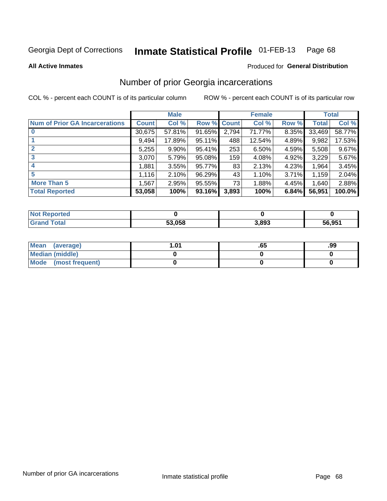#### Inmate Statistical Profile 01-FEB-13 Page 68

**All Active Inmates** 

### **Produced for General Distribution**

## Number of prior Georgia incarcerations

COL % - percent each COUNT is of its particular column

|                                       |              | <b>Male</b> |                    |       | <b>Female</b> |       |        | <b>Total</b> |
|---------------------------------------|--------------|-------------|--------------------|-------|---------------|-------|--------|--------------|
| <b>Num of Prior GA Incarcerations</b> | <b>Count</b> | Col %       | <b>Row % Count</b> |       | Col %         | Row % | Total  | Col %        |
| $\bf{0}$                              | 30,675       | 57.81%      | 91.65%             | 2,794 | 71.77%        | 8.35% | 33,469 | 58.77%       |
|                                       | 9,494        | 17.89%      | 95.11%             | 488   | 12.54%        | 4.89% | 9,982  | 17.53%       |
| $\mathbf{2}$                          | 5,255        | 9.90%       | 95.41%             | 253   | 6.50%         | 4.59% | 5,508  | 9.67%        |
| 3                                     | 3,070        | 5.79%       | 95.08%             | 159   | 4.08%         | 4.92% | 3,229  | 5.67%        |
| 4                                     | 1,881        | 3.55%       | 95.77%             | 83    | 2.13%         | 4.23% | 1,964  | 3.45%        |
| 5                                     | 1,116        | 2.10%       | 96.29%             | 43'   | 1.10%         | 3.71% | 1,159  | 2.04%        |
| <b>More Than 5</b>                    | 1,567        | 2.95%       | 95.55%             | 73    | 1.88%         | 4.45% | 1.640  | 2.88%        |
| <b>Total Reported</b>                 | 53,058       | 100%        | 93.16%             | 3,893 | 100%          | 6.84% | 56,951 | 100.0%       |

| <b>Not Reported</b> |        |       |        |
|---------------------|--------|-------|--------|
| Total               | 53.058 | 3,893 | 56,951 |

| Mean (average)       | l.01 | .oa | .99 |
|----------------------|------|-----|-----|
| Median (middle)      |      |     |     |
| Mode (most frequent) |      |     |     |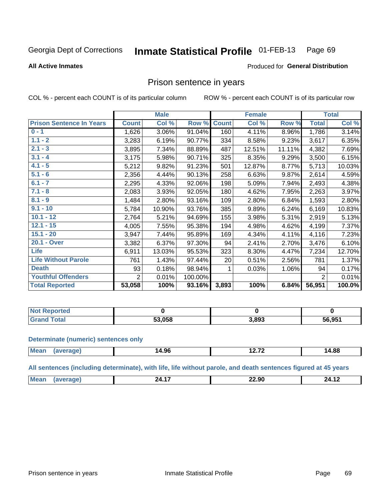#### Inmate Statistical Profile 01-FEB-13 Page 69

#### **All Active Inmates**

#### Produced for General Distribution

### Prison sentence in years

COL % - percent each COUNT is of its particular column

ROW % - percent each COUNT is of its particular row

|                                 | <b>Male</b>    |        |         |              | <b>Female</b> | <b>Total</b> |                |        |
|---------------------------------|----------------|--------|---------|--------------|---------------|--------------|----------------|--------|
| <b>Prison Sentence In Years</b> | <b>Count</b>   | Col %  | Row %   | <b>Count</b> | Col %         | Row %        | <b>Total</b>   | Col %  |
| $0 - 1$                         | 1,626          | 3.06%  | 91.04%  | 160          | 4.11%         | 8.96%        | 1,786          | 3.14%  |
| $1.1 - 2$                       | 3,283          | 6.19%  | 90.77%  | 334          | 8.58%         | 9.23%        | 3,617          | 6.35%  |
| $2.1 - 3$                       | 3,895          | 7.34%  | 88.89%  | 487          | 12.51%        | 11.11%       | 4,382          | 7.69%  |
| $3.1 - 4$                       | 3,175          | 5.98%  | 90.71%  | 325          | 8.35%         | 9.29%        | 3,500          | 6.15%  |
| $4.1 - 5$                       | 5,212          | 9.82%  | 91.23%  | 501          | 12.87%        | 8.77%        | 5,713          | 10.03% |
| $5.1 - 6$                       | 2,356          | 4.44%  | 90.13%  | 258          | 6.63%         | 9.87%        | 2,614          | 4.59%  |
| $6.1 - 7$                       | 2,295          | 4.33%  | 92.06%  | 198          | 5.09%         | 7.94%        | 2,493          | 4.38%  |
| $7.1 - 8$                       | 2,083          | 3.93%  | 92.05%  | 180          | 4.62%         | 7.95%        | 2,263          | 3.97%  |
| $8.1 - 9$                       | 1,484          | 2.80%  | 93.16%  | 109          | 2.80%         | 6.84%        | 1,593          | 2.80%  |
| $9.1 - 10$                      | 5,784          | 10.90% | 93.76%  | 385          | 9.89%         | 6.24%        | 6,169          | 10.83% |
| $10.1 - 12$                     | 2,764          | 5.21%  | 94.69%  | 155          | 3.98%         | 5.31%        | 2,919          | 5.13%  |
| $12.1 - 15$                     | 4,005          | 7.55%  | 95.38%  | 194          | 4.98%         | 4.62%        | 4,199          | 7.37%  |
| $15.1 - 20$                     | 3,947          | 7.44%  | 95.89%  | 169          | 4.34%         | 4.11%        | 4,116          | 7.23%  |
| 20.1 - Over                     | 3,382          | 6.37%  | 97.30%  | 94           | 2.41%         | 2.70%        | 3,476          | 6.10%  |
| <b>Life</b>                     | 6,911          | 13.03% | 95.53%  | 323          | 8.30%         | 4.47%        | 7,234          | 12.70% |
| <b>Life Without Parole</b>      | 761            | 1.43%  | 97.44%  | 20           | 0.51%         | 2.56%        | 781            | 1.37%  |
| <b>Death</b>                    | 93             | 0.18%  | 98.94%  |              | 0.03%         | 1.06%        | 94             | 0.17%  |
| <b>Youthful Offenders</b>       | $\overline{2}$ | 0.01%  | 100.00% |              |               |              | $\overline{2}$ | 0.01%  |
| <b>Total Reported</b>           | 53,058         | 100%   | 93.16%  | 3,893        | 100%          | 6.84%        | 56,951         | 100.0% |

| <b>Not Reported</b> |        |       |        |  |
|---------------------|--------|-------|--------|--|
| $\sim$<br>. Cars    | 53.058 | 3,893 | 56,951 |  |

#### **Determinate (numeric) sentences only**

| <b>Mean</b> | ΩG<br>14.YO | $\sim -$<br>. | 14.88 |
|-------------|-------------|---------------|-------|
|             |             |               |       |

All sentences (including determinate), with life, life without parole, and death sentences figured at 45 years

| IМ | $\sim$<br>,,<br>. | $\sim$<br>___ | ,,<br>. . |
|----|-------------------|---------------|-----------|
|    |                   |               |           |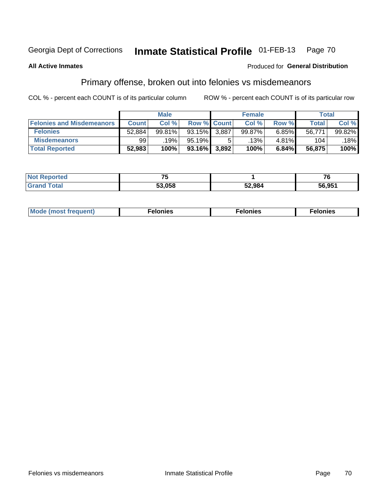#### Inmate Statistical Profile 01-FEB-13 Page 70

#### **All Active Inmates**

#### Produced for General Distribution

## Primary offense, broken out into felonies vs misdemeanors

COL % - percent each COUNT is of its particular column

|                                  | <b>Male</b>  |        |         | <b>Female</b>      |         |       | Total        |        |
|----------------------------------|--------------|--------|---------|--------------------|---------|-------|--------------|--------|
| <b>Felonies and Misdemeanors</b> | <b>Count</b> | Col %  |         | <b>Row % Count</b> | Col %   | Row % | <b>Total</b> | Col %  |
| <b>Felonies</b>                  | 52,884       | 99.81% | 93.15%  | 3.887              | 99.87%  | 6.85% | 56,771       | 99.82% |
| <b>Misdemeanors</b>              | 99           | 19%    | 95.19%  |                    | $.13\%$ | 4.81% | 104          | 18%    |
| <b>Total Reported</b>            | 52,983       | 100%   | 93.16%I | 3,892              | 100%    | 6.84% | 56,875       | 100%   |

| <b>Not Reported</b>    | --     |        | - -<br>'Q |
|------------------------|--------|--------|-----------|
| <b>∣Grand</b><br>Гоtal | 53.058 | 52,984 | 56,951    |

| Mo | ____ | 11 C.S<br>. | onies<br>. |
|----|------|-------------|------------|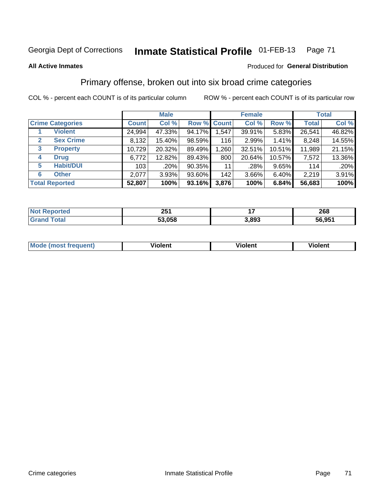## Georgia Dept of Corrections **Inmate Statistical Profile** 01-FEB-13 Page 71

#### **All Active Inmates**

#### Produced for **General Distribution**

## Primary offense, broken out into six broad crime categories

COL % - percent each COUNT is of its particular column ROW % - percent each COUNT is of its particular row

|                                 | <b>Male</b>  |        |        | <b>Female</b> |        |        | <b>Total</b> |        |
|---------------------------------|--------------|--------|--------|---------------|--------|--------|--------------|--------|
| <b>Crime Categories</b>         | <b>Count</b> | Col %  |        | Row % Count   | Col %  | Row %  | <b>Total</b> | Col %  |
| <b>Violent</b>                  | 24,994       | 47.33% | 94.17% | 1,547         | 39.91% | 5.83%  | 26,541       | 46.82% |
| <b>Sex Crime</b><br>2           | 8,132        | 15.40% | 98.59% | 116           | 2.99%  | 1.41%  | 8,248        | 14.55% |
| $\mathbf{3}$<br><b>Property</b> | 10,729       | 20.32% | 89.49% | 1,260         | 32.51% | 10.51% | 11,989       | 21.15% |
| <b>Drug</b><br>4                | 6,772        | 12.82% | 89.43% | 800           | 20.64% | 10.57% | 7,572        | 13.36% |
| <b>Habit/DUI</b><br>5           | 103          | .20%   | 90.35% | 11            | .28%   | 9.65%  | 114          | .20%   |
| <b>Other</b><br>6               | 2,077        | 3.93%  | 93.60% | 142           | 3.66%  | 6.40%  | 2,219        | 3.91%  |
| <b>Total Reported</b>           | 52,807       | 100%   | 93.16% | 3,876         | 100%   | 6.84%  | 56,683       | 100%   |

| τeα<br>NO | <b>OE4</b><br>LJ I |       | 268             |
|-----------|--------------------|-------|-----------------|
| $\sim$    | .058<br>гΛ         | 3.893 | $56.95^{\circ}$ |

| Mo<br>uent)<br>nos | .<br>/iolent | <br>Violent | - --<br><b>Tiolent</b> |
|--------------------|--------------|-------------|------------------------|
|                    |              |             |                        |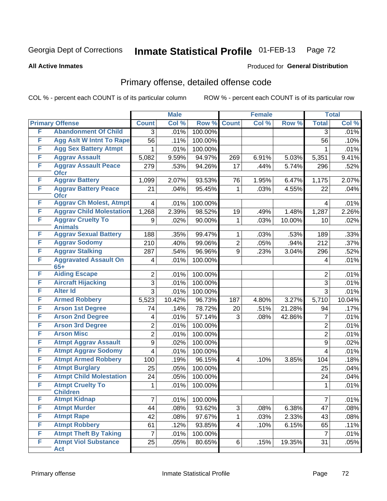## Georgia Dept of Corrections **Inmate Statistical Profile** 01-FEB-13 Page 72

Produced for **General Distribution**

#### **All Active Inmates**

## Primary offense, detailed offense code

COL % - percent each COUNT is of its particular column ROW % - percent each COUNT is of its particular row

|   |                                            |                | <b>Male</b> |         |                         | <b>Female</b> |                     |                  | <b>Total</b> |
|---|--------------------------------------------|----------------|-------------|---------|-------------------------|---------------|---------------------|------------------|--------------|
|   | <b>Primary Offense</b>                     | <b>Count</b>   | Col %       | Row %   | <b>Count</b>            | Col %         | Row %               | <b>Total</b>     | Col %        |
| F | <b>Abandonment Of Child</b>                | 3              | .01%        | 100.00% |                         |               |                     | 3                | .01%         |
| F | <b>Agg Aslt W Intnt To Rape</b>            | 56             | .11%        | 100.00% |                         |               |                     | 56               | .10%         |
| F | <b>Agg Sex Battery Atmpt</b>               | 1              | .01%        | 100.00% |                         |               |                     | 1                | .01%         |
| F | <b>Aggrav Assault</b>                      | 5,082          | 9.59%       | 94.97%  | 269                     | 6.91%         | 5.03%               | 5,351            | 9.41%        |
| F | <b>Aggrav Assault Peace</b><br><b>Ofcr</b> | 279            | .53%        | 94.26%  | 17                      | .44%          | $\overline{5.74\%}$ | 296              | .52%         |
| F | <b>Aggrav Battery</b>                      | 1,099          | 2.07%       | 93.53%  | 76                      | 1.95%         | 6.47%               | 1,175            | 2.07%        |
| F | <b>Aggrav Battery Peace</b><br><b>Ofcr</b> | 21             | .04%        | 95.45%  | 1                       | .03%          | 4.55%               | 22               | .04%         |
| F | <b>Aggrav Ch Molest, Atmpt</b>             | 4              | .01%        | 100.00% |                         |               |                     | 4                | .01%         |
| F | <b>Aggrav Child Molestation</b>            | 1,268          | 2.39%       | 98.52%  | 19                      | .49%          | 1.48%               | 1,287            | 2.26%        |
| F | <b>Aggrav Cruelty To</b><br><b>Animals</b> | 9              | .02%        | 90.00%  | 1                       | .03%          | 10.00%              | 10               | .02%         |
| F | <b>Aggrav Sexual Battery</b>               | 188            | .35%        | 99.47%  | 1                       | .03%          | .53%                | 189              | .33%         |
| F | <b>Aggrav Sodomy</b>                       | 210            | .40%        | 99.06%  | $\overline{2}$          | .05%          | .94%                | $\overline{212}$ | .37%         |
| F | <b>Aggrav Stalking</b>                     | 287            | .54%        | 96.96%  | 9                       | .23%          | 3.04%               | 296              | .52%         |
| F | <b>Aggravated Assault On</b><br>$65+$      | 4              | .01%        | 100.00% |                         |               |                     | 4                | .01%         |
| F | <b>Aiding Escape</b>                       | $\overline{2}$ | .01%        | 100.00% |                         |               |                     | $\overline{2}$   | .01%         |
| F | <b>Aircraft Hijacking</b>                  | 3              | .01%        | 100.00% |                         |               |                     | 3                | .01%         |
| F | <b>Alter Id</b>                            | $\overline{3}$ | .01%        | 100.00% |                         |               |                     | 3                | .01%         |
| F | <b>Armed Robbery</b>                       | 5,523          | 10.42%      | 96.73%  | 187                     | 4.80%         | 3.27%               | 5,710            | 10.04%       |
| F | <b>Arson 1st Degree</b>                    | 74             | .14%        | 78.72%  | 20                      | .51%          | 21.28%              | 94               | .17%         |
| F | <b>Arson 2nd Degree</b>                    | 4              | .01%        | 57.14%  | 3                       | .08%          | 42.86%              | 7                | .01%         |
| F | <b>Arson 3rd Degree</b>                    | $\overline{2}$ | .01%        | 100.00% |                         |               |                     | $\overline{2}$   | .01%         |
| F | <b>Arson Misc</b>                          | $\overline{2}$ | .01%        | 100.00% |                         |               |                     | $\overline{2}$   | .01%         |
| F | <b>Atmpt Aggrav Assault</b>                | 9              | .02%        | 100.00% |                         |               |                     | 9                | .02%         |
| F | <b>Atmpt Aggrav Sodomy</b>                 | $\overline{4}$ | .01%        | 100.00% |                         |               |                     | 4                | .01%         |
| F | <b>Atmpt Armed Robbery</b>                 | 100            | .19%        | 96.15%  | $\overline{\mathbf{4}}$ | .10%          | 3.85%               | 104              | .18%         |
| F | <b>Atmpt Burglary</b>                      | 25             | .05%        | 100.00% |                         |               |                     | 25               | .04%         |
| F | <b>Atmpt Child Molestation</b>             | 24             | .05%        | 100.00% |                         |               |                     | 24               | .04%         |
| F | <b>Atmpt Cruelty To</b><br><b>Children</b> | 1              | .01%        | 100.00% |                         |               |                     | $\mathbf 1$      | .01%         |
| F | <b>Atmpt Kidnap</b>                        | 7              | .01%        | 100.00% |                         |               |                     | $\overline{7}$   | .01%         |
| F | <b>Atmpt Murder</b>                        | 44             | .08%        | 93.62%  | 3                       | .08%          | 6.38%               | 47               | .08%         |
| F | <b>Atmpt Rape</b>                          | 42             | .08%        | 97.67%  | $\mathbf{1}$            | .03%          | 2.33%               | 43               | .08%         |
| F | <b>Atmpt Robbery</b>                       | 61             | .12%        | 93.85%  | $\overline{\mathbf{4}}$ | .10%          | 6.15%               | 65               | .11%         |
| F | <b>Atmpt Theft By Taking</b>               | $\overline{7}$ | .01%        | 100.00% |                         |               |                     | $\overline{7}$   | .01%         |
| F | <b>Atmpt Viol Substance</b><br>Act         | 25             | .05%        | 80.65%  | $6 \mid$                | .15%          | 19.35%              | 31               | .05%         |
|   |                                            |                |             |         |                         |               |                     |                  |              |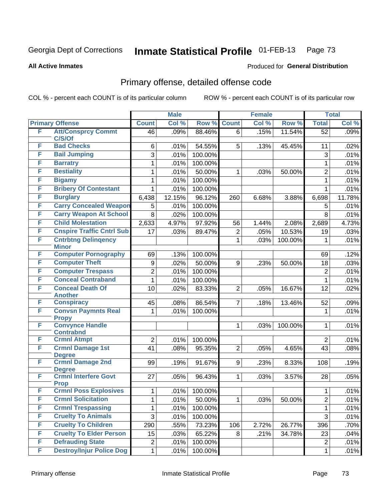**All Active Inmates**

#### Produced for **General Distribution**

### Primary offense, detailed offense code

|   |                                             |                  | <b>Male</b> |         |                | <b>Female</b> |         |                  | <b>Total</b> |
|---|---------------------------------------------|------------------|-------------|---------|----------------|---------------|---------|------------------|--------------|
|   | <b>Primary Offense</b>                      | <b>Count</b>     | Col %       | Row %   | <b>Count</b>   | Col %         | Row %   | <b>Total</b>     | Col %        |
| F | <b>Att/Consprcy Commt</b>                   | 46               | .09%        | 88.46%  | 6              | .15%          | 11.54%  | $\overline{52}$  | .09%         |
| F | C/S/Of<br><b>Bad Checks</b>                 | 6                | .01%        | 54.55%  | 5              | .13%          | 45.45%  | 11               | .02%         |
| F | <b>Bail Jumping</b>                         | 3                | .01%        | 100.00% |                |               |         | 3                | .01%         |
| F | <b>Barratry</b>                             | 1                | .01%        | 100.00% |                |               |         | $\mathbf{1}$     | .01%         |
| F | <b>Bestiality</b>                           | 1                | .01%        | 50.00%  | 1              | .03%          | 50.00%  | $\overline{c}$   | .01%         |
| F | <b>Bigamy</b>                               | 1                | .01%        | 100.00% |                |               |         | $\mathbf{1}$     | .01%         |
| F | <b>Bribery Of Contestant</b>                | 1                | .01%        | 100.00% |                |               |         | 1                | .01%         |
| F | <b>Burglary</b>                             | 6,438            | 12.15%      | 96.12%  | 260            | 6.68%         | 3.88%   | 6,698            | 11.78%       |
| F | <b>Carry Concealed Weapon</b>               | 5                | .01%        | 100.00% |                |               |         | 5                | .01%         |
| F | <b>Carry Weapon At School</b>               | 8                | .02%        | 100.00% |                |               |         | 8                | .01%         |
| F | <b>Child Molestation</b>                    | 2,633            | 4.97%       | 97.92%  | 56             | 1.44%         | 2.08%   | 2,689            | 4.73%        |
| F | <b>Cnspire Traffic Cntrl Sub</b>            | 17               | .03%        | 89.47%  | 2              | .05%          | 10.53%  | 19               | .03%         |
| F | <b>Cntrbtng Delingency</b>                  |                  |             |         | 1              | .03%          | 100.00% | 1                | .01%         |
| F | <b>Minor</b><br><b>Computer Pornography</b> | 69               | .13%        | 100.00% |                |               |         | 69               | .12%         |
| F | <b>Computer Theft</b>                       | $\boldsymbol{9}$ | .02%        | 50.00%  | 9              | .23%          | 50.00%  | 18               | .03%         |
| F | <b>Computer Trespass</b>                    | $\overline{c}$   | .01%        | 100.00% |                |               |         | $\boldsymbol{2}$ | .01%         |
| F | <b>Conceal Contraband</b>                   | 1                | .01%        | 100.00% |                |               |         | 1                | .01%         |
| F | <b>Conceal Death Of</b>                     | 10               | .02%        | 83.33%  | $\overline{2}$ | .05%          | 16.67%  | 12               | .02%         |
|   | <b>Another</b>                              |                  |             |         |                |               |         |                  |              |
| F | <b>Conspiracy</b>                           | 45               | .08%        | 86.54%  | 7              | .18%          | 13.46%  | 52               | .09%         |
| F | <b>Convsn Paymnts Real</b>                  | 1                | .01%        | 100.00% |                |               |         | $\mathbf{1}$     | .01%         |
| F | <b>Propy</b><br><b>Convynce Handle</b>      |                  |             |         | 1              |               |         |                  | .01%         |
|   | <b>Contrabnd</b>                            |                  |             |         |                | .03%          | 100.00% | 1                |              |
| F | <b>Crmnl Atmpt</b>                          | $\boldsymbol{2}$ | .01%        | 100.00% |                |               |         | $\boldsymbol{2}$ | .01%         |
| F | <b>Crmnl Damage 1st</b>                     | 41               | .08%        | 95.35%  | $\overline{2}$ | .05%          | 4.65%   | 43               | .08%         |
|   | <b>Degree</b>                               |                  |             |         |                |               |         |                  |              |
| F | <b>Crmnl Damage 2nd</b><br><b>Degree</b>    | 99               | .19%        | 91.67%  | 9              | .23%          | 8.33%   | 108              | .19%         |
| F | <b>Crmnl Interfere Govt</b>                 | 27               | .05%        | 96.43%  | 1              | .03%          | 3.57%   | 28               | .05%         |
|   | <b>Prop</b>                                 |                  |             |         |                |               |         |                  |              |
| F | <b>Crmnl Poss Explosives</b>                | 1                | .01%        | 100.00% |                |               |         | 1                | .01%         |
| F | <b>Crmnl Solicitation</b>                   | 1                | .01%        | 50.00%  | 1              | .03%          | 50.00%  | 2                | .01%         |
| F | <b>Crmnl Trespassing</b>                    | 1                | .01%        | 100.00% |                |               |         | 1                | .01%         |
| F | <b>Cruelty To Animals</b>                   | $\mathfrak{S}$   | .01%        | 100.00% |                |               |         | 3                | .01%         |
| F | <b>Cruelty To Children</b>                  | 290              | .55%        | 73.23%  | 106            | 2.72%         | 26.77%  | 396              | .70%         |
| F | <b>Cruelty To Elder Person</b>              | 15               | .03%        | 65.22%  | 8              | .21%          | 34.78%  | 23               | .04%         |
| F | <b>Defrauding State</b>                     | $\boldsymbol{2}$ | .01%        | 100.00% |                |               |         | $\overline{c}$   | .01%         |
| F | <b>Destroy/Injur Police Dog</b>             | 1                | .01%        | 100.00% |                |               |         | 1                | .01%         |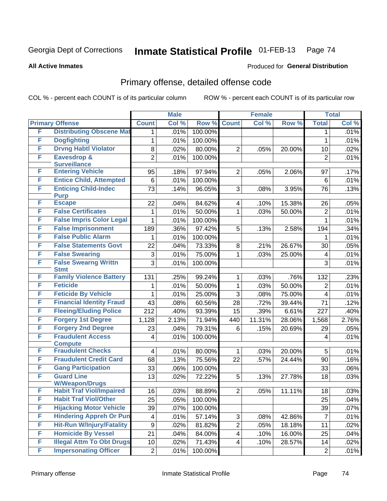**All Active Inmates**

#### Produced for **General Distribution**

### Primary offense, detailed offense code

|   |                                                          |                         | <b>Male</b> |         |                | <b>Female</b> |        |                | <b>Total</b> |
|---|----------------------------------------------------------|-------------------------|-------------|---------|----------------|---------------|--------|----------------|--------------|
|   | <b>Primary Offense</b>                                   | <b>Count</b>            | Col %       | Row %   | <b>Count</b>   | Col %         | Row %  | <b>Total</b>   | Col %        |
| F | <b>Distributing Obscene Mat</b>                          | 1.                      | .01%        | 100.00% |                |               |        | 1              | .01%         |
| F | <b>Dogfighting</b>                                       | 1                       | .01%        | 100.00% |                |               |        | 1              | .01%         |
| F | <b>Drvng Habtl Violator</b>                              | 8                       | .02%        | 80.00%  | $\overline{2}$ | .05%          | 20.00% | 10             | .02%         |
| F | <b>Eavesdrop &amp;</b>                                   | $\overline{2}$          | .01%        | 100.00% |                |               |        | $\overline{2}$ | .01%         |
|   | <b>Surveillance</b>                                      |                         |             |         |                |               |        |                |              |
| F | <b>Entering Vehicle</b>                                  | 95                      | .18%        | 97.94%  | $\overline{2}$ | .05%          | 2.06%  | 97             | .17%         |
| F | <b>Entice Child, Attempted</b>                           | 6                       | .01%        | 100.00% |                |               |        | 6              | .01%         |
| F | <b>Enticing Child-Indec</b>                              | 73                      | .14%        | 96.05%  | 3              | .08%          | 3.95%  | 76             | .13%         |
| F | <b>Purp</b><br><b>Escape</b>                             | 22                      | .04%        | 84.62%  | $\overline{4}$ | .10%          | 15.38% | 26             | .05%         |
| F | <b>False Certificates</b>                                | 1                       | .01%        | 50.00%  | $\mathbf{1}$   | .03%          | 50.00% | $\overline{2}$ | .01%         |
| F | <b>False Impris Color Legal</b>                          |                         |             |         |                |               |        |                |              |
| F | <b>False Imprisonment</b>                                | 1                       | .01%        | 100.00% |                |               |        | 1              | .01%         |
|   |                                                          | 189                     | .36%        | 97.42%  | 5              | .13%          | 2.58%  | 194            | .34%         |
| F | <b>False Public Alarm</b>                                | 1                       | .01%        | 100.00% |                |               |        | 1              | .01%         |
| F | <b>False Statements Govt</b>                             | 22                      | .04%        | 73.33%  | 8              | .21%          | 26.67% | 30             | .05%         |
| F | <b>False Swearing</b>                                    | 3                       | .01%        | 75.00%  | 1              | .03%          | 25.00% | 4              | .01%         |
| F | <b>False Swearng Writtn</b><br><b>Stmt</b>               | 3                       | .01%        | 100.00% |                |               |        | 3              | .01%         |
| F | <b>Family Violence Battery</b>                           | 131                     | .25%        | 99.24%  | $\mathbf 1$    | .03%          | .76%   | 132            | .23%         |
| F | <b>Feticide</b>                                          | 1                       | .01%        | 50.00%  | 1              | .03%          | 50.00% | $\overline{2}$ | .01%         |
| F | <b>Feticide By Vehicle</b>                               | 1                       | .01%        | 25.00%  | $\overline{3}$ | .08%          | 75.00% | $\overline{4}$ | .01%         |
| F | <b>Financial Identity Fraud</b>                          | 43                      | .08%        | 60.56%  | 28             | .72%          | 39.44% | 71             | .12%         |
| F | <b>Fleeing/Eluding Police</b>                            | $\overline{2}12$        | .40%        | 93.39%  | 15             | .39%          | 6.61%  | 227            | .40%         |
| F | <b>Forgery 1st Degree</b>                                | 1,128                   | 2.13%       | 71.94%  | 440            | 11.31%        | 28.06% | 1,568          | 2.76%        |
| F | <b>Forgery 2nd Degree</b>                                | 23                      | .04%        | 79.31%  | 6              | .15%          | 20.69% | 29             | .05%         |
| F | <b>Fraudulent Access</b>                                 | 4                       | .01%        | 100.00% |                |               |        | $\overline{4}$ | .01%         |
|   | <b>Compute</b>                                           |                         |             |         |                |               |        |                |              |
| F | <b>Fraudulent Checks</b>                                 | 4                       | .01%        | 80.00%  | $\mathbf{1}$   | .03%          | 20.00% | 5              | .01%         |
| F | <b>Fraudulent Credit Card</b>                            | 68                      | .13%        | 75.56%  | 22             | .57%          | 24.44% | 90             | .16%         |
| F | <b>Gang Participation</b>                                | 33                      | .06%        | 100.00% |                |               |        | 33             | $.06\%$      |
| F | <b>Guard Line</b>                                        | 13                      | .02%        | 72.22%  | 5              | .13%          | 27.78% | 18             | .03%         |
| F | <b>W/Weapon/Drugs</b><br><b>Habit Traf Viol/Impaired</b> | 16                      |             |         | 2 <sup>1</sup> |               | 11.11% | 18             |              |
| F | <b>Habit Traf Viol/Other</b>                             |                         | .03%        | 88.89%  |                | .05%          |        |                | .03%         |
| F |                                                          | 25                      | .05%        | 100.00% |                |               |        | 25             | .04%         |
|   | <b>Hijacking Motor Vehicle</b>                           | 39                      | .07%        | 100.00% |                |               |        | 39             | .07%         |
| F | <b>Hindering Appreh Or Pun</b>                           | $\overline{\mathbf{4}}$ | .01%        | 57.14%  | 3              | .08%          | 42.86% | $\overline{7}$ | .01%         |
| F | <b>Hit-Run W/Injury/Fatality</b>                         | 9                       | .02%        | 81.82%  | $\overline{2}$ | .05%          | 18.18% | 11             | .02%         |
| F | <b>Homicide By Vessel</b>                                | $\overline{21}$         | .04%        | 84.00%  | $\overline{4}$ | .10%          | 16.00% | 25             | .04%         |
| F | <b>Illegal Attm To Obt Drugs</b>                         | 10                      | .02%        | 71.43%  | $\overline{4}$ | .10%          | 28.57% | 14             | .02%         |
| F | <b>Impersonating Officer</b>                             | $\overline{2}$          | .01%        | 100.00% |                |               |        | $\overline{2}$ | .01%         |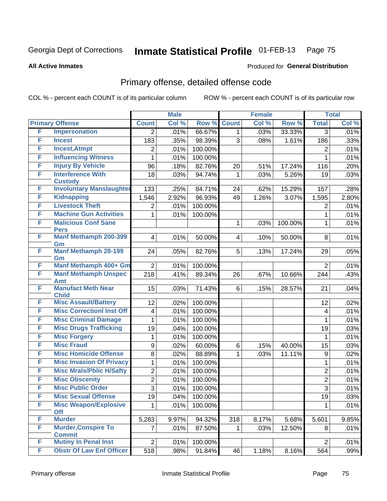#### **All Active Inmates**

#### Produced for **General Distribution**

### Primary offense, detailed offense code

|        |                                             |                  | <b>Male</b> |         |              | <b>Female</b> |         |                  | <b>Total</b> |
|--------|---------------------------------------------|------------------|-------------|---------|--------------|---------------|---------|------------------|--------------|
|        | <b>Primary Offense</b>                      | <b>Count</b>     | Col %       | Row %   | <b>Count</b> | Col %         | Row %   | <b>Total</b>     | Col %        |
| F      | <b>Impersonation</b>                        | $\overline{2}$   | .01%        | 66.67%  | 1            | .03%          | 33.33%  | $\overline{3}$   | .01%         |
| F      | <b>Incest</b>                               | 183              | .35%        | 98.39%  | 3            | .08%          | 1.61%   | 186              | .33%         |
| F      | <b>Incest, Atmpt</b>                        | $\overline{2}$   | .01%        | 100.00% |              |               |         | $\overline{2}$   | .01%         |
| F      | <b>Influencing Witness</b>                  | $\mathbf{1}$     | .01%        | 100.00% |              |               |         | $\mathbf{1}$     | .01%         |
| F      | <b>Injury By Vehicle</b>                    | 96               | .18%        | 82.76%  | 20           | .51%          | 17.24%  | 116              | .20%         |
| F      | <b>Interference With</b>                    | 18               | .03%        | 94.74%  | 1            | .03%          | 5.26%   | 19               | .03%         |
|        | <b>Custody</b>                              |                  |             |         |              |               |         |                  |              |
| F      | <b>Involuntary Manslaughter</b>             | 133              | .25%        | 84.71%  | 24           | .62%          | 15.29%  | 157              | .28%         |
| F      | <b>Kidnapping</b>                           | 1,546            | 2.92%       | 96.93%  | 49           | 1.26%         | 3.07%   | 1,595            | 2.80%        |
| F      | <b>Livestock Theft</b>                      | $\overline{2}$   | .01%        | 100.00% |              |               |         | $\overline{2}$   | .01%         |
| F      | <b>Machine Gun Activities</b>               | 1                | .01%        | 100.00% |              |               |         | $\mathbf{1}$     | .01%         |
| F      | <b>Malicious Conf Sane</b><br><b>Pers</b>   |                  |             |         | 1            | .03%          | 100.00% | $\mathbf{1}$     | .01%         |
| F      | Manf Methamph 200-399                       | 4                | .01%        | 50.00%  | 4            | .10%          | 50.00%  | 8                | .01%         |
|        | Gm                                          |                  |             |         |              |               |         |                  |              |
| F      | <b>Manf Methamph 28-199</b>                 | 24               | .05%        | 82.76%  | 5            | .13%          | 17.24%  | 29               | .05%         |
|        | Gm                                          |                  |             |         |              |               |         |                  |              |
| F      | Manf Methamph 400+ Gm                       | $\overline{2}$   | .01%        | 100.00% |              |               |         | $\overline{2}$   | .01%         |
| F      | <b>Manf Methamph Unspec</b><br><b>Amt</b>   | 218              | .41%        | 89.34%  | 26           | .67%          | 10.66%  | 244              | .43%         |
| F      | <b>Manufact Meth Near</b>                   | 15               | .03%        | 71.43%  | 6            | .15%          | 28.57%  | 21               | .04%         |
|        | <b>Child</b>                                |                  |             |         |              |               |         |                  |              |
| F      | <b>Misc Assault/Battery</b>                 | 12               | .02%        | 100.00% |              |               |         | 12               | .02%         |
| F      | <b>Misc CorrectionI Inst Off</b>            | 4                | .01%        | 100.00% |              |               |         | 4                | .01%         |
| F      | <b>Misc Criminal Damage</b>                 | 1                | .01%        | 100.00% |              |               |         | 1                | .01%         |
| F      | <b>Misc Drugs Trafficking</b>               | 19               | .04%        | 100.00% |              |               |         | 19               | .03%         |
| F      | <b>Misc Forgery</b>                         | 1                | .01%        | 100.00% |              |               |         | 1                | .01%         |
| F      | <b>Misc Fraud</b>                           | $\boldsymbol{9}$ | .02%        | 60.00%  | 6            | .15%          | 40.00%  | 15               | .03%         |
| F      | <b>Misc Homicide Offense</b>                | 8                | .02%        | 88.89%  | 1            | .03%          | 11.11%  | $\boldsymbol{9}$ | .02%         |
| F      | <b>Misc Invasion Of Privacy</b>             | $\mathbf 1$      | .01%        | 100.00% |              |               |         | $\mathbf{1}$     | .01%         |
| F      | <b>Misc Mrals/Pblic H/Safty</b>             | $\overline{2}$   | .01%        | 100.00% |              |               |         | $\overline{2}$   | .01%         |
| F      | <b>Misc Obscenity</b>                       | $\overline{2}$   | .01%        | 100.00% |              |               |         | $\overline{2}$   | .01%         |
| F      | <b>Misc Public Order</b>                    | 3                | .01%        | 100.00% |              |               |         | $\overline{3}$   | .01%         |
| F      | <b>Misc Sexual Offense</b>                  | 19               | .04%        | 100.00% |              |               |         | 19               | .03%         |
| F      | <b>Misc Weapon/Explosive</b>                | 1                | .01%        | 100.00% |              |               |         |                  | .01%         |
|        | Off                                         |                  |             |         |              |               |         |                  |              |
| F<br>F | <b>Murder</b>                               | 5,283            | 9.97%       | 94.32%  | 318          | 8.17%         | 5.68%   | 5,601            | 9.85%        |
|        | <b>Murder, Conspire To</b><br><b>Commit</b> | $\overline{7}$   | .01%        | 87.50%  | 1.           | .03%          | 12.50%  | 8                | .01%         |
| F      | <b>Mutiny In Penal Inst</b>                 | $\overline{2}$   | .01%        | 100.00% |              |               |         | $\overline{2}$   | .01%         |
| F      | <b>Obstr Of Law Enf Officer</b>             | 518              | .98%        | 91.84%  | 46           | 1.18%         | 8.16%   | 564              | .99%         |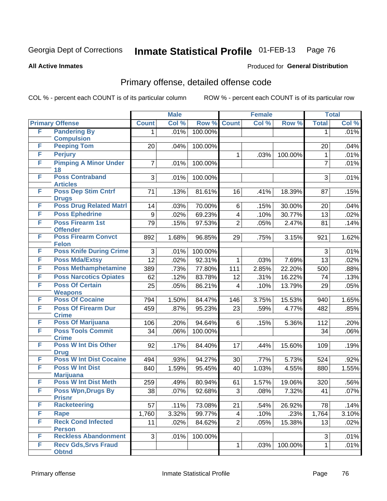**All Active Inmates**

#### Produced for **General Distribution**

### Primary offense, detailed offense code

|   |                                            |                | <b>Male</b> |         |                | <b>Female</b> |         |                | <b>Total</b> |
|---|--------------------------------------------|----------------|-------------|---------|----------------|---------------|---------|----------------|--------------|
|   | <b>Primary Offense</b>                     | <b>Count</b>   | Col %       | Row %   | <b>Count</b>   | Col %         | Row %   | <b>Total</b>   | Col %        |
| F | <b>Pandering By</b>                        | 1.             | .01%        | 100.00% |                |               |         | 1              | .01%         |
|   | <b>Compulsion</b>                          |                |             |         |                |               |         |                |              |
| F | <b>Peeping Tom</b>                         | 20             | .04%        | 100.00% |                |               |         | 20             | .04%         |
| F | <b>Perjury</b>                             |                |             |         | 1              | .03%          | 100.00% | 1              | .01%         |
| F | <b>Pimping A Minor Under</b><br>18         | $\overline{7}$ | .01%        | 100.00% |                |               |         | $\overline{7}$ | .01%         |
| F | <b>Poss Contraband</b><br><b>Articles</b>  | 3              | .01%        | 100.00% |                |               |         | 3              | .01%         |
| F | <b>Poss Dep Stim Cntrf</b><br><b>Drugs</b> | 71             | .13%        | 81.61%  | 16             | .41%          | 18.39%  | 87             | .15%         |
| F | <b>Poss Drug Related Matri</b>             | 14             | .03%        | 70.00%  | 6              | .15%          | 30.00%  | 20             | .04%         |
| F | <b>Poss Ephedrine</b>                      | 9              | .02%        | 69.23%  | 4              | .10%          | 30.77%  | 13             | .02%         |
| F | Poss Firearm 1st<br><b>Offender</b>        | 79             | .15%        | 97.53%  | $\overline{2}$ | .05%          | 2.47%   | 81             | .14%         |
| F | <b>Poss Firearm Convct</b><br><b>Felon</b> | 892            | 1.68%       | 96.85%  | 29             | .75%          | 3.15%   | 921            | 1.62%        |
| F | <b>Poss Knife During Crime</b>             | 3              | .01%        | 100.00% |                |               |         | 3              | .01%         |
| F | <b>Poss Mda/Extsy</b>                      | 12             | .02%        | 92.31%  | 1              | .03%          | 7.69%   | 13             | .02%         |
| F | <b>Poss Methamphetamine</b>                | 389            | .73%        | 77.80%  | 111            | 2.85%         | 22.20%  | 500            | .88%         |
| F | <b>Poss Narcotics Opiates</b>              | 62             | .12%        | 83.78%  | 12             | .31%          | 16.22%  | 74             | .13%         |
| F | <b>Poss Of Certain</b>                     | 25             | .05%        | 86.21%  | 4              | .10%          | 13.79%  | 29             | .05%         |
|   | <b>Weapons</b>                             |                |             |         |                |               |         |                |              |
| F | <b>Poss Of Cocaine</b>                     | 794            | 1.50%       | 84.47%  | 146            | 3.75%         | 15.53%  | 940            | 1.65%        |
| F | <b>Poss Of Firearm Dur</b><br><b>Crime</b> | 459            | .87%        | 95.23%  | 23             | .59%          | 4.77%   | 482            | .85%         |
| F | <b>Poss Of Marijuana</b>                   | 106            | .20%        | 94.64%  | 6              | .15%          | 5.36%   | 112            | .20%         |
| F | <b>Poss Tools Commit</b><br><b>Crime</b>   | 34             | .06%        | 100.00% |                |               |         | 34             | .06%         |
| F | <b>Poss W Int Dis Other</b><br><b>Drug</b> | 92             | .17%        | 84.40%  | 17             | .44%          | 15.60%  | 109            | .19%         |
| F | <b>Poss W Int Dist Cocaine</b>             | 494            | .93%        | 94.27%  | 30             | .77%          | 5.73%   | 524            | .92%         |
| F | <b>Poss W Int Dist</b>                     | 840            | 1.59%       | 95.45%  | 40             | 1.03%         | 4.55%   | 880            | 1.55%        |
|   | <b>Marijuana</b>                           |                |             |         |                |               |         |                |              |
| F | <b>Poss W Int Dist Meth</b>                | 259            | .49%        | 80.94%  | 61             | 1.57%         | 19.06%  | 320            | .56%         |
| F | <b>Poss Wpn, Drugs By</b><br><b>Prisnr</b> | 38             | .07%        | 92.68%  | 3              | .08%          | 7.32%   | 41             | .07%         |
| F | <b>Racketeering</b>                        | 57             | .11%        | 73.08%  | 21             | .54%          | 26.92%  | 78             | .14%         |
| F | <b>Rape</b>                                | 1,760          | 3.32%       | 99.77%  | 4              | .10%          | .23%    | 1,764          | 3.10%        |
| F | <b>Reck Cond Infected</b><br><b>Person</b> | 11             | .02%        | 84.62%  | $\overline{2}$ | .05%          | 15.38%  | 13             | .02%         |
| F | <b>Reckless Abandonment</b>                | 3              | .01%        | 100.00% |                |               |         | 3              | .01%         |
| F | <b>Recv Gds, Srvs Fraud</b>                |                |             |         | 1              | .03%          | 100.00% | 1              | .01%         |
|   | <b>Obtnd</b>                               |                |             |         |                |               |         |                |              |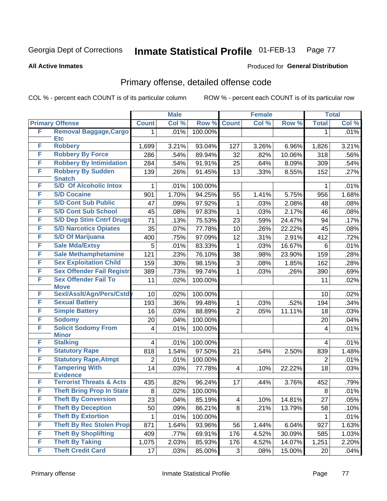Produced for **General Distribution**

#### **All Active Inmates**

# Primary offense, detailed offense code

|   |                                            |                | <b>Male</b> |                  |                         | <b>Female</b> |        |                | <b>Total</b> |
|---|--------------------------------------------|----------------|-------------|------------------|-------------------------|---------------|--------|----------------|--------------|
|   | <b>Primary Offense</b>                     | <b>Count</b>   | Col %       | Row <sup>%</sup> | <b>Count</b>            | Col %         | Row %  | <b>Total</b>   | Col %        |
| F | <b>Removal Baggage, Cargo</b>              | 1              | .01%        | 100.00%          |                         |               |        | 1              | .01%         |
| F | <b>Etc</b><br><b>Robbery</b>               |                |             |                  |                         |               |        |                |              |
| F | <b>Robbery By Force</b>                    | 1,699          | 3.21%       | 93.04%           | 127                     | 3.26%         | 6.96%  | 1,826          | 3.21%        |
| F | <b>Robbery By Intimidation</b>             | 286            | .54%        | 89.94%           | 32                      | .82%          | 10.06% | 318            | .56%         |
|   |                                            | 284            | .54%        | 91.91%           | 25                      | .64%          | 8.09%  | 309            | .54%         |
| F | <b>Robbery By Sudden</b><br><b>Snatch</b>  | 139            | .26%        | 91.45%           | 13                      | .33%          | 8.55%  | 152            | .27%         |
| F | <b>S/D Of Alcoholic Intox</b>              | 1              | .01%        | 100.00%          |                         |               |        | 1              | .01%         |
| F | <b>S/D Cocaine</b>                         | 901            | 1.70%       | 94.25%           | 55                      | 1.41%         | 5.75%  | 956            | 1.68%        |
| F | <b>S/D Cont Sub Public</b>                 | 47             | .09%        | 97.92%           | 1                       | .03%          | 2.08%  | 48             | .08%         |
| F | <b>S/D Cont Sub School</b>                 | 45             | .08%        | 97.83%           | 1                       | .03%          | 2.17%  | 46             | .08%         |
| F | <b>S/D Dep Stim Cntrf Drugs</b>            | 71             | .13%        | 75.53%           | 23                      | .59%          | 24.47% | 94             | .17%         |
| F | <b>S/D Narcotics Opiates</b>               | 35             | .07%        | 77.78%           | 10                      | .26%          | 22.22% | 45             | .08%         |
| F | <b>S/D Of Marijuana</b>                    | 400            | .75%        | 97.09%           | 12                      | .31%          | 2.91%  | 412            | .72%         |
| F | <b>Sale Mda/Extsy</b>                      | 5              | .01%        | 83.33%           | $\mathbf{1}$            | .03%          | 16.67% | 6              | .01%         |
| F | <b>Sale Methamphetamine</b>                | 121            | .23%        | 76.10%           | 38                      | .98%          | 23.90% | 159            | .28%         |
| F | <b>Sex Exploitation Child</b>              | 159            | .30%        | 98.15%           | 3                       | .08%          | 1.85%  | 162            | .28%         |
| F | <b>Sex Offender Fail Registr</b>           | 389            | .73%        | 99.74%           | 1                       | .03%          | .26%   | 390            | .69%         |
| F | <b>Sex Offender Fail To</b><br><b>Move</b> | 11             | .02%        | 100.00%          |                         |               |        | 11             | .02%         |
| F | Sexl/Asslt/Agn/Pers/Cstdy                  | 10             | .02%        | 100.00%          |                         |               |        | 10             | .02%         |
| F | <b>Sexual Battery</b>                      | 193            | .36%        | 99.48%           | $\mathbf{1}$            | .03%          | .52%   | 194            | .34%         |
| F | <b>Simple Battery</b>                      | 16             | .03%        | 88.89%           | $\overline{2}$          | .05%          | 11.11% | 18             | .03%         |
| F | <b>Sodomy</b>                              | 20             | .04%        | 100.00%          |                         |               |        | 20             | .04%         |
| F | <b>Solicit Sodomy From</b><br><b>Minor</b> | 4              | .01%        | 100.00%          |                         |               |        | 4              | .01%         |
| F | <b>Stalking</b>                            | 4              | .01%        | 100.00%          |                         |               |        | 4              | .01%         |
| F | <b>Statutory Rape</b>                      | 818            | 1.54%       | 97.50%           | 21                      | .54%          | 2.50%  | 839            | 1.48%        |
| F | <b>Statutory Rape, Atmpt</b>               | $\overline{2}$ | .01%        | 100.00%          |                         |               |        | $\overline{2}$ | .01%         |
| F | <b>Tampering With</b><br><b>Evidence</b>   | 14             | .03%        | 77.78%           | $\overline{\mathbf{4}}$ | .10%          | 22.22% | 18             | .03%         |
| F | <b>Terrorist Threats &amp; Acts</b>        | 435            | .82%        | 96.24%           | 17                      | .44%          | 3.76%  | 452            | .79%         |
| F | <b>Theft Bring Prop In State</b>           | 8              | .02%        | 100.00%          |                         |               |        | 8              | .01%         |
| F | <b>Theft By Conversion</b>                 | 23             | .04%        | 85.19%           | $\overline{\mathbf{4}}$ | .10%          | 14.81% | 27             | .05%         |
| F | <b>Theft By Deception</b>                  | 50             | .09%        | 86.21%           | 8                       | .21%          | 13.79% | 58             | .10%         |
| F | <b>Theft By Extortion</b>                  | $\mathbf{1}$   | .01%        | 100.00%          |                         |               |        | $\mathbf{1}$   | .01%         |
| F | <b>Theft By Rec Stolen Prop</b>            | 871            | 1.64%       | 93.96%           | 56                      | 1.44%         | 6.04%  | 927            | 1.63%        |
| F | <b>Theft By Shoplifting</b>                | 409            | .77%        | 69.91%           | 176                     | 4.52%         | 30.09% | 585            | 1.03%        |
| F | <b>Theft By Taking</b>                     | 1,075          | 2.03%       | 85.93%           | 176                     | 4.52%         | 14.07% | 1,251          | 2.20%        |
| F | <b>Theft Credit Card</b>                   | 17             | .03%        | 85.00%           | 3 <sup>1</sup>          | .08%          | 15.00% | 20             | .04%         |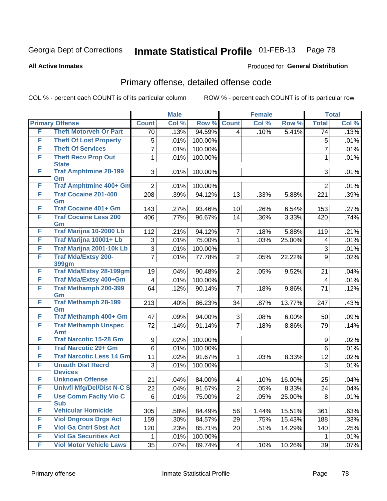**All Active Inmates**

#### Produced for **General Distribution**

### Primary offense, detailed offense code

|   |                                            |                         | <b>Male</b> |         |                | <b>Female</b> |        |                         | <b>Total</b> |
|---|--------------------------------------------|-------------------------|-------------|---------|----------------|---------------|--------|-------------------------|--------------|
|   | <b>Primary Offense</b>                     | <b>Count</b>            | Col %       | Row %   | <b>Count</b>   | Col %         | Row %  | <b>Total</b>            | Col %        |
| F | <b>Theft Motorveh Or Part</b>              | 70                      | .13%        | 94.59%  | 4              | .10%          | 5.41%  | 74                      | .13%         |
| F | <b>Theft Of Lost Property</b>              | 5                       | .01%        | 100.00% |                |               |        | 5                       | .01%         |
| F | <b>Theft Of Services</b>                   | 7                       | .01%        | 100.00% |                |               |        | $\overline{7}$          | .01%         |
| F | <b>Theft Recv Prop Out</b>                 | 1                       | .01%        | 100.00% |                |               |        | $\mathbf{1}$            | .01%         |
|   | <b>State</b>                               |                         |             |         |                |               |        |                         |              |
| F | <b>Traf Amphtmine 28-199</b><br>Gm         | 3                       | .01%        | 100.00% |                |               |        | 3                       | .01%         |
| F | <b>Traf Amphtmine 400+ Gm</b>              | $\overline{2}$          | .01%        | 100.00% |                |               |        | $\overline{2}$          | .01%         |
| F | <b>Traf Cocaine 201-400</b>                | 208                     | .39%        | 94.12%  | 13             | .33%          | 5.88%  | 221                     | .39%         |
|   | Gm                                         |                         |             |         |                |               |        |                         |              |
| F | <b>Traf Cocaine 401+ Gm</b>                | 143                     | .27%        | 93.46%  | 10             | .26%          | 6.54%  | 153                     | .27%         |
| F | <b>Traf Cocaine Less 200</b><br>Gm         | 406                     | .77%        | 96.67%  | 14             | .36%          | 3.33%  | 420                     | .74%         |
| F | Traf Marijna 10-2000 Lb                    | 112                     | .21%        | 94.12%  | $\overline{7}$ | .18%          | 5.88%  | 119                     | .21%         |
| F | Traf Marijna 10001+ Lb                     | 3                       | .01%        | 75.00%  | 1              | .03%          | 25.00% | 4                       | .01%         |
| F | Traf Marijna 2001-10k Lb                   | 3                       | .01%        | 100.00% |                |               |        | 3                       | .01%         |
| F | <b>Traf Mda/Extsy 200-</b>                 | 7                       | .01%        | 77.78%  | $\overline{2}$ | .05%          | 22.22% | 9                       | .02%         |
|   | <b>399gm</b>                               |                         |             |         |                |               |        |                         |              |
| F | <b>Traf Mda/Extsy 28-199gm</b>             | 19                      | .04%        | 90.48%  | $\overline{2}$ | .05%          | 9.52%  | 21                      | .04%         |
| F | Traf Mda/Extsy 400+Gm                      | $\overline{\mathbf{4}}$ | .01%        | 100.00% |                |               |        | $\overline{\mathbf{4}}$ | .01%         |
| F | <b>Traf Methamph 200-399</b><br>Gm         | 64                      | .12%        | 90.14%  | $\overline{7}$ | .18%          | 9.86%  | 71                      | .12%         |
| F | <b>Traf Methamph 28-199</b><br>Gm          | 213                     | .40%        | 86.23%  | 34             | .87%          | 13.77% | 247                     | .43%         |
| F | Traf Methamph 400+ Gm                      | 47                      | .09%        | 94.00%  | 3              | .08%          | 6.00%  | 50                      | .09%         |
| F | <b>Traf Methamph Unspec</b><br>Amt         | 72                      | .14%        | 91.14%  | $\overline{7}$ | .18%          | 8.86%  | 79                      | .14%         |
| F | <b>Traf Narcotic 15-28 Gm</b>              | $\boldsymbol{9}$        | .02%        | 100.00% |                |               |        | $\boldsymbol{9}$        | .02%         |
| F | <b>Traf Narcotic 29+ Gm</b>                | 6                       | .01%        | 100.00% |                |               |        | 6                       | .01%         |
| F | <b>Traf Narcotic Less 14 Gm</b>            | 11                      | .02%        | 91.67%  | 1              | .03%          | 8.33%  | 12                      | .02%         |
| F | <b>Unauth Dist Recrd</b>                   | 3                       | .01%        | 100.00% |                |               |        | 3                       | .01%         |
|   | <b>Devices</b>                             |                         |             |         |                |               |        |                         |              |
| F | <b>Unknown Offense</b>                     | 21                      | .04%        | 84.00%  | 4              | .10%          | 16.00% | 25                      | .04%         |
| F | <b>Uniwfl Mfg/Del/Dist N-C S</b>           | 22                      | .04%        | 91.67%  | $\overline{2}$ | .05%          | 8.33%  | 24                      | .04%         |
| F | <b>Use Comm Facity Vio C</b><br><b>Sub</b> | 6                       | .01%        | 75.00%  | $\overline{2}$ | .05%          | 25.00% | 8                       | .01%         |
| F | <b>Vehicular Homicide</b>                  | 305                     | .58%        | 84.49%  | 56             | 1.44%         | 15.51% | 361                     | .63%         |
| F | <b>Viol Dngrous Drgs Act</b>               | 159                     | .30%        | 84.57%  | 29             | .75%          | 15.43% | 188                     | .33%         |
| F | <b>Viol Ga Cntrl Sbst Act</b>              | 120                     | .23%        | 85.71%  | 20             | .51%          | 14.29% | 140                     | .25%         |
| F | <b>Viol Ga Securities Act</b>              | 1                       | .01%        | 100.00% |                |               |        | 1                       | .01%         |
| F | <b>Viol Motor Vehicle Laws</b>             | 35                      | .07%        | 89.74%  | 4              | .10%          | 10.26% | 39                      | .07%         |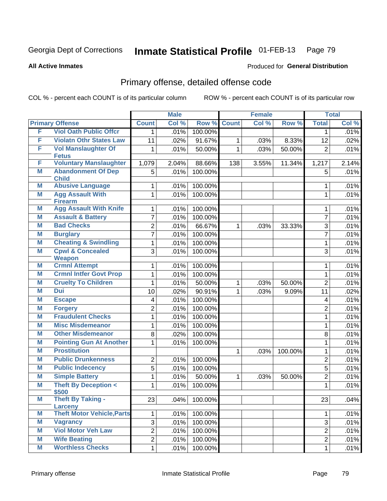**All Active Inmates**

#### Produced for **General Distribution**

### Primary offense, detailed offense code

|   |                                              |                | <b>Male</b> |         |              | <b>Female</b> |         |                         | <b>Total</b> |
|---|----------------------------------------------|----------------|-------------|---------|--------------|---------------|---------|-------------------------|--------------|
|   | <b>Primary Offense</b>                       | <b>Count</b>   | Col %       | Row %   | <b>Count</b> | Col %         | Row %   | <b>Total</b>            | Col %        |
| F | <b>Viol Oath Public Offcr</b>                | $\mathbf 1$    | .01%        | 100.00% |              |               |         | $\mathbf{1}$            | .01%         |
| F | <b>Violatn Othr States Law</b>               | 11             | .02%        | 91.67%  | $\mathbf{1}$ | .03%          | 8.33%   | 12                      | .02%         |
| F | <b>Vol Manslaughter Of</b>                   | 1              | .01%        | 50.00%  | $\mathbf{1}$ | .03%          | 50.00%  | $\overline{2}$          | .01%         |
|   | <b>Fetus</b>                                 |                |             |         |              |               |         |                         |              |
| F | <b>Voluntary Manslaughter</b>                | 1,079          | 2.04%       | 88.66%  | 138          | 3.55%         | 11.34%  | 1,217                   | 2.14%        |
| M | <b>Abandonment Of Dep</b><br><b>Child</b>    | 5              | .01%        | 100.00% |              |               |         | 5                       | .01%         |
| M | <b>Abusive Language</b>                      | $\mathbf{1}$   | .01%        | 100.00% |              |               |         | 1                       | .01%         |
| M | <b>Agg Assault With</b><br><b>Firearm</b>    | 1              | .01%        | 100.00% |              |               |         | $\mathbf{1}$            | .01%         |
| M | <b>Agg Assault With Knife</b>                | 1              | .01%        | 100.00% |              |               |         | 1                       | .01%         |
| M | <b>Assault &amp; Battery</b>                 | 7              | .01%        | 100.00% |              |               |         | $\overline{7}$          | .01%         |
| M | <b>Bad Checks</b>                            | $\overline{2}$ | .01%        | 66.67%  | $\mathbf{1}$ | .03%          | 33.33%  | 3                       | .01%         |
| M | <b>Burglary</b>                              | $\overline{7}$ | .01%        | 100.00% |              |               |         | $\overline{7}$          | .01%         |
| M | <b>Cheating &amp; Swindling</b>              | 1              | .01%        | 100.00% |              |               |         | $\mathbf{1}$            | .01%         |
| M | <b>Cpwl &amp; Concealed</b><br><b>Weapon</b> | 3              | .01%        | 100.00% |              |               |         | 3                       | .01%         |
| M | <b>Crmnl Attempt</b>                         | 1              | .01%        | 100.00% |              |               |         | 1                       | .01%         |
| M | <b>Crmnl Intfer Govt Prop</b>                | 1              | .01%        | 100.00% |              |               |         | $\mathbf{1}$            | .01%         |
| M | <b>Cruelty To Children</b>                   | 1              | .01%        | 50.00%  | $\mathbf 1$  | .03%          | 50.00%  | $\overline{2}$          | .01%         |
| M | <b>Dui</b>                                   | 10             | .02%        | 90.91%  | $\mathbf{1}$ | .03%          | 9.09%   | 11                      | .02%         |
| M | <b>Escape</b>                                | 4              | .01%        | 100.00% |              |               |         | $\overline{\mathbf{4}}$ | .01%         |
| M | <b>Forgery</b>                               | $\overline{2}$ | .01%        | 100.00% |              |               |         | $\overline{2}$          | .01%         |
| M | <b>Fraudulent Checks</b>                     | 1              | .01%        | 100.00% |              |               |         | 1                       | .01%         |
| M | <b>Misc Misdemeanor</b>                      | 1              | .01%        | 100.00% |              |               |         | 1                       | .01%         |
| M | <b>Other Misdemeanor</b>                     | 8              | .02%        | 100.00% |              |               |         | 8                       | .01%         |
| M | <b>Pointing Gun At Another</b>               | 1              | .01%        | 100.00% |              |               |         | 1                       | .01%         |
| M | <b>Prostitution</b>                          |                |             |         | $\mathbf{1}$ | .03%          | 100.00% | 1                       | .01%         |
| M | <b>Public Drunkenness</b>                    | $\overline{2}$ | .01%        | 100.00% |              |               |         | $\overline{2}$          | .01%         |
| M | <b>Public Indecency</b>                      | $\overline{5}$ | .01%        | 100.00% |              |               |         | 5                       | .01%         |
| M | <b>Simple Battery</b>                        | 1              | .01%        | 50.00%  | $\mathbf 1$  | .03%          | 50.00%  | $\overline{2}$          | .01%         |
| M | <b>Theft By Deception &lt;</b><br>\$500      | 1              | .01%        | 100.00% |              |               |         | 1                       | .01%         |
| Μ | <b>Theft By Taking -</b><br><b>Larceny</b>   | 23             | .04%        | 100.00% |              |               |         | 23                      | .04%         |
| M | <b>Theft Motor Vehicle, Parts</b>            | $\mathbf{1}$   | .01%        | 100.00% |              |               |         | $\mathbf{1}$            | .01%         |
| M | <b>Vagrancy</b>                              | 3              | .01%        | 100.00% |              |               |         | 3                       | .01%         |
| Μ | <b>Viol Motor Veh Law</b>                    | $\overline{2}$ | .01%        | 100.00% |              |               |         | $\overline{2}$          | .01%         |
| Μ | <b>Wife Beating</b>                          | $\overline{2}$ | .01%        | 100.00% |              |               |         | $\overline{2}$          | .01%         |
| M | <b>Worthless Checks</b>                      | $\mathbf{1}$   | .01%        | 100.00% |              |               |         | $\mathbf{1}$            | .01%         |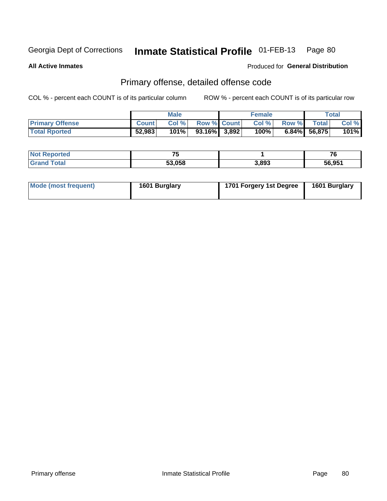**All Active Inmates**

#### Produced for **General Distribution**

#### Primary offense, detailed offense code

|                        |              | <b>Male</b> |                    | <b>Female</b> |              |                 | Total   |
|------------------------|--------------|-------------|--------------------|---------------|--------------|-----------------|---------|
| <b>Primary Offense</b> | <b>Count</b> | Col%        | <b>Row % Count</b> | Col %         | <b>Row %</b> | Total           | Col %   |
| <b>Total Rported</b>   | 52,983       | 101%        | $93.16\%$ 3,892    | 100%          |              | $6.84\%$ 56,875 | $101\%$ |

| τeα<br>w | --     |       | 76     |
|----------|--------|-------|--------|
|          | 53,058 | 3,893 | 56.951 |

| Mode (most frequent) | 1601 Burglary | 1701 Forgery 1st Degree | 1601 Burglary |
|----------------------|---------------|-------------------------|---------------|
|----------------------|---------------|-------------------------|---------------|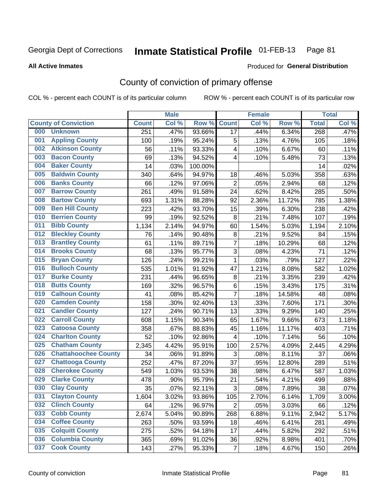#### **All Active Inmates**

#### Produced for **General Distribution**

### County of conviction of primary offense

|     |                             |              | <b>Male</b> |         |                 | <b>Female</b> |        |              | <b>Total</b> |
|-----|-----------------------------|--------------|-------------|---------|-----------------|---------------|--------|--------------|--------------|
|     | <b>County of Conviction</b> | <b>Count</b> | Col %       | Row %   | <b>Count</b>    | Col %         | Row %  | <b>Total</b> | Col %        |
| 000 | <b>Unknown</b>              | 251          | .47%        | 93.66%  | $\overline{17}$ | .44%          | 6.34%  | 268          | .47%         |
| 001 | <b>Appling County</b>       | 100          | .19%        | 95.24%  | 5               | .13%          | 4.76%  | 105          | .18%         |
| 002 | <b>Atkinson County</b>      | 56           | .11%        | 93.33%  | 4               | .10%          | 6.67%  | 60           | .11%         |
| 003 | <b>Bacon County</b>         | 69           | .13%        | 94.52%  | 4               | .10%          | 5.48%  | 73           | .13%         |
| 004 | <b>Baker County</b>         | 14           | .03%        | 100.00% |                 |               |        | 14           | .02%         |
| 005 | <b>Baldwin County</b>       | 340          | .64%        | 94.97%  | 18              | .46%          | 5.03%  | 358          | .63%         |
| 006 | <b>Banks County</b>         | 66           | .12%        | 97.06%  | $\overline{2}$  | .05%          | 2.94%  | 68           | .12%         |
| 007 | <b>Barrow County</b>        | 261          | .49%        | 91.58%  | 24              | .62%          | 8.42%  | 285          | .50%         |
| 008 | <b>Bartow County</b>        | 693          | 1.31%       | 88.28%  | 92              | 2.36%         | 11.72% | 785          | 1.38%        |
| 009 | <b>Ben Hill County</b>      | 223          | .42%        | 93.70%  | 15              | .39%          | 6.30%  | 238          | .42%         |
| 010 | <b>Berrien County</b>       | 99           | .19%        | 92.52%  | 8               | .21%          | 7.48%  | 107          | .19%         |
| 011 | <b>Bibb County</b>          | 1,134        | 2.14%       | 94.97%  | 60              | 1.54%         | 5.03%  | 1,194        | 2.10%        |
| 012 | <b>Bleckley County</b>      | 76           | .14%        | 90.48%  | 8               | .21%          | 9.52%  | 84           | .15%         |
| 013 | <b>Brantley County</b>      | 61           | .11%        | 89.71%  | $\overline{7}$  | .18%          | 10.29% | 68           | .12%         |
| 014 | <b>Brooks County</b>        | 68           | .13%        | 95.77%  | 3               | .08%          | 4.23%  | 71           | .12%         |
| 015 | <b>Bryan County</b>         | 126          | .24%        | 99.21%  | 1               | .03%          | .79%   | 127          | .22%         |
| 016 | <b>Bulloch County</b>       | 535          | 1.01%       | 91.92%  | 47              | 1.21%         | 8.08%  | 582          | 1.02%        |
| 017 | <b>Burke County</b>         | 231          | .44%        | 96.65%  | 8               | .21%          | 3.35%  | 239          | .42%         |
| 018 | <b>Butts County</b>         | 169          | .32%        | 96.57%  | 6               | .15%          | 3.43%  | 175          | .31%         |
| 019 | <b>Calhoun County</b>       | 41           | .08%        | 85.42%  | $\overline{7}$  | .18%          | 14.58% | 48           | .08%         |
| 020 | <b>Camden County</b>        | 158          | .30%        | 92.40%  | 13              | .33%          | 7.60%  | 171          | .30%         |
| 021 | <b>Candler County</b>       | 127          | .24%        | 90.71%  | 13              | .33%          | 9.29%  | 140          | .25%         |
| 022 | <b>Carroll County</b>       | 608          | 1.15%       | 90.34%  | 65              | 1.67%         | 9.66%  | 673          | 1.18%        |
| 023 | <b>Catoosa County</b>       | 358          | .67%        | 88.83%  | 45              | 1.16%         | 11.17% | 403          | .71%         |
| 024 | <b>Charlton County</b>      | 52           | .10%        | 92.86%  | 4               | .10%          | 7.14%  | 56           | .10%         |
| 025 | <b>Chatham County</b>       | 2,345        | 4.42%       | 95.91%  | 100             | 2.57%         | 4.09%  | 2,445        | 4.29%        |
| 026 | <b>Chattahoochee County</b> | 34           | .06%        | 91.89%  | 3               | .08%          | 8.11%  | 37           | .06%         |
| 027 | <b>Chattooga County</b>     | 252          | .47%        | 87.20%  | 37              | .95%          | 12.80% | 289          | .51%         |
| 028 | <b>Cherokee County</b>      | 549          | 1.03%       | 93.53%  | 38              | .98%          | 6.47%  | 587          | 1.03%        |
| 029 | <b>Clarke County</b>        | 478          | .90%        | 95.79%  | 21              | .54%          | 4.21%  | 499          | .88%         |
| 030 | <b>Clay County</b>          | 35           | .07%        | 92.11%  | 3               | .08%          | 7.89%  | 38           | .07%         |
| 031 | <b>Clayton County</b>       | 1,604        | 3.02%       | 93.86%  | 105             | 2.70%         | 6.14%  | 1,709        | 3.00%        |
| 032 | <b>Clinch County</b>        | 64           | .12%        | 96.97%  | $\overline{2}$  | .05%          | 3.03%  | 66           | .12%         |
| 033 | <b>Cobb County</b>          | 2,674        | 5.04%       | 90.89%  | 268             | 6.88%         | 9.11%  | 2,942        | 5.17%        |
| 034 | <b>Coffee County</b>        | 263          | .50%        | 93.59%  | 18              | .46%          | 6.41%  | 281          | .49%         |
| 035 | <b>Colquitt County</b>      | 275          | .52%        | 94.18%  | 17              | .44%          | 5.82%  | 292          | .51%         |
| 036 | <b>Columbia County</b>      | 365          | .69%        | 91.02%  | 36              | .92%          | 8.98%  | 401          | .70%         |
| 037 | <b>Cook County</b>          | 143          | .27%        | 95.33%  | $\overline{7}$  | .18%          | 4.67%  | 150          | .26%         |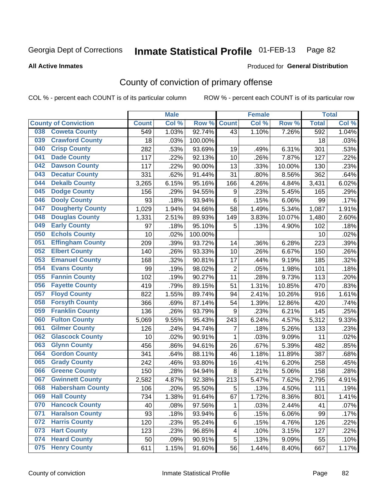#### **All Active Inmates**

#### Produced for **General Distribution**

### County of conviction of primary offense

|                                |              | <b>Male</b> |         |                | <b>Female</b> |        |              | <b>Total</b> |
|--------------------------------|--------------|-------------|---------|----------------|---------------|--------|--------------|--------------|
| <b>County of Conviction</b>    | <b>Count</b> | Col %       | Row %   | <b>Count</b>   | Col %         | Row %  | <b>Total</b> | Col %        |
| <b>Coweta County</b><br>038    | 549          | 1.03%       | 92.74%  | 43             | 1.10%         | 7.26%  | 592          | 1.04%        |
| <b>Crawford County</b><br>039  | 18           | .03%        | 100.00% |                |               |        | 18           | .03%         |
| <b>Crisp County</b><br>040     | 282          | .53%        | 93.69%  | 19             | .49%          | 6.31%  | 301          | .53%         |
| <b>Dade County</b><br>041      | 117          | .22%        | 92.13%  | 10             | .26%          | 7.87%  | 127          | .22%         |
| <b>Dawson County</b><br>042    | 117          | .22%        | 90.00%  | 13             | .33%          | 10.00% | 130          | .23%         |
| 043<br><b>Decatur County</b>   | 331          | .62%        | 91.44%  | 31             | .80%          | 8.56%  | 362          | .64%         |
| <b>Dekalb County</b><br>044    | 3,265        | 6.15%       | 95.16%  | 166            | 4.26%         | 4.84%  | 3,431        | 6.02%        |
| <b>Dodge County</b><br>045     | 156          | .29%        | 94.55%  | 9              | .23%          | 5.45%  | 165          | .29%         |
| <b>Dooly County</b><br>046     | 93           | .18%        | 93.94%  | 6              | .15%          | 6.06%  | 99           | .17%         |
| <b>Dougherty County</b><br>047 | 1,029        | 1.94%       | 94.66%  | 58             | 1.49%         | 5.34%  | 1,087        | 1.91%        |
| <b>Douglas County</b><br>048   | 1,331        | 2.51%       | 89.93%  | 149            | 3.83%         | 10.07% | 1,480        | 2.60%        |
| <b>Early County</b><br>049     | 97           | .18%        | 95.10%  | 5              | .13%          | 4.90%  | 102          | .18%         |
| <b>Echols County</b><br>050    | 10           | .02%        | 100.00% |                |               |        | 10           | .02%         |
| <b>Effingham County</b><br>051 | 209          | .39%        | 93.72%  | 14             | .36%          | 6.28%  | 223          | .39%         |
| <b>Elbert County</b><br>052    | 140          | .26%        | 93.33%  | 10             | .26%          | 6.67%  | 150          | .26%         |
| <b>Emanuel County</b><br>053   | 168          | .32%        | 90.81%  | 17             | .44%          | 9.19%  | 185          | .32%         |
| <b>Evans County</b><br>054     | 99           | .19%        | 98.02%  | $\overline{2}$ | .05%          | 1.98%  | 101          | .18%         |
| <b>Fannin County</b><br>055    | 102          | .19%        | 90.27%  | 11             | .28%          | 9.73%  | 113          | .20%         |
| <b>Fayette County</b><br>056   | 419          | .79%        | 89.15%  | 51             | 1.31%         | 10.85% | 470          | .83%         |
| <b>Floyd County</b><br>057     | 822          | 1.55%       | 89.74%  | 94             | 2.41%         | 10.26% | 916          | 1.61%        |
| <b>Forsyth County</b><br>058   | 366          | .69%        | 87.14%  | 54             | 1.39%         | 12.86% | 420          | .74%         |
| <b>Franklin County</b><br>059  | 136          | .26%        | 93.79%  | 9              | .23%          | 6.21%  | 145          | .25%         |
| <b>Fulton County</b><br>060    | 5,069        | 9.55%       | 95.43%  | 243            | 6.24%         | 4.57%  | 5,312        | 9.33%        |
| <b>Gilmer County</b><br>061    | 126          | .24%        | 94.74%  | $\overline{7}$ | .18%          | 5.26%  | 133          | .23%         |
| <b>Glascock County</b><br>062  | 10           | .02%        | 90.91%  | $\mathbf{1}$   | .03%          | 9.09%  | 11           | .02%         |
| 063<br><b>Glynn County</b>     | 456          | .86%        | 94.61%  | 26             | .67%          | 5.39%  | 482          | .85%         |
| <b>Gordon County</b><br>064    | 341          | .64%        | 88.11%  | 46             | 1.18%         | 11.89% | 387          | .68%         |
| 065<br><b>Grady County</b>     | 242          | .46%        | 93.80%  | 16             | .41%          | 6.20%  | 258          | .45%         |
| <b>Greene County</b><br>066    | 150          | .28%        | 94.94%  | 8              | .21%          | 5.06%  | 158          | .28%         |
| <b>Gwinnett County</b><br>067  | 2,582        | 4.87%       | 92.38%  | 213            | 5.47%         | 7.62%  | 2,795        | 4.91%        |
| <b>Habersham County</b><br>068 | 106          | .20%        | 95.50%  | 5              | .13%          | 4.50%  | 111          | .19%         |
| 069<br><b>Hall County</b>      | 734          | 1.38%       | 91.64%  | 67             | 1.72%         | 8.36%  | 801          | 1.41%        |
| <b>Hancock County</b><br>070   | 40           | .08%        | 97.56%  | 1              | .03%          | 2.44%  | 41           | .07%         |
| <b>Haralson County</b><br>071  | 93           | .18%        | 93.94%  | 6              | .15%          | 6.06%  | 99           | .17%         |
| <b>Harris County</b><br>072    | 120          | .23%        | 95.24%  | 6              | .15%          | 4.76%  | 126          | .22%         |
| <b>Hart County</b><br>073      | 123          | .23%        | 96.85%  | 4              | .10%          | 3.15%  | 127          | .22%         |
| <b>Heard County</b><br>074     | 50           | .09%        | 90.91%  | 5              | .13%          | 9.09%  | 55           | .10%         |
| <b>Henry County</b><br>075     | 611          | 1.15%       | 91.60%  | 56             | 1.44%         | 8.40%  | 667          | 1.17%        |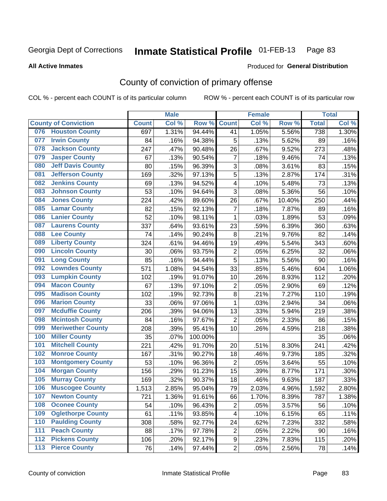**All Active Inmates**

#### Produced for **General Distribution**

### County of conviction of primary offense

|                                 |              | <b>Male</b> |         |                | <b>Female</b> |        |              | <b>Total</b> |
|---------------------------------|--------------|-------------|---------|----------------|---------------|--------|--------------|--------------|
| <b>County of Conviction</b>     | <b>Count</b> | Col %       | Row %   | <b>Count</b>   | Col %         | Row %  | <b>Total</b> | Col %        |
| <b>Houston County</b><br>076    | 697          | 1.31%       | 94.44%  | 41             | 1.05%         | 5.56%  | 738          | 1.30%        |
| <b>Irwin County</b><br>077      | 84           | .16%        | 94.38%  | 5              | .13%          | 5.62%  | 89           | .16%         |
| <b>Jackson County</b><br>078    | 247          | .47%        | 90.48%  | 26             | .67%          | 9.52%  | 273          | .48%         |
| <b>Jasper County</b><br>079     | 67           | .13%        | 90.54%  | $\overline{7}$ | .18%          | 9.46%  | 74           | .13%         |
| <b>Jeff Davis County</b><br>080 | 80           | .15%        | 96.39%  | 3              | .08%          | 3.61%  | 83           | .15%         |
| 081<br><b>Jefferson County</b>  | 169          | .32%        | 97.13%  | 5              | .13%          | 2.87%  | 174          | .31%         |
| <b>Jenkins County</b><br>082    | 69           | .13%        | 94.52%  | 4              | .10%          | 5.48%  | 73           | .13%         |
| <b>Johnson County</b><br>083    | 53           | .10%        | 94.64%  | 3              | .08%          | 5.36%  | 56           | .10%         |
| <b>Jones County</b><br>084      | 224          | .42%        | 89.60%  | 26             | .67%          | 10.40% | 250          | .44%         |
| <b>Lamar County</b><br>085      | 82           | .15%        | 92.13%  | $\overline{7}$ | .18%          | 7.87%  | 89           | .16%         |
| <b>Lanier County</b><br>086     | 52           | .10%        | 98.11%  | 1              | .03%          | 1.89%  | 53           | .09%         |
| <b>Laurens County</b><br>087    | 337          | .64%        | 93.61%  | 23             | .59%          | 6.39%  | 360          | .63%         |
| <b>Lee County</b><br>088        | 74           | .14%        | 90.24%  | 8              | .21%          | 9.76%  | 82           | .14%         |
| <b>Liberty County</b><br>089    | 324          | .61%        | 94.46%  | 19             | .49%          | 5.54%  | 343          | .60%         |
| <b>Lincoln County</b><br>090    | 30           | .06%        | 93.75%  | $\mathbf 2$    | .05%          | 6.25%  | 32           | .06%         |
| <b>Long County</b><br>091       | 85           | .16%        | 94.44%  | 5              | .13%          | 5.56%  | 90           | .16%         |
| <b>Lowndes County</b><br>092    | 571          | 1.08%       | 94.54%  | 33             | .85%          | 5.46%  | 604          | 1.06%        |
| <b>Lumpkin County</b><br>093    | 102          | .19%        | 91.07%  | 10             | .26%          | 8.93%  | 112          | .20%         |
| <b>Macon County</b><br>094      | 67           | .13%        | 97.10%  | $\mathbf 2$    | .05%          | 2.90%  | 69           | .12%         |
| <b>Madison County</b><br>095    | 102          | .19%        | 92.73%  | 8              | .21%          | 7.27%  | 110          | .19%         |
| <b>Marion County</b><br>096     | 33           | .06%        | 97.06%  | $\mathbf{1}$   | .03%          | 2.94%  | 34           | .06%         |
| <b>Mcduffie County</b><br>097   | 206          | .39%        | 94.06%  | 13             | .33%          | 5.94%  | 219          | .38%         |
| <b>Mcintosh County</b><br>098   | 84           | .16%        | 97.67%  | $\overline{2}$ | .05%          | 2.33%  | 86           | .15%         |
| <b>Meriwether County</b><br>099 | 208          | .39%        | 95.41%  | 10             | .26%          | 4.59%  | 218          | .38%         |
| <b>Miller County</b><br>100     | 35           | .07%        | 100.00% |                |               |        | 35           | .06%         |
| <b>Mitchell County</b><br>101   | 221          | .42%        | 91.70%  | 20             | .51%          | 8.30%  | 241          | .42%         |
| <b>Monroe County</b><br>102     | 167          | .31%        | 90.27%  | 18             | .46%          | 9.73%  | 185          | .32%         |
| <b>Montgomery County</b><br>103 | 53           | .10%        | 96.36%  | $\overline{2}$ | .05%          | 3.64%  | 55           | .10%         |
| <b>Morgan County</b><br>104     | 156          | .29%        | 91.23%  | 15             | .39%          | 8.77%  | 171          | .30%         |
| <b>Murray County</b><br>105     | 169          | .32%        | 90.37%  | 18             | .46%          | 9.63%  | 187          | .33%         |
| <b>Muscogee County</b><br>106   | 1,513        | 2.85%       | 95.04%  | 79             | 2.03%         | 4.96%  | 1,592        | 2.80%        |
| 107<br><b>Newton County</b>     | 721          | 1.36%       | 91.61%  | 66             | 1.70%         | 8.39%  | 787          | 1.38%        |
| <b>Oconee County</b><br>108     | 54           | .10%        | 96.43%  | $\overline{2}$ | .05%          | 3.57%  | 56           | .10%         |
| <b>Oglethorpe County</b><br>109 | 61           | .11%        | 93.85%  | 4              | .10%          | 6.15%  | 65           | .11%         |
| <b>Paulding County</b><br>110   | 308          | .58%        | 92.77%  | 24             | .62%          | 7.23%  | 332          | .58%         |
| <b>Peach County</b><br>111      | 88           | .17%        | 97.78%  | $\overline{2}$ | .05%          | 2.22%  | 90           | .16%         |
| <b>Pickens County</b><br>112    | 106          | .20%        | 92.17%  | 9              | .23%          | 7.83%  | 115          | .20%         |
| <b>Pierce County</b><br>$113$   | 76           | .14%        | 97.44%  | $\overline{c}$ | .05%          | 2.56%  | 78           | .14%         |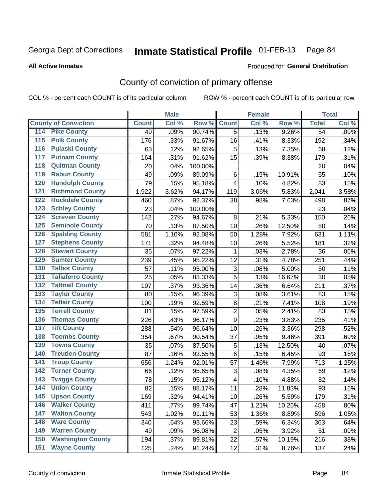Produced for **General Distribution**

#### **All Active Inmates**

# County of conviction of primary offense

|                                          |              | <b>Male</b> |         |                           | <b>Female</b> |        |                 | <b>Total</b> |
|------------------------------------------|--------------|-------------|---------|---------------------------|---------------|--------|-----------------|--------------|
| <b>County of Conviction</b>              | <b>Count</b> | Col %       | Row %   | <b>Count</b>              | Col %         | Row %  | <b>Total</b>    | Col %        |
| <b>Pike County</b><br>114                | 49           | .09%        | 90.74%  | $\overline{5}$            | .13%          | 9.26%  | $\overline{54}$ | .09%         |
| <b>Polk County</b><br>$\overline{115}$   | 176          | .33%        | 91.67%  | 16                        | .41%          | 8.33%  | 192             | .34%         |
| <b>Pulaski County</b><br>116             | 63           | .12%        | 92.65%  | 5                         | .13%          | 7.35%  | 68              | .12%         |
| <b>Putnam County</b><br>117              | 164          | .31%        | 91.62%  | 15                        | .39%          | 8.38%  | 179             | .31%         |
| <b>Quitman County</b><br>118             | 20           | .04%        | 100.00% |                           |               |        | 20              | .04%         |
| <b>Rabun County</b><br>119               | 49           | .09%        | 89.09%  | $6\phantom{1}$            | .15%          | 10.91% | 55              | .10%         |
| <b>Randolph County</b><br>120            | 79           | .15%        | 95.18%  | 4                         | .10%          | 4.82%  | 83              | .15%         |
| <b>Richmond County</b><br>121            | 1,922        | 3.62%       | 94.17%  | 119                       | 3.06%         | 5.83%  | 2,041           | 3.58%        |
| <b>Rockdale County</b><br>122            | 460          | .87%        | 92.37%  | 38                        | .98%          | 7.63%  | 498             | .87%         |
| <b>Schley County</b><br>123              | 23           | .04%        | 100.00% |                           |               |        | 23              | .04%         |
| <b>Screven County</b><br>124             | 142          | .27%        | 94.67%  | 8                         | .21%          | 5.33%  | 150             | .26%         |
| <b>Seminole County</b><br>125            | 70           | .13%        | 87.50%  | 10                        | .26%          | 12.50% | 80              | .14%         |
| <b>Spalding County</b><br>126            | 581          | 1.10%       | 92.08%  | 50                        | 1.28%         | 7.92%  | 631             | 1.11%        |
| <b>Stephens County</b><br>127            | 171          | .32%        | 94.48%  | 10                        | .26%          | 5.52%  | 181             | .32%         |
| <b>Stewart County</b><br>128             | 35           | .07%        | 97.22%  | 1                         | .03%          | 2.78%  | 36              | .06%         |
| <b>Sumter County</b><br>129              | 239          | .45%        | 95.22%  | 12                        | .31%          | 4.78%  | 251             | .44%         |
| <b>Talbot County</b><br>130              | 57           | .11%        | 95.00%  | 3                         | .08%          | 5.00%  | 60              | .11%         |
| <b>Taliaferro County</b><br>131          | 25           | .05%        | 83.33%  | 5                         | .13%          | 16.67% | 30              | .05%         |
| <b>Tattnall County</b><br>132            | 197          | .37%        | 93.36%  | 14                        | .36%          | 6.64%  | 211             | .37%         |
| <b>Taylor County</b><br>133              | 80           | .15%        | 96.39%  | $\ensuremath{\mathsf{3}}$ | .08%          | 3.61%  | 83              | .15%         |
| <b>Telfair County</b><br>134             | 100          | .19%        | 92.59%  | 8                         | .21%          | 7.41%  | 108             | .19%         |
| <b>Terrell County</b><br>135             | 81           | .15%        | 97.59%  | $\overline{2}$            | .05%          | 2.41%  | 83              | .15%         |
| <b>Thomas County</b><br>136              | 226          | .43%        | 96.17%  | 9                         | .23%          | 3.83%  | 235             | .41%         |
| <b>Tift County</b><br>137                | 288          | .54%        | 96.64%  | 10                        | .26%          | 3.36%  | 298             | .52%         |
| <b>Toombs County</b><br>138              | 354          | .67%        | 90.54%  | 37                        | .95%          | 9.46%  | 391             | .69%         |
| <b>Towns County</b><br>139               | 35           | .07%        | 87.50%  | 5                         | .13%          | 12.50% | 40              | .07%         |
| <b>Treutlen County</b><br>140            | 87           | .16%        | 93.55%  | 6                         | .15%          | 6.45%  | 93              | .16%         |
| <b>Troup County</b><br>141               | 656          | 1.24%       | 92.01%  | 57                        | 1.46%         | 7.99%  | 713             | 1.25%        |
| <b>Turner County</b><br>142              | 66           | .12%        | 95.65%  | 3                         | .08%          | 4.35%  | 69              | .12%         |
| <b>Twiggs County</b><br>$\overline{143}$ | 78           | .15%        | 95.12%  | $\overline{\mathcal{A}}$  | .10%          | 4.88%  | 82              | .14%         |
| <b>Union County</b><br>144               | 82           | .15%        | 88.17%  | 11                        | .28%          | 11.83% | 93              | .16%         |
| 145<br><b>Upson County</b>               | 169          | .32%        | 94.41%  | 10                        | .26%          | 5.59%  | 179             | .31%         |
| <b>Walker County</b><br>146              | 411          | .77%        | 89.74%  | 47                        | 1.21%         | 10.26% | 458             | .80%         |
| <b>Walton County</b><br>147              | 543          | 1.02%       | 91.11%  | 53                        | 1.36%         | 8.89%  | 596             | 1.05%        |
| <b>Ware County</b><br>148                | 340          | .64%        | 93.66%  | 23                        | .59%          | 6.34%  | 363             | .64%         |
| <b>Warren County</b><br>149              | 49           | .09%        | 96.08%  | $\overline{2}$            | .05%          | 3.92%  | 51              | .09%         |
| <b>Washington County</b><br>150          | 194          | .37%        | 89.81%  | 22                        | .57%          | 10.19% | 216             | .38%         |
| <b>Wayne County</b><br>151               | 125          | .24%        | 91.24%  | 12                        | .31%          | 8.76%  | 137             | .24%         |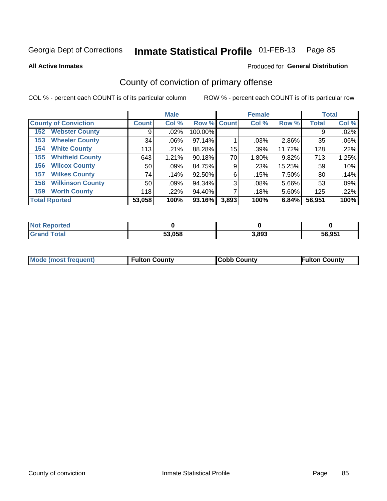**All Active Inmates**

#### Produced for **General Distribution**

### County of conviction of primary offense

|                                |              | <b>Male</b> |             |       | <b>Female</b> |        |              | <b>Total</b> |
|--------------------------------|--------------|-------------|-------------|-------|---------------|--------|--------------|--------------|
| <b>County of Conviction</b>    | <b>Count</b> | Col %       | Row % Count |       | Col %         | Row %  | <b>Total</b> | Col %        |
| <b>Webster County</b><br>152   | 9            | .02%        | 100.00%     |       |               |        | 9            | .02%         |
| <b>Wheeler County</b><br>153   | 34           | $.06\%$     | 97.14%      |       | .03%          | 2.86%  | 35           | .06%         |
| <b>White County</b><br>154     | 113          | .21%        | 88.28%      | 15    | .39%          | 11.72% | 128          | .22%         |
| <b>Whitfield County</b><br>155 | 643          | 1.21%       | 90.18%      | 70    | 1.80%         | 9.82%  | 713          | 1.25%        |
| <b>Wilcox County</b><br>156    | 50           | .09%        | 84.75%      | 9     | .23%          | 15.25% | 59           | .10%         |
| <b>Wilkes County</b><br>157    | 74           | .14%        | 92.50%      | 6     | .15%          | 7.50%  | 80           | .14%         |
| <b>Wilkinson County</b><br>158 | 50           | .09%        | 94.34%      | 3     | .08%          | 5.66%  | 53           | .09%         |
| <b>Worth County</b><br>159     | 118          | .22%        | 94.40%      |       | .18%          | 5.60%  | 125          | .22%         |
| <b>Total Rported</b>           | 53,058       | 100%        | 93.16%      | 3,893 | 100%          | 6.84%  | 56,951       | 100%         |

| <b>Not Reported</b> |        |       |        |
|---------------------|--------|-------|--------|
| <b>Grand Total</b>  | 53,058 | 3,893 | 56,951 |

| Mode (most frequent) | <b>Fulton County</b> | <b>Cobb County</b> | <b>Fulton County</b> |
|----------------------|----------------------|--------------------|----------------------|
|                      |                      |                    |                      |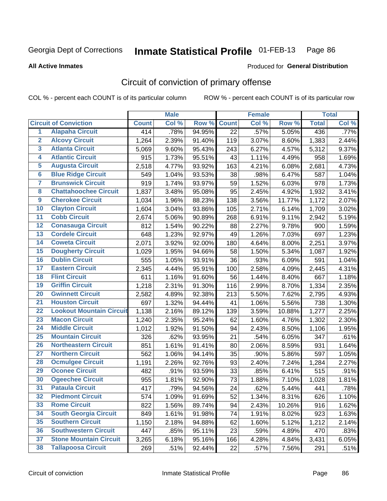#### **All Active Inmates**

# Produced for **General Distribution**

### Circuit of conviction of primary offense

|                         |                                 |              | <b>Male</b> |        |                 | <b>Female</b> |        |              | <b>Total</b> |
|-------------------------|---------------------------------|--------------|-------------|--------|-----------------|---------------|--------|--------------|--------------|
|                         | <b>Circuit of Conviction</b>    | <b>Count</b> | Col %       | Row %  | <b>Count</b>    | Col %         | Row %  | <b>Total</b> | Col %        |
| 1                       | <b>Alapaha Circuit</b>          | 414          | .78%        | 94.95% | $\overline{22}$ | .57%          | 5.05%  | 436          | .77%         |
| $\overline{2}$          | <b>Alcovy Circuit</b>           | 1,264        | 2.39%       | 91.40% | 119             | 3.07%         | 8.60%  | 1,383        | 2.44%        |
| $\overline{\mathbf{3}}$ | <b>Atlanta Circuit</b>          | 5,069        | 9.60%       | 95.43% | 243             | 6.27%         | 4.57%  | 5,312        | 9.37%        |
| 4                       | <b>Atlantic Circuit</b>         | 915          | 1.73%       | 95.51% | 43              | 1.11%         | 4.49%  | 958          | 1.69%        |
| 5                       | <b>Augusta Circuit</b>          | 2,518        | 4.77%       | 93.92% | 163             | 4.21%         | 6.08%  | 2,681        | 4.73%        |
| $\overline{\mathbf{6}}$ | <b>Blue Ridge Circuit</b>       | 549          | 1.04%       | 93.53% | 38              | .98%          | 6.47%  | 587          | 1.04%        |
| $\overline{\mathbf{7}}$ | <b>Brunswick Circuit</b>        | 919          | 1.74%       | 93.97% | 59              | 1.52%         | 6.03%  | 978          | 1.73%        |
| 8                       | <b>Chattahoochee Circuit</b>    | 1,837        | 3.48%       | 95.08% | 95              | 2.45%         | 4.92%  | 1,932        | 3.41%        |
| $\overline{9}$          | <b>Cherokee Circuit</b>         | 1,034        | 1.96%       | 88.23% | 138             | 3.56%         | 11.77% | 1,172        | 2.07%        |
| 10                      | <b>Clayton Circuit</b>          | 1,604        | 3.04%       | 93.86% | 105             | 2.71%         | 6.14%  | 1,709        | 3.02%        |
| $\overline{11}$         | <b>Cobb Circuit</b>             | 2,674        | 5.06%       | 90.89% | 268             | 6.91%         | 9.11%  | 2,942        | 5.19%        |
| $\overline{12}$         | <b>Conasauga Circuit</b>        | 812          | 1.54%       | 90.22% | 88              | 2.27%         | 9.78%  | 900          | 1.59%        |
| 13                      | <b>Cordele Circuit</b>          | 648          | 1.23%       | 92.97% | 49              | 1.26%         | 7.03%  | 697          | 1.23%        |
| 14                      | <b>Coweta Circuit</b>           | 2,071        | 3.92%       | 92.00% | 180             | 4.64%         | 8.00%  | 2,251        | 3.97%        |
| 15                      | <b>Dougherty Circuit</b>        | 1,029        | 1.95%       | 94.66% | 58              | 1.50%         | 5.34%  | 1,087        | 1.92%        |
| 16                      | <b>Dublin Circuit</b>           | 555          | 1.05%       | 93.91% | 36              | .93%          | 6.09%  | 591          | 1.04%        |
| 17                      | <b>Eastern Circuit</b>          | 2,345        | 4.44%       | 95.91% | 100             | 2.58%         | 4.09%  | 2,445        | 4.31%        |
| 18                      | <b>Flint Circuit</b>            | 611          | 1.16%       | 91.60% | 56              | 1.44%         | 8.40%  | 667          | 1.18%        |
| 19                      | <b>Griffin Circuit</b>          | 1,218        | 2.31%       | 91.30% | 116             | 2.99%         | 8.70%  | 1,334        | 2.35%        |
| 20                      | <b>Gwinnett Circuit</b>         | 2,582        | 4.89%       | 92.38% | 213             | 5.50%         | 7.62%  | 2,795        | 4.93%        |
| $\overline{21}$         | <b>Houston Circuit</b>          | 697          | 1.32%       | 94.44% | 41              | 1.06%         | 5.56%  | 738          | 1.30%        |
| $\overline{22}$         | <b>Lookout Mountain Circuit</b> | 1,138        | 2.16%       | 89.12% | 139             | 3.59%         | 10.88% | 1,277        | 2.25%        |
| 23                      | <b>Macon Circuit</b>            | 1,240        | 2.35%       | 95.24% | 62              | 1.60%         | 4.76%  | 1,302        | 2.30%        |
| $\overline{24}$         | <b>Middle Circuit</b>           | 1,012        | 1.92%       | 91.50% | 94              | 2.43%         | 8.50%  | 1,106        | 1.95%        |
| 25                      | <b>Mountain Circuit</b>         | 326          | .62%        | 93.95% | 21              | .54%          | 6.05%  | 347          | .61%         |
| 26                      | <b>Northeastern Circuit</b>     | 851          | 1.61%       | 91.41% | 80              | 2.06%         | 8.59%  | 931          | 1.64%        |
| $\overline{27}$         | <b>Northern Circuit</b>         | 562          | 1.06%       | 94.14% | 35              | .90%          | 5.86%  | 597          | 1.05%        |
| 28                      | <b>Ocmulgee Circuit</b>         | 1,191        | 2.26%       | 92.76% | 93              | 2.40%         | 7.24%  | 1,284        | 2.27%        |
| 29                      | <b>Oconee Circuit</b>           | 482          | .91%        | 93.59% | 33              | .85%          | 6.41%  | 515          | .91%         |
| 30                      | <b>Ogeechee Circuit</b>         | 955          | 1.81%       | 92.90% | 73              | 1.88%         | 7.10%  | 1,028        | 1.81%        |
| $\overline{31}$         | <b>Pataula Circuit</b>          | 417          | .79%        | 94.56% | 24              | .62%          | 5.44%  | 441          | .78%         |
| 32                      | <b>Piedmont Circuit</b>         | 574          | 1.09%       | 91.69% | 52              | 1.34%         | 8.31%  | 626          | 1.10%        |
| 33                      | <b>Rome Circuit</b>             | 822          | 1.56%       | 89.74% | 94              | 2.43%         | 10.26% | 916          | 1.62%        |
| 34                      | <b>South Georgia Circuit</b>    | 849          | 1.61%       | 91.98% | 74              | 1.91%         | 8.02%  | 923          | 1.63%        |
| 35                      | <b>Southern Circuit</b>         | 1,150        | 2.18%       | 94.88% | 62              | 1.60%         | 5.12%  | 1,212        | 2.14%        |
| 36                      | <b>Southwestern Circuit</b>     | 447          | .85%        | 95.11% | 23              | .59%          | 4.89%  | 470          | .83%         |
| 37                      | <b>Stone Mountain Circuit</b>   | 3,265        | 6.18%       | 95.16% | 166             | 4.28%         | 4.84%  | 3,431        | 6.05%        |
| 38                      | <b>Tallapoosa Circuit</b>       | 269          | .51%        | 92.44% | 22              | .57%          | 7.56%  | 291          | .51%         |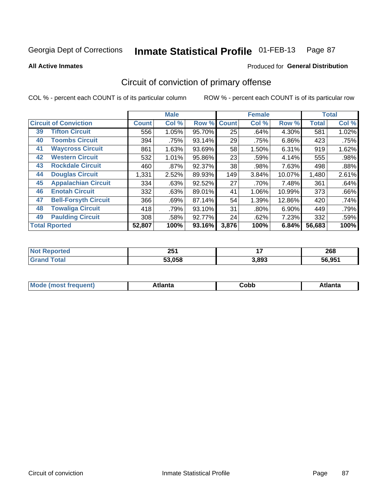Produced for **General Distribution**

#### **All Active Inmates**

# Circuit of conviction of primary offense

|                              |                             |              | <b>Male</b> |        |              | <b>Female</b> |        |              | <b>Total</b> |
|------------------------------|-----------------------------|--------------|-------------|--------|--------------|---------------|--------|--------------|--------------|
| <b>Circuit of Conviction</b> |                             | <b>Count</b> | Col %       | Row %  | <b>Count</b> | Col %         | Row %  | <b>Total</b> | Col %        |
| 39                           | <b>Tifton Circuit</b>       | 556          | 1.05%       | 95.70% | 25           | .64%          | 4.30%  | 581          | 1.02%        |
| 40                           | <b>Toombs Circuit</b>       | 394          | .75%        | 93.14% | 29           | .75%          | 6.86%  | 423          | .75%         |
| 41                           | <b>Waycross Circuit</b>     | 861          | 1.63%       | 93.69% | 58           | 1.50%         | 6.31%  | 919          | 1.62%        |
| 42                           | <b>Western Circuit</b>      | 532          | 1.01%       | 95.86% | 23           | .59%          | 4.14%  | 555          | .98%         |
| 43                           | <b>Rockdale Circuit</b>     | 460          | .87%        | 92.37% | 38           | .98%          | 7.63%  | 498          | .88%         |
| 44                           | <b>Douglas Circuit</b>      | 1,331        | 2.52%       | 89.93% | 149          | 3.84%         | 10.07% | 1,480        | 2.61%        |
| 45                           | <b>Appalachian Circuit</b>  | 334          | .63%        | 92.52% | 27           | .70%          | 7.48%  | 361          | .64%         |
| 46                           | <b>Enotah Circuit</b>       | 332          | .63%        | 89.01% | 41           | 1.06%         | 10.99% | 373          | .66%         |
| 47                           | <b>Bell-Forsyth Circuit</b> | 366          | .69%        | 87.14% | 54           | 1.39%         | 12.86% | 420          | .74%         |
| 48                           | <b>Towaliga Circuit</b>     | 418          | .79%        | 93.10% | 31           | $.80\%$       | 6.90%  | 449          | .79%         |
| 49                           | <b>Paulding Circuit</b>     | 308          | .58%        | 92.77% | 24           | .62%          | 7.23%  | 332          | .59%         |
| <b>Total Rported</b>         |                             | 52,807       | 100%        | 93.16% | 3,876        | 100%          | 6.84%  | 56,683       | 100%         |

| eс | ヘロ・<br>LJ I   |       | 268    |
|----|---------------|-------|--------|
|    | ES UEO<br>ມວຽ | 3.893 | 56.951 |

| M<br>- - -<br>.<br>.<br>∪opp<br>нс |
|------------------------------------|
|------------------------------------|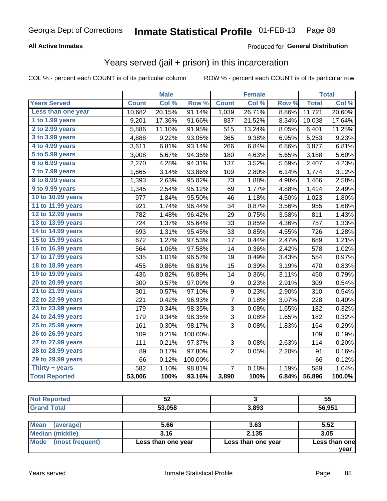#### **All Active Inmates**

#### Produced for **General Distribution**

#### Years served (jail + prison) in this incarceration

|                        |              | <b>Male</b> |         |                  | <b>Female</b> |       |              | <b>Total</b> |
|------------------------|--------------|-------------|---------|------------------|---------------|-------|--------------|--------------|
| <b>Years Served</b>    | <b>Count</b> | Col %       | Row %   | <b>Count</b>     | Col %         | Row % | <b>Total</b> | Col %        |
| Less than one year     | 10,682       | 20.15%      | 91.14%  | 1,039            | 26.71%        | 8.86% | 11,721       | 20.60%       |
| 1 to 1.99 years        | 9,201        | 17.36%      | 91.66%  | 837              | 21.52%        | 8.34% | 10,038       | 17.64%       |
| 2 to 2.99 years        | 5,886        | 11.10%      | 91.95%  | 515              | 13.24%        | 8.05% | 6,401        | 11.25%       |
| 3 to 3.99 years        | 4,888        | 9.22%       | 93.05%  | 365              | 9.38%         | 6.95% | 5,253        | 9.23%        |
| 4 to 4.99 years        | 3,611        | 6.81%       | 93.14%  | 266              | 6.84%         | 6.86% | 3,877        | 6.81%        |
| 5 to 5.99 years        | 3,008        | 5.67%       | 94.35%  | 180              | 4.63%         | 5.65% | 3,188        | 5.60%        |
| 6 to 6.99 years        | 2,270        | 4.28%       | 94.31%  | 137              | 3.52%         | 5.69% | 2,407        | 4.23%        |
| 7 to 7.99 years        | 1,665        | 3.14%       | 93.86%  | 109              | 2.80%         | 6.14% | 1,774        | 3.12%        |
| <b>8 to 8.99 years</b> | 1,393        | 2.63%       | 95.02%  | 73               | 1.88%         | 4.98% | 1,466        | 2.58%        |
| 9 to 9.99 years        | 1,345        | 2.54%       | 95.12%  | 69               | 1.77%         | 4.88% | 1,414        | 2.49%        |
| 10 to 10.99 years      | 977          | 1.84%       | 95.50%  | 46               | 1.18%         | 4.50% | 1,023        | 1.80%        |
| 11 to 11.99 years      | 921          | 1.74%       | 96.44%  | 34               | 0.87%         | 3.56% | 955          | 1.68%        |
| 12 to 12.99 years      | 782          | 1.48%       | 96.42%  | 29               | 0.75%         | 3.58% | 811          | 1.43%        |
| 13 to 13.99 years      | 724          | 1.37%       | 95.64%  | 33               | 0.85%         | 4.36% | 757          | 1.33%        |
| 14 to 14.99 years      | 693          | 1.31%       | 95.45%  | 33               | 0.85%         | 4.55% | 726          | 1.28%        |
| 15 to 15.99 years      | 672          | 1.27%       | 97.53%  | 17               | 0.44%         | 2.47% | 689          | 1.21%        |
| 16 to 16.99 years      | 564          | 1.06%       | 97.58%  | 14               | 0.36%         | 2.42% | 578          | 1.02%        |
| 17 to 17.99 years      | 535          | 1.01%       | 96.57%  | 19               | 0.49%         | 3.43% | 554          | 0.97%        |
| 18 to 18.99 years      | 455          | 0.86%       | 96.81%  | 15               | 0.39%         | 3.19% | 470          | 0.83%        |
| 19 to 19.99 years      | 436          | 0.82%       | 96.89%  | 14               | 0.36%         | 3.11% | 450          | 0.79%        |
| 20 to 20.99 years      | 300          | 0.57%       | 97.09%  | 9                | 0.23%         | 2.91% | 309          | 0.54%        |
| 21 to 21.99 years      | 301          | 0.57%       | 97.10%  | $\boldsymbol{9}$ | 0.23%         | 2.90% | 310          | 0.54%        |
| 22 to 22.99 years      | 221          | 0.42%       | 96.93%  | 7                | 0.18%         | 3.07% | 228          | 0.40%        |
| 23 to 23.99 years      | 179          | 0.34%       | 98.35%  | 3                | 0.08%         | 1.65% | 182          | 0.32%        |
| 24 to 24.99 years      | 179          | 0.34%       | 98.35%  | 3                | 0.08%         | 1.65% | 182          | 0.32%        |
| 25 to 25.99 years      | 161          | 0.30%       | 98.17%  | $\overline{3}$   | 0.08%         | 1.83% | 164          | 0.29%        |
| 26 to 26.99 years      | 109          | 0.21%       | 100.00% |                  |               |       | 109          | 0.19%        |
| 27 to 27.99 years      | 111          | 0.21%       | 97.37%  | 3                | 0.08%         | 2.63% | 114          | 0.20%        |
| 28 to 28.99 years      | 89           | 0.17%       | 97.80%  | $\overline{2}$   | 0.05%         | 2.20% | 91           | 0.16%        |
| 29 to 29.99 years      | 66           | 0.12%       | 100.00% |                  |               |       | 66           | 0.12%        |
| Thirty + years         | 582          | 1.10%       | 98.81%  | $\overline{7}$   | 0.18%         | 1.19% | 589          | 1.04%        |
| <b>Total Reported</b>  | 53,006       | 100%        | 93.16%  | 3,890            | 100%          | 6.84% | 56,896       | 100.0%       |

| <b>Not</b><br><b>Reported</b> | г о<br>◡∠ |       | 55     |
|-------------------------------|-----------|-------|--------|
| <b>Grand Total</b>            | 53,058    | 3,893 | 56,951 |
|                               |           |       |        |

| Mean (average)       | 5.66               | 3.63               | 5.52          |
|----------------------|--------------------|--------------------|---------------|
| Median (middle)      | 3.16               | 2.135              | 3.05          |
| Mode (most frequent) | Less than one year | Less than one year | Less than one |
|                      |                    |                    | vear          |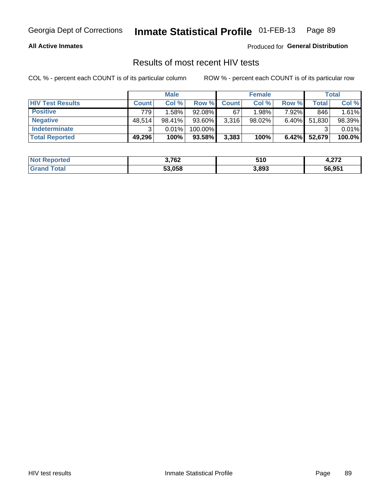#### **All Active Inmates**

Produced for **General Distribution**

#### Results of most recent HIV tests

|                         | <b>Male</b>  |           |         | <b>Female</b> |           |          | Total  |        |
|-------------------------|--------------|-----------|---------|---------------|-----------|----------|--------|--------|
| <b>HIV Test Results</b> | <b>Count</b> | Col%      | Row %I  | <b>Count</b>  | Col %     | Row %    | Total  | Col %  |
| <b>Positive</b>         | 779          | 1.58%     | 92.08%  | 67            | 1.98%     | 7.92%    | 846    | 1.61%  |
| <b>Negative</b>         | 48,514       | $98.41\%$ | 93.60%  | 3,316         | $98.02\%$ | $6.40\%$ | 51,830 | 98.39% |
| <b>Indeterminate</b>    | ີ            | 0.01%     | 100.00% |               |           |          |        | 0.01%  |
| <b>Total Reported</b>   | 49,296       | 100%      | 93.58%  | 3,383         | 100%      | $6.42\%$ | 52,679 | 100.0% |

| <b>Not Reported</b> | 3,762  | 510   | - 270<br>4.ZI Z |
|---------------------|--------|-------|-----------------|
| Total<br>Gran       | 53,058 | 3,893 | 56,951          |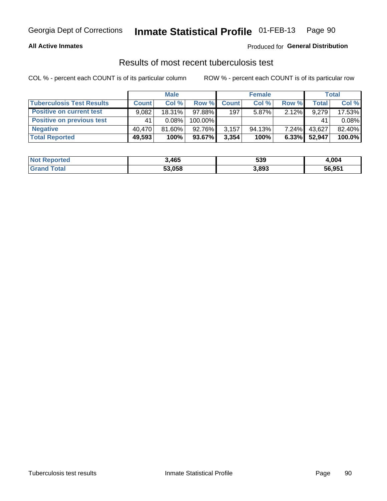#### **All Active Inmates**

#### Produced for **General Distribution**

#### Results of most recent tuberculosis test

|                                  | <b>Male</b>  |           |         | <b>Female</b> |        |          | Total  |        |
|----------------------------------|--------------|-----------|---------|---------------|--------|----------|--------|--------|
| <b>Tuberculosis Test Results</b> | <b>Count</b> | Col%      | Row %   | <b>Count</b>  | Col %  | Row %    | Total  | Col %  |
| <b>Positive on current test</b>  | 9.082        | $18.31\%$ | 97.88%  | 197           | 5.87%  | $2.12\%$ | 9,279  | 17.53% |
| <b>Positive on previous test</b> | 41           | $0.08\%$  | 100.00% |               |        |          | 41     | 0.08%  |
| <b>Negative</b>                  | 40.470       | $81.60\%$ | 92.76%  | 3,157         | 94.13% | $7.24\%$ | 43,627 | 82.40% |
| <b>Total Reported</b>            | 49,593       | 100%      | 93.67%  | 3,354         | 100%   | $6.33\%$ | 52.947 | 100.0% |

| <b>Not Reported</b> | 3,465  | 539   | 1,004  |
|---------------------|--------|-------|--------|
| <b>Grand Total</b>  | 53,058 | 3,893 | 56,951 |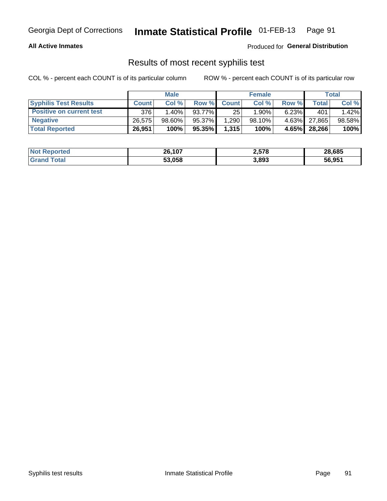#### **All Active Inmates**

Produced for **General Distribution**

#### Results of most recent syphilis test

|                                 | <b>Male</b>  |           |        | <b>Female</b>   |           |       | Total        |        |
|---------------------------------|--------------|-----------|--------|-----------------|-----------|-------|--------------|--------|
| <b>Syphilis Test Results</b>    | <b>Count</b> | Col%      | Row %  | <b>Count</b>    | Col %     | Row % | Total I      | Col %  |
| <b>Positive on current test</b> | 376          | $1.40\%$  | 93.77% | 25 <sub>1</sub> | 1.90%     | 6.23% | 401          | 1.42%  |
| <b>Negative</b>                 | 26,575       | $98.60\%$ | 95.37% | .290            | $98.10\%$ |       | 4.63% 27.865 | 98.58% |
| <b>Total Reported</b>           | 26,951       | 100%      | 95.35% | 1,315           | 100%      | 4.65% | 28,266       | 100%   |

| <b>Not Reported</b> | 26,107 | 2,578 | 28,685 |
|---------------------|--------|-------|--------|
| <b>Srand Total</b>  | 53,058 | 3,893 | 56,951 |